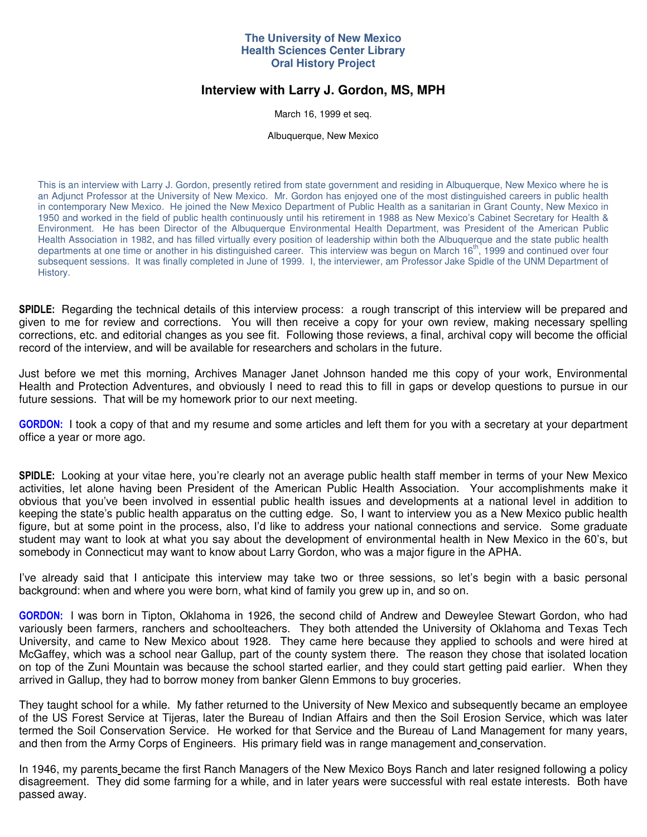## **The University of New Mexico Health Sciences Center Library Oral History Project**

# **Interview with Larry J. Gordon, MS, MPH**

March 16, 1999 et seq.

Albuquerque, New Mexico

This is an interview with Larry J. Gordon, presently retired from state government and residing in Albuquerque, New Mexico where he is an Adjunct Professor at the University of New Mexico. Mr. Gordon has enjoyed one of the most distinguished careers in public health in contemporary New Mexico. He joined the New Mexico Department of Public Health as a sanitarian in Grant County, New Mexico in 1950 and worked in the field of public health continuously until his retirement in 1988 as New Mexico's Cabinet Secretary for Health & Environment. He has been Director of the Albuquerque Environmental Health Department, was President of the American Public Health Association in 1982, and has filled virtually every position of leadership within both the Albuquerque and the state public health departments at one time or another in his distinguished career. This interview was begun on March 16<sup>th</sup>, 1999 and continued over four subsequent sessions. It was finally completed in June of 1999. I, the interviewer, am Professor Jake Spidle of the UNM Department of History.

**SPIDLE:** Regarding the technical details of this interview process: a rough transcript of this interview will be prepared and given to me for review and corrections. You will then receive a copy for your own review, making necessary spelling corrections, etc. and editorial changes as you see fit. Following those reviews, a final, archival copy will become the official record of the interview, and will be available for researchers and scholars in the future.

Just before we met this morning, Archives Manager Janet Johnson handed me this copy of your work, Environmental Health and Protection Adventures, and obviously I need to read this to fill in gaps or develop questions to pursue in our future sessions. That will be my homework prior to our next meeting.

**GORDON:** I took a copy of that and my resume and some articles and left them for you with a secretary at your department office a year or more ago.

**SPIDLE:** Looking at your vitae here, you're clearly not an average public health staff member in terms of your New Mexico activities, let alone having been President of the American Public Health Association. Your accomplishments make it obvious that you've been involved in essential public health issues and developments at a national level in addition to keeping the state's public health apparatus on the cutting edge. So, I want to interview you as a New Mexico public health figure, but at some point in the process, also, I'd like to address your national connections and service. Some graduate student may want to look at what you say about the development of environmental health in New Mexico in the 60's, but somebody in Connecticut may want to know about Larry Gordon, who was a major figure in the APHA.

I've already said that I anticipate this interview may take two or three sessions, so let's begin with a basic personal background: when and where you were born, what kind of family you grew up in, and so on.

**GORDON:** I was born in Tipton, Oklahoma in 1926, the second child of Andrew and Deweylee Stewart Gordon, who had variously been farmers, ranchers and schoolteachers. They both attended the University of Oklahoma and Texas Tech University, and came to New Mexico about 1928. They came here because they applied to schools and were hired at McGaffey, which was a school near Gallup, part of the county system there. The reason they chose that isolated location on top of the Zuni Mountain was because the school started earlier, and they could start getting paid earlier. When they arrived in Gallup, they had to borrow money from banker Glenn Emmons to buy groceries.

They taught school for a while. My father returned to the University of New Mexico and subsequently became an employee of the US Forest Service at Tijeras, later the Bureau of Indian Affairs and then the Soil Erosion Service, which was later termed the Soil Conservation Service. He worked for that Service and the Bureau of Land Management for many years, and then from the Army Corps of Engineers. His primary field was in range management and conservation.

In 1946, my parents became the first Ranch Managers of the New Mexico Boys Ranch and later resigned following a policy disagreement. They did some farming for a while, and in later years were successful with real estate interests. Both have passed away.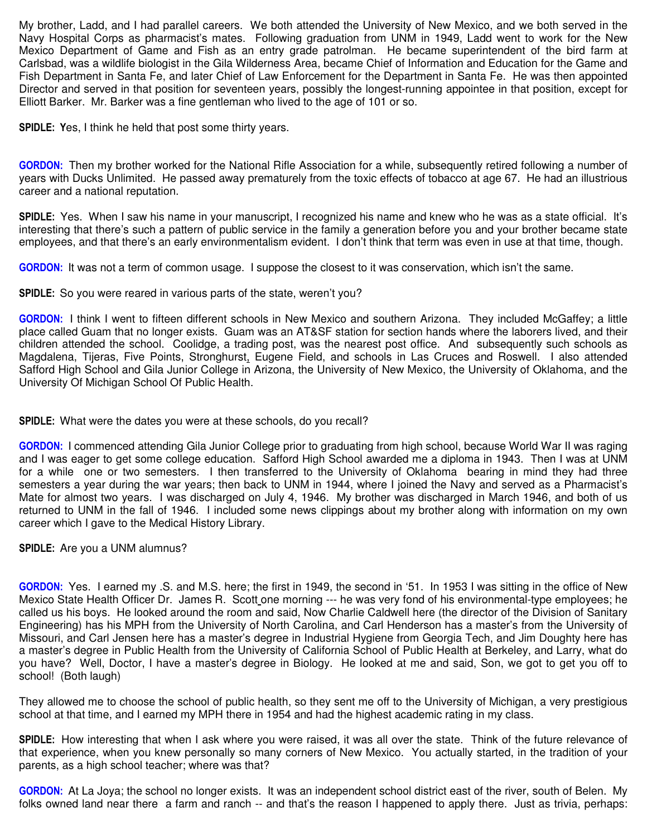My brother, Ladd, and I had parallel careers. We both attended the University of New Mexico, and we both served in the Navy Hospital Corps as pharmacist's mates. Following graduation from UNM in 1949, Ladd went to work for the New Mexico Department of Game and Fish as an entry grade patrolman. He became superintendent of the bird farm at Carlsbad, was a wildlife biologist in the Gila Wilderness Area, became Chief of Information and Education for the Game and Fish Department in Santa Fe, and later Chief of Law Enforcement for the Department in Santa Fe. He was then appointed Director and served in that position for seventeen years, possibly the longest-running appointee in that position, except for Elliott Barker. Mr. Barker was a fine gentleman who lived to the age of 101 or so.

**SPIDLE: Y**es, I think he held that post some thirty years.

**GORDON:** Then my brother worked for the National Rifle Association for a while, subsequently retired following a number of years with Ducks Unlimited. He passed away prematurely from the toxic effects of tobacco at age 67. He had an illustrious career and a national reputation.

**SPIDLE:** Yes. When I saw his name in your manuscript, I recognized his name and knew who he was as a state official. It's interesting that there's such a pattern of public service in the family a generation before you and your brother became state employees, and that there's an early environmentalism evident. I don't think that term was even in use at that time, though.

**GORDON:** It was not a term of common usage. I suppose the closest to it was conservation, which isn't the same.

**SPIDLE:** So you were reared in various parts of the state, weren't you?

**GORDON:** I think I went to fifteen different schools in New Mexico and southern Arizona. They included McGaffey; a little place called Guam that no longer exists. Guam was an AT&SF station for section hands where the laborers lived, and their children attended the school. Coolidge, a trading post, was the nearest post office. And subsequently such schools as Magdalena, Tijeras, Five Points, Stronghurst, Eugene Field, and schools in Las Cruces and Roswell. I also attended Safford High School and Gila Junior College in Arizona, the University of New Mexico, the University of Oklahoma, and the University Of Michigan School Of Public Health.

**SPIDLE:** What were the dates you were at these schools, do you recall?

**GORDON:** I commenced attending Gila Junior College prior to graduating from high school, because World War II was raging and I was eager to get some college education. Safford High School awarded me a diploma in 1943. Then I was at UNM for a while one or two semesters. I then transferred to the University of Oklahoma bearing in mind they had three semesters a year during the war years; then back to UNM in 1944, where I joined the Navy and served as a Pharmacist's Mate for almost two years. I was discharged on July 4, 1946. My brother was discharged in March 1946, and both of us returned to UNM in the fall of 1946. I included some news clippings about my brother along with information on my own career which I gave to the Medical History Library.

**SPIDLE:** Are you a UNM alumnus?

**GORDON:** Yes. I earned my .S. and M.S. here; the first in 1949, the second in '51. In 1953 I was sitting in the office of New Mexico State Health Officer Dr. James R. Scott one morning --- he was very fond of his environmental-type employees; he called us his boys. He looked around the room and said, Now Charlie Caldwell here (the director of the Division of Sanitary Engineering) has his MPH from the University of North Carolina, and Carl Henderson has a master's from the University of Missouri, and Carl Jensen here has a master's degree in Industrial Hygiene from Georgia Tech, and Jim Doughty here has a master's degree in Public Health from the University of California School of Public Health at Berkeley, and Larry, what do you have? Well, Doctor, I have a master's degree in Biology. He looked at me and said, Son, we got to get you off to school! (Both laugh)

They allowed me to choose the school of public health, so they sent me off to the University of Michigan, a very prestigious school at that time, and I earned my MPH there in 1954 and had the highest academic rating in my class.

**SPIDLE:** How interesting that when I ask where you were raised, it was all over the state. Think of the future relevance of that experience, when you knew personally so many corners of New Mexico. You actually started, in the tradition of your parents, as a high school teacher; where was that?

**GORDON:** At La Joya; the school no longer exists. It was an independent school district east of the river, south of Belen. My folks owned land near there a farm and ranch -- and that's the reason I happened to apply there. Just as trivia, perhaps: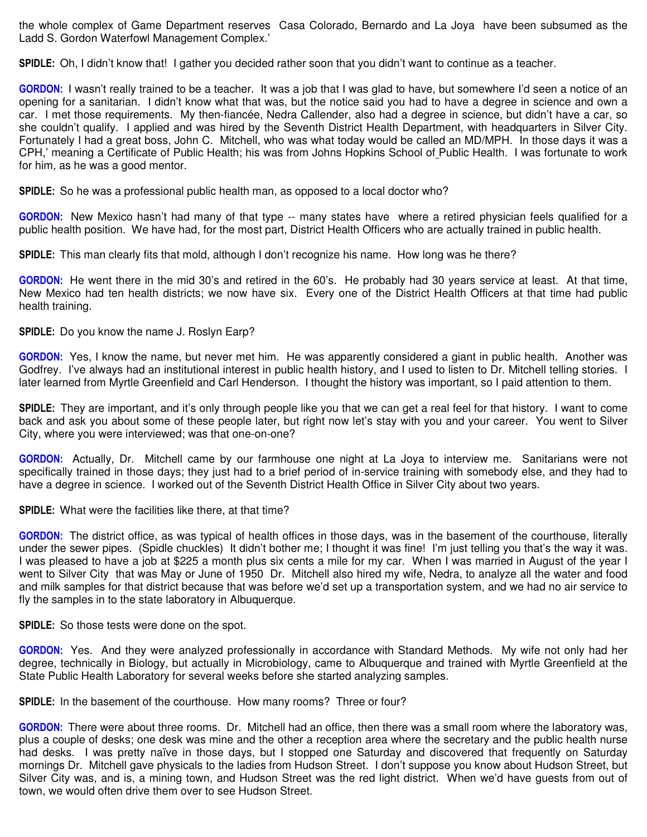the whole complex of Game Department reserves Casa Colorado, Bernardo and La Joya have been subsumed as the Ladd S. Gordon Waterfowl Management Complex.'

**SPIDLE:** Oh, I didn't know that! I gather you decided rather soon that you didn't want to continue as a teacher.

**GORDON:** I wasn't really trained to be a teacher. It was a job that I was glad to have, but somewhere I'd seen a notice of an opening for a sanitarian. I didn't know what that was, but the notice said you had to have a degree in science and own a car. I met those requirements. My then-fiancée, Nedra Callender, also had a degree in science, but didn't have a car, so she couldn't qualify. I applied and was hired by the Seventh District Health Department, with headquarters in Silver City. Fortunately I had a great boss, John C. Mitchell, who was what today would be called an MD/MPH. In those days it was a CPH,' meaning a Certificate of Public Health; his was from Johns Hopkins School of Public Health. I was fortunate to work for him, as he was a good mentor.

**SPIDLE:** So he was a professional public health man, as opposed to a local doctor who?

**GORDON:** New Mexico hasn't had many of that type -- many states have where a retired physician feels qualified for a public health position. We have had, for the most part, District Health Officers who are actually trained in public health.

**SPIDLE:** This man clearly fits that mold, although I don't recognize his name. How long was he there?

**GORDON:** He went there in the mid 30's and retired in the 60's. He probably had 30 years service at least. At that time, New Mexico had ten health districts; we now have six. Every one of the District Health Officers at that time had public health training.

**SPIDLE:** Do you know the name J. Roslyn Earp?

**GORDON:** Yes, I know the name, but never met him. He was apparently considered a giant in public health. Another was Godfrey. I've always had an institutional interest in public health history, and I used to listen to Dr. Mitchell telling stories. I later learned from Myrtle Greenfield and Carl Henderson. I thought the history was important, so I paid attention to them.

**SPIDLE:** They are important, and it's only through people like you that we can get a real feel for that history. I want to come back and ask you about some of these people later, but right now let's stay with you and your career. You went to Silver City, where you were interviewed; was that one-on-one?

**GORDON:** Actually, Dr. Mitchell came by our farmhouse one night at La Joya to interview me. Sanitarians were not specifically trained in those days; they just had to a brief period of in-service training with somebody else, and they had to have a degree in science. I worked out of the Seventh District Health Office in Silver City about two years.

**SPIDLE:** What were the facilities like there, at that time?

**GORDON:** The district office, as was typical of health offices in those days, was in the basement of the courthouse, literally under the sewer pipes. (Spidle chuckles) It didn't bother me; I thought it was fine! I'm just telling you that's the way it was. I was pleased to have a job at \$225 a month plus six cents a mile for my car. When I was married in August of the year I went to Silver City that was May or June of 1950 Dr. Mitchell also hired my wife, Nedra, to analyze all the water and food and milk samples for that district because that was before we'd set up a transportation system, and we had no air service to fly the samples in to the state laboratory in Albuquerque.

**SPIDLE:** So those tests were done on the spot.

**GORDON:** Yes. And they were analyzed professionally in accordance with Standard Methods. My wife not only had her degree, technically in Biology, but actually in Microbiology, came to Albuquerque and trained with Myrtle Greenfield at the State Public Health Laboratory for several weeks before she started analyzing samples.

**SPIDLE:** In the basement of the courthouse. How many rooms? Three or four?

**GORDON:** There were about three rooms. Dr. Mitchell had an office, then there was a small room where the laboratory was, plus a couple of desks; one desk was mine and the other a reception area where the secretary and the public health nurse had desks. I was pretty naïve in those days, but I stopped one Saturday and discovered that frequently on Saturday mornings Dr. Mitchell gave physicals to the ladies from Hudson Street. I don't suppose you know about Hudson Street, but Silver City was, and is, a mining town, and Hudson Street was the red light district. When we'd have guests from out of town, we would often drive them over to see Hudson Street.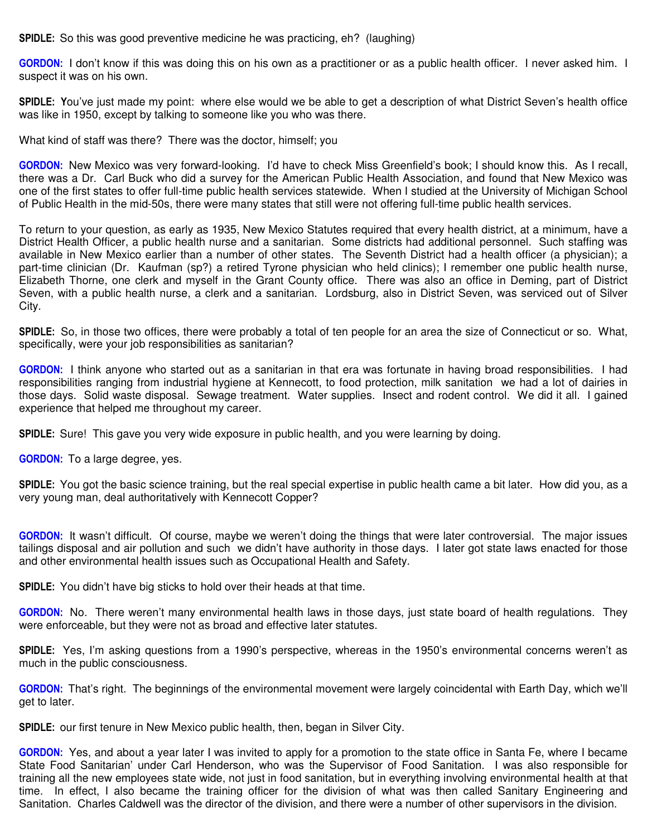**SPIDLE:** So this was good preventive medicine he was practicing, eh? (laughing)

**GORDON:** I don't know if this was doing this on his own as a practitioner or as a public health officer. I never asked him. I suspect it was on his own.

**SPIDLE: Y**ou've just made my point: where else would we be able to get a description of what District Seven's health office was like in 1950, except by talking to someone like you who was there.

What kind of staff was there? There was the doctor, himself; you

**GORDON:** New Mexico was very forward-looking. I'd have to check Miss Greenfield's book; I should know this. As I recall, there was a Dr. Carl Buck who did a survey for the American Public Health Association, and found that New Mexico was one of the first states to offer full-time public health services statewide. When I studied at the University of Michigan School of Public Health in the mid-50s, there were many states that still were not offering full-time public health services.

To return to your question, as early as 1935, New Mexico Statutes required that every health district, at a minimum, have a District Health Officer, a public health nurse and a sanitarian. Some districts had additional personnel. Such staffing was available in New Mexico earlier than a number of other states. The Seventh District had a health officer (a physician); a part-time clinician (Dr. Kaufman (sp?) a retired Tyrone physician who held clinics); I remember one public health nurse, Elizabeth Thorne, one clerk and myself in the Grant County office. There was also an office in Deming, part of District Seven, with a public health nurse, a clerk and a sanitarian. Lordsburg, also in District Seven, was serviced out of Silver City.

**SPIDLE:** So, in those two offices, there were probably a total of ten people for an area the size of Connecticut or so. What, specifically, were your job responsibilities as sanitarian?

**GORDON:** I think anyone who started out as a sanitarian in that era was fortunate in having broad responsibilities. I had responsibilities ranging from industrial hygiene at Kennecott, to food protection, milk sanitation we had a lot of dairies in those days. Solid waste disposal. Sewage treatment. Water supplies. Insect and rodent control. We did it all. I gained experience that helped me throughout my career.

**SPIDLE:** Sure! This gave you very wide exposure in public health, and you were learning by doing.

**GORDON:** To a large degree, yes.

**SPIDLE:** You got the basic science training, but the real special expertise in public health came a bit later. How did you, as a very young man, deal authoritatively with Kennecott Copper?

**GORDON:** It wasn't difficult. Of course, maybe we weren't doing the things that were later controversial. The major issues tailings disposal and air pollution and such we didn't have authority in those days. I later got state laws enacted for those and other environmental health issues such as Occupational Health and Safety.

**SPIDLE:** You didn't have big sticks to hold over their heads at that time.

**GORDON:** No. There weren't many environmental health laws in those days, just state board of health regulations. They were enforceable, but they were not as broad and effective later statutes.

**SPIDLE:** Yes, I'm asking questions from a 1990's perspective, whereas in the 1950's environmental concerns weren't as much in the public consciousness.

**GORDON:** That's right. The beginnings of the environmental movement were largely coincidental with Earth Day, which we'll get to later.

**SPIDLE:** our first tenure in New Mexico public health, then, began in Silver City.

**GORDON:** Yes, and about a year later I was invited to apply for a promotion to the state office in Santa Fe, where I became State Food Sanitarian' under Carl Henderson, who was the Supervisor of Food Sanitation. I was also responsible for training all the new employees state wide, not just in food sanitation, but in everything involving environmental health at that time. In effect, I also became the training officer for the division of what was then called Sanitary Engineering and Sanitation. Charles Caldwell was the director of the division, and there were a number of other supervisors in the division.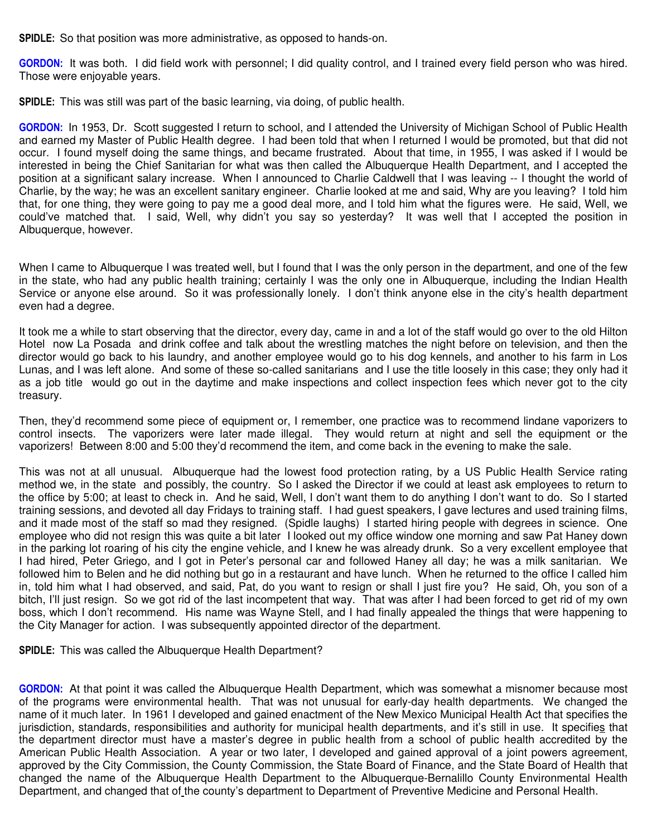**SPIDLE:** So that position was more administrative, as opposed to hands-on.

**GORDON:** It was both. I did field work with personnel; I did quality control, and I trained every field person who was hired. Those were enjoyable years.

**SPIDLE:** This was still was part of the basic learning, via doing, of public health.

**GORDON:** In 1953, Dr. Scott suggested I return to school, and I attended the University of Michigan School of Public Health and earned my Master of Public Health degree. I had been told that when I returned I would be promoted, but that did not occur. I found myself doing the same things, and became frustrated. About that time, in 1955, I was asked if I would be interested in being the Chief Sanitarian for what was then called the Albuquerque Health Department, and I accepted the position at a significant salary increase. When I announced to Charlie Caldwell that I was leaving -- I thought the world of Charlie, by the way; he was an excellent sanitary engineer. Charlie looked at me and said, Why are you leaving? I told him that, for one thing, they were going to pay me a good deal more, and I told him what the figures were. He said, Well, we could've matched that. I said, Well, why didn't you say so yesterday? It was well that I accepted the position in Albuquerque, however.

When I came to Albuquerque I was treated well, but I found that I was the only person in the department, and one of the few in the state, who had any public health training; certainly I was the only one in Albuquerque, including the Indian Health Service or anyone else around. So it was professionally lonely. I don't think anyone else in the city's health department even had a degree.

It took me a while to start observing that the director, every day, came in and a lot of the staff would go over to the old Hilton Hotel now La Posada and drink coffee and talk about the wrestling matches the night before on television, and then the director would go back to his laundry, and another employee would go to his dog kennels, and another to his farm in Los Lunas, and I was left alone. And some of these so-called sanitarians and I use the title loosely in this case; they only had it as a job title would go out in the daytime and make inspections and collect inspection fees which never got to the city treasury.

Then, they'd recommend some piece of equipment or, I remember, one practice was to recommend lindane vaporizers to control insects. The vaporizers were later made illegal. They would return at night and sell the equipment or the vaporizers! Between 8:00 and 5:00 they'd recommend the item, and come back in the evening to make the sale.

This was not at all unusual. Albuquerque had the lowest food protection rating, by a US Public Health Service rating method we, in the state and possibly, the country. So I asked the Director if we could at least ask employees to return to the office by 5:00; at least to check in. And he said, Well, I don't want them to do anything I don't want to do. So I started training sessions, and devoted all day Fridays to training staff. I had guest speakers, I gave lectures and used training films, and it made most of the staff so mad they resigned. (Spidle laughs) I started hiring people with degrees in science. One employee who did not resign this was quite a bit later I looked out my office window one morning and saw Pat Haney down in the parking lot roaring of his city the engine vehicle, and I knew he was already drunk. So a very excellent employee that I had hired, Peter Griego, and I got in Peter's personal car and followed Haney all day; he was a milk sanitarian. We followed him to Belen and he did nothing but go in a restaurant and have lunch. When he returned to the office I called him in, told him what I had observed, and said, Pat, do you want to resign or shall I just fire you? He said, Oh, you son of a bitch, I'll just resign. So we got rid of the last incompetent that way. That was after I had been forced to get rid of my own boss, which I don't recommend. His name was Wayne Stell, and I had finally appealed the things that were happening to the City Manager for action. I was subsequently appointed director of the department.

**SPIDLE:** This was called the Albuquerque Health Department?

**GORDON:** At that point it was called the Albuquerque Health Department, which was somewhat a misnomer because most of the programs were environmental health. That was not unusual for early-day health departments. We changed the name of it much later. In 1961 I developed and gained enactment of the New Mexico Municipal Health Act that specifies the jurisdiction, standards, responsibilities and authority for municipal health departments, and it's still in use. It specifies that the department director must have a master's degree in public health from a school of public health accredited by the American Public Health Association. A year or two later, I developed and gained approval of a joint powers agreement, approved by the City Commission, the County Commission, the State Board of Finance, and the State Board of Health that changed the name of the Albuquerque Health Department to the Albuquerque-Bernalillo County Environmental Health Department, and changed that of the county's department to Department of Preventive Medicine and Personal Health.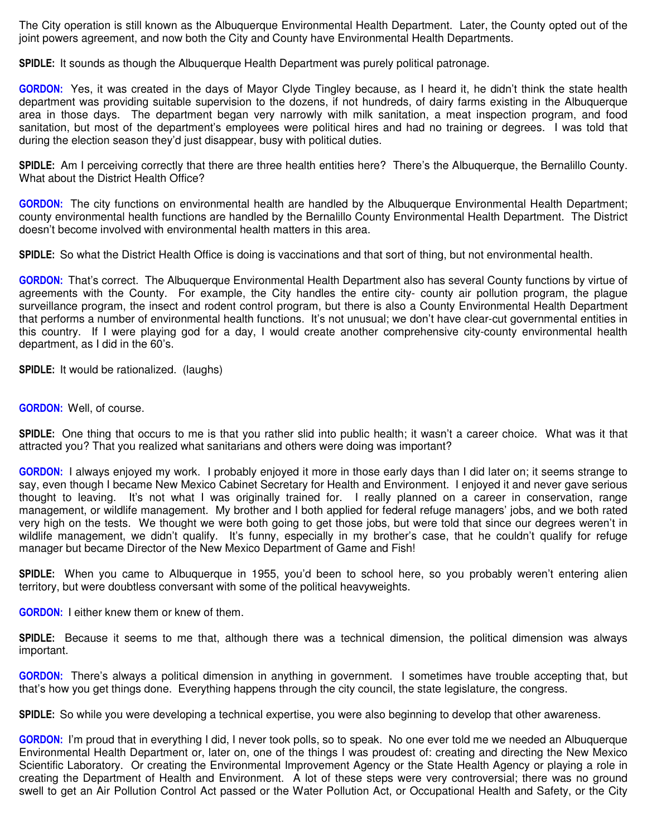The City operation is still known as the Albuquerque Environmental Health Department. Later, the County opted out of the joint powers agreement, and now both the City and County have Environmental Health Departments.

**SPIDLE:** It sounds as though the Albuquerque Health Department was purely political patronage.

**GORDON:** Yes, it was created in the days of Mayor Clyde Tingley because, as I heard it, he didn't think the state health department was providing suitable supervision to the dozens, if not hundreds, of dairy farms existing in the Albuquerque area in those days. The department began very narrowly with milk sanitation, a meat inspection program, and food sanitation, but most of the department's employees were political hires and had no training or degrees. I was told that during the election season they'd just disappear, busy with political duties.

**SPIDLE:** Am I perceiving correctly that there are three health entities here? There's the Albuquerque, the Bernalillo County. What about the District Health Office?

**GORDON:** The city functions on environmental health are handled by the Albuquerque Environmental Health Department; county environmental health functions are handled by the Bernalillo County Environmental Health Department. The District doesn't become involved with environmental health matters in this area.

**SPIDLE:** So what the District Health Office is doing is vaccinations and that sort of thing, but not environmental health.

**GORDON:** That's correct. The Albuquerque Environmental Health Department also has several County functions by virtue of agreements with the County. For example, the City handles the entire city- county air pollution program, the plague surveillance program, the insect and rodent control program, but there is also a County Environmental Health Department that performs a number of environmental health functions. It's not unusual; we don't have clear-cut governmental entities in this country. If I were playing god for a day, I would create another comprehensive city-county environmental health department, as I did in the 60's.

**SPIDLE:** It would be rationalized. (laughs)

**GORDON:** Well, of course.

**SPIDLE:** One thing that occurs to me is that you rather slid into public health; it wasn't a career choice. What was it that attracted you? That you realized what sanitarians and others were doing was important?

**GORDON:** I always enjoyed my work. I probably enjoyed it more in those early days than I did later on; it seems strange to say, even though I became New Mexico Cabinet Secretary for Health and Environment. I enjoyed it and never gave serious thought to leaving. It's not what I was originally trained for. I really planned on a career in conservation, range management, or wildlife management. My brother and I both applied for federal refuge managers' jobs, and we both rated very high on the tests. We thought we were both going to get those jobs, but were told that since our degrees weren't in wildlife management, we didn't qualify. It's funny, especially in my brother's case, that he couldn't qualify for refuge manager but became Director of the New Mexico Department of Game and Fish!

**SPIDLE:** When you came to Albuquerque in 1955, you'd been to school here, so you probably weren't entering alien territory, but were doubtless conversant with some of the political heavyweights.

**GORDON:** I either knew them or knew of them.

**SPIDLE:** Because it seems to me that, although there was a technical dimension, the political dimension was always important.

**GORDON:** There's always a political dimension in anything in government. I sometimes have trouble accepting that, but that's how you get things done. Everything happens through the city council, the state legislature, the congress.

**SPIDLE:** So while you were developing a technical expertise, you were also beginning to develop that other awareness.

**GORDON:** I'm proud that in everything I did, I never took polls, so to speak. No one ever told me we needed an Albuquerque Environmental Health Department or, later on, one of the things I was proudest of: creating and directing the New Mexico Scientific Laboratory. Or creating the Environmental Improvement Agency or the State Health Agency or playing a role in creating the Department of Health and Environment. A lot of these steps were very controversial; there was no ground swell to get an Air Pollution Control Act passed or the Water Pollution Act, or Occupational Health and Safety, or the City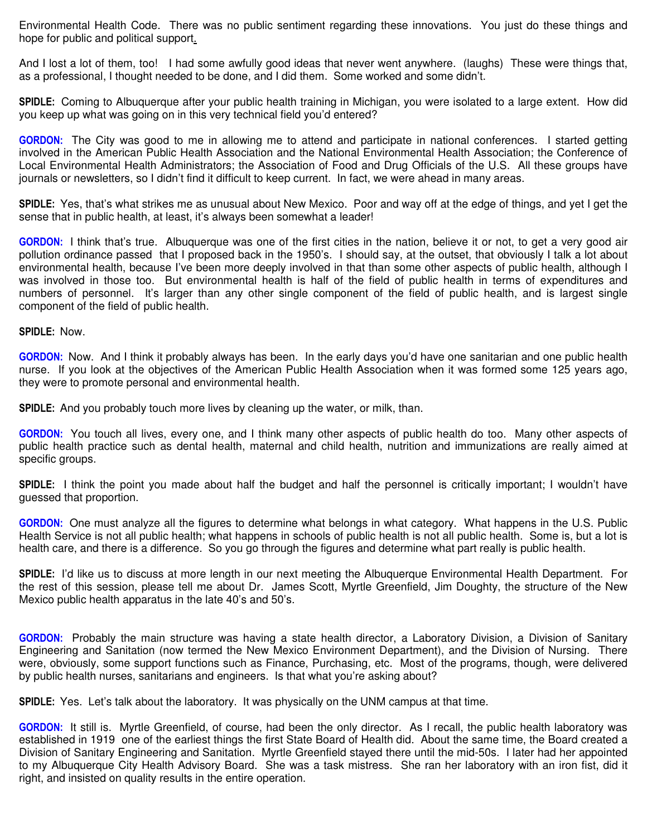Environmental Health Code. There was no public sentiment regarding these innovations. You just do these things and hope for public and political support.

And I lost a lot of them, too! I had some awfully good ideas that never went anywhere. (laughs) These were things that, as a professional, I thought needed to be done, and I did them. Some worked and some didn't.

**SPIDLE:** Coming to Albuquerque after your public health training in Michigan, you were isolated to a large extent. How did you keep up what was going on in this very technical field you'd entered?

**GORDON:** The City was good to me in allowing me to attend and participate in national conferences. I started getting involved in the American Public Health Association and the National Environmental Health Association; the Conference of Local Environmental Health Administrators; the Association of Food and Drug Officials of the U.S. All these groups have journals or newsletters, so I didn't find it difficult to keep current. In fact, we were ahead in many areas.

**SPIDLE:** Yes, that's what strikes me as unusual about New Mexico. Poor and way off at the edge of things, and yet I get the sense that in public health, at least, it's always been somewhat a leader!

**GORDON:** I think that's true. Albuquerque was one of the first cities in the nation, believe it or not, to get a very good air pollution ordinance passed that I proposed back in the 1950's. I should say, at the outset, that obviously I talk a lot about environmental health, because I've been more deeply involved in that than some other aspects of public health, although I was involved in those too. But environmental health is half of the field of public health in terms of expenditures and numbers of personnel. It's larger than any other single component of the field of public health, and is largest single component of the field of public health.

**SPIDLE:** Now.

**GORDON:** Now. And I think it probably always has been. In the early days you'd have one sanitarian and one public health nurse. If you look at the objectives of the American Public Health Association when it was formed some 125 years ago, they were to promote personal and environmental health.

**SPIDLE:** And you probably touch more lives by cleaning up the water, or milk, than.

**GORDON:** You touch all lives, every one, and I think many other aspects of public health do too. Many other aspects of public health practice such as dental health, maternal and child health, nutrition and immunizations are really aimed at specific groups.

**SPIDLE:** I think the point you made about half the budget and half the personnel is critically important; I wouldn't have guessed that proportion.

**GORDON:** One must analyze all the figures to determine what belongs in what category. What happens in the U.S. Public Health Service is not all public health; what happens in schools of public health is not all public health. Some is, but a lot is health care, and there is a difference. So you go through the figures and determine what part really is public health.

**SPIDLE:** I'd like us to discuss at more length in our next meeting the Albuquerque Environmental Health Department. For the rest of this session, please tell me about Dr. James Scott, Myrtle Greenfield, Jim Doughty, the structure of the New Mexico public health apparatus in the late 40's and 50's.

**GORDON:** Probably the main structure was having a state health director, a Laboratory Division, a Division of Sanitary Engineering and Sanitation (now termed the New Mexico Environment Department), and the Division of Nursing. There were, obviously, some support functions such as Finance, Purchasing, etc. Most of the programs, though, were delivered by public health nurses, sanitarians and engineers. Is that what you're asking about?

**SPIDLE:** Yes. Let's talk about the laboratory. It was physically on the UNM campus at that time.

**GORDON:** It still is. Myrtle Greenfield, of course, had been the only director. As I recall, the public health laboratory was established in 1919 one of the earliest things the first State Board of Health did. About the same time, the Board created a Division of Sanitary Engineering and Sanitation. Myrtle Greenfield stayed there until the mid-50s. I later had her appointed to my Albuquerque City Health Advisory Board. She was a task mistress. She ran her laboratory with an iron fist, did it right, and insisted on quality results in the entire operation.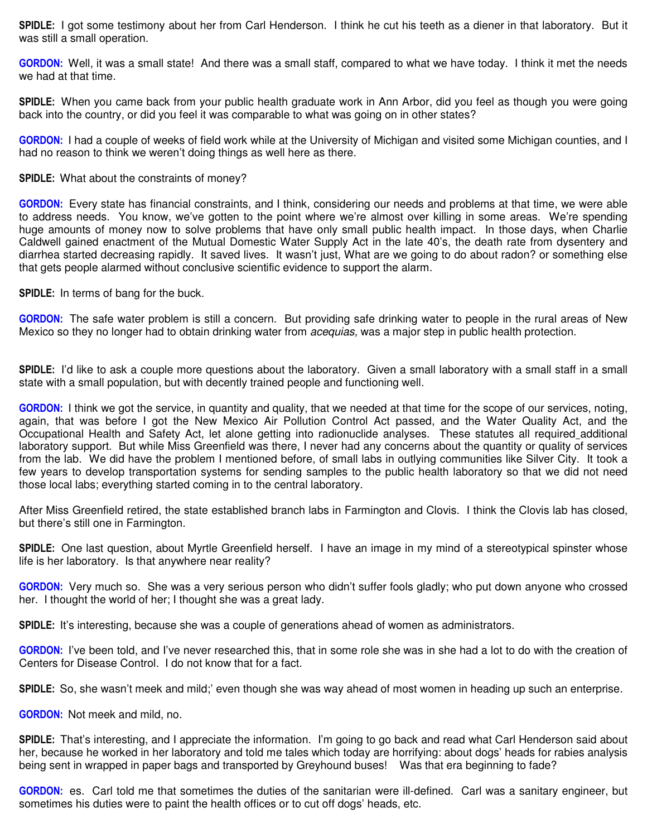**SPIDLE:** I got some testimony about her from Carl Henderson. I think he cut his teeth as a diener in that laboratory. But it was still a small operation.

**GORDON:** Well, it was a small state! And there was a small staff, compared to what we have today. I think it met the needs we had at that time.

**SPIDLE:** When you came back from your public health graduate work in Ann Arbor, did you feel as though you were going back into the country, or did you feel it was comparable to what was going on in other states?

**GORDON:** I had a couple of weeks of field work while at the University of Michigan and visited some Michigan counties, and I had no reason to think we weren't doing things as well here as there.

## **SPIDLE:** What about the constraints of money?

**GORDON:** Every state has financial constraints, and I think, considering our needs and problems at that time, we were able to address needs. You know, we've gotten to the point where we're almost over killing in some areas. We're spending huge amounts of money now to solve problems that have only small public health impact. In those days, when Charlie Caldwell gained enactment of the Mutual Domestic Water Supply Act in the late 40's, the death rate from dysentery and diarrhea started decreasing rapidly. It saved lives. It wasn't just, What are we going to do about radon? or something else that gets people alarmed without conclusive scientific evidence to support the alarm.

**SPIDLE:** In terms of bang for the buck.

**GORDON:** The safe water problem is still a concern. But providing safe drinking water to people in the rural areas of New Mexico so they no longer had to obtain drinking water from *acequias,* was a major step in public health protection.

**SPIDLE:** I'd like to ask a couple more questions about the laboratory. Given a small laboratory with a small staff in a small state with a small population, but with decently trained people and functioning well.

**GORDON:** I think we got the service, in quantity and quality, that we needed at that time for the scope of our services, noting, again, that was before I got the New Mexico Air Pollution Control Act passed, and the Water Quality Act, and the Occupational Health and Safety Act, let alone getting into radionuclide analyses. These statutes all required additional laboratory support. But while Miss Greenfield was there, I never had any concerns about the quantity or quality of services from the lab. We did have the problem I mentioned before, of small labs in outlying communities like Silver City. It took a few years to develop transportation systems for sending samples to the public health laboratory so that we did not need those local labs; everything started coming in to the central laboratory.

After Miss Greenfield retired, the state established branch labs in Farmington and Clovis. I think the Clovis lab has closed, but there's still one in Farmington.

**SPIDLE:** One last question, about Myrtle Greenfield herself. I have an image in my mind of a stereotypical spinster whose life is her laboratory. Is that anywhere near reality?

**GORDON:** Very much so. She was a very serious person who didn't suffer fools gladly; who put down anyone who crossed her. I thought the world of her; I thought she was a great lady.

**SPIDLE:** It's interesting, because she was a couple of generations ahead of women as administrators.

**GORDON:** I've been told, and I've never researched this, that in some role she was in she had a lot to do with the creation of Centers for Disease Control. I do not know that for a fact.

**SPIDLE:** So, she wasn't meek and mild;' even though she was way ahead of most women in heading up such an enterprise.

**GORDON:** Not meek and mild, no.

**SPIDLE:** That's interesting, and I appreciate the information. I'm going to go back and read what Carl Henderson said about her, because he worked in her laboratory and told me tales which today are horrifying: about dogs' heads for rabies analysis being sent in wrapped in paper bags and transported by Greyhound buses! Was that era beginning to fade?

**GORDON:** es. Carl told me that sometimes the duties of the sanitarian were ill-defined. Carl was a sanitary engineer, but sometimes his duties were to paint the health offices or to cut off dogs' heads, etc.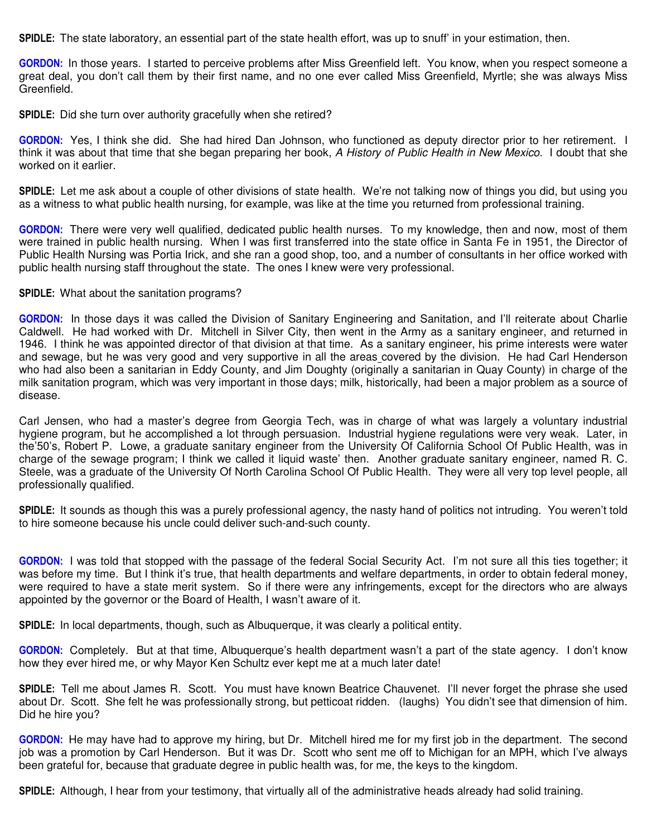**SPIDLE:** The state laboratory, an essential part of the state health effort, was up to snuff' in your estimation, then.

**GORDON:** In those years. I started to perceive problems after Miss Greenfield left. You know, when you respect someone a great deal, you don't call them by their first name, and no one ever called Miss Greenfield, Myrtle; she was always Miss Greenfield.

**SPIDLE:** Did she turn over authority gracefully when she retired?

**GORDON:** Yes, I think she did. She had hired Dan Johnson, who functioned as deputy director prior to her retirement. I think it was about that time that she began preparing her book, *A History of Public Health in New Mexico.* I doubt that she worked on it earlier.

**SPIDLE:** Let me ask about a couple of other divisions of state health. We're not talking now of things you did, but using you as a witness to what public health nursing, for example, was like at the time you returned from professional training.

**GORDON:** There were very well qualified, dedicated public health nurses. To my knowledge, then and now, most of them were trained in public health nursing. When I was first transferred into the state office in Santa Fe in 1951, the Director of Public Health Nursing was Portia Irick, and she ran a good shop, too, and a number of consultants in her office worked with public health nursing staff throughout the state. The ones I knew were very professional.

## **SPIDLE:** What about the sanitation programs?

**GORDON:** In those days it was called the Division of Sanitary Engineering and Sanitation, and I'll reiterate about Charlie Caldwell. He had worked with Dr. Mitchell in Silver City, then went in the Army as a sanitary engineer, and returned in 1946. I think he was appointed director of that division at that time. As a sanitary engineer, his prime interests were water and sewage, but he was very good and very supportive in all the areas covered by the division. He had Carl Henderson who had also been a sanitarian in Eddy County, and Jim Doughty (originally a sanitarian in Quay County) in charge of the milk sanitation program, which was very important in those days; milk, historically, had been a major problem as a source of disease.

Carl Jensen, who had a master's degree from Georgia Tech, was in charge of what was largely a voluntary industrial hygiene program, but he accomplished a lot through persuasion. Industrial hygiene regulations were very weak. Later, in the'50's, Robert P. Lowe, a graduate sanitary engineer from the University Of California School Of Public Health, was in charge of the sewage program; I think we called it liquid waste' then. Another graduate sanitary engineer, named R. C. Steele, was a graduate of the University Of North Carolina School Of Public Health. They were all very top level people, all professionally qualified.

**SPIDLE:** It sounds as though this was a purely professional agency, the nasty hand of politics not intruding. You weren't told to hire someone because his uncle could deliver such-and-such county.

**GORDON:** I was told that stopped with the passage of the federal Social Security Act. I'm not sure all this ties together; it was before my time. But I think it's true, that health departments and welfare departments, in order to obtain federal money, were required to have a state merit system. So if there were any infringements, except for the directors who are always appointed by the governor or the Board of Health, I wasn't aware of it.

**SPIDLE:** In local departments, though, such as Albuquerque, it was clearly a political entity.

**GORDON:** Completely. But at that time, Albuquerque's health department wasn't a part of the state agency. I don't know how they ever hired me, or why Mayor Ken Schultz ever kept me at a much later date!

**SPIDLE:** Tell me about James R. Scott. You must have known Beatrice Chauvenet. I'll never forget the phrase she used about Dr. Scott. She felt he was professionally strong, but petticoat ridden. (laughs) You didn't see that dimension of him. Did he hire you?

**GORDON:** He may have had to approve my hiring, but Dr. Mitchell hired me for my first job in the department. The second job was a promotion by Carl Henderson. But it was Dr. Scott who sent me off to Michigan for an MPH, which I've always been grateful for, because that graduate degree in public health was, for me, the keys to the kingdom.

**SPIDLE:** Although, I hear from your testimony, that virtually all of the administrative heads already had solid training.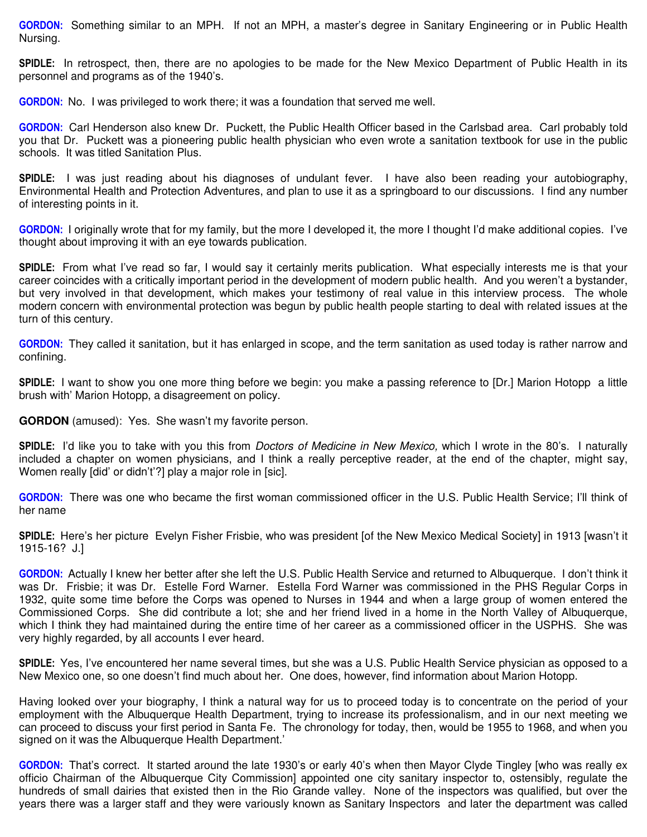**GORDON:** Something similar to an MPH. If not an MPH, a master's degree in Sanitary Engineering or in Public Health Nursing.

**SPIDLE:** In retrospect, then, there are no apologies to be made for the New Mexico Department of Public Health in its personnel and programs as of the 1940's.

**GORDON:** No. I was privileged to work there; it was a foundation that served me well.

**GORDON:** Carl Henderson also knew Dr. Puckett, the Public Health Officer based in the Carlsbad area. Carl probably told you that Dr. Puckett was a pioneering public health physician who even wrote a sanitation textbook for use in the public schools. It was titled Sanitation Plus.

**SPIDLE:** I was just reading about his diagnoses of undulant fever. I have also been reading your autobiography, Environmental Health and Protection Adventures, and plan to use it as a springboard to our discussions. I find any number of interesting points in it.

**GORDON:** I originally wrote that for my family, but the more I developed it, the more I thought I'd make additional copies. I've thought about improving it with an eye towards publication.

**SPIDLE:** From what I've read so far, I would say it certainly merits publication. What especially interests me is that your career coincides with a critically important period in the development of modern public health. And you weren't a bystander, but very involved in that development, which makes your testimony of real value in this interview process. The whole modern concern with environmental protection was begun by public health people starting to deal with related issues at the turn of this century.

**GORDON:** They called it sanitation, but it has enlarged in scope, and the term sanitation as used today is rather narrow and confining.

**SPIDLE:** I want to show you one more thing before we begin: you make a passing reference to [Dr.] Marion Hotopp a little brush with' Marion Hotopp, a disagreement on policy.

**GORDON** (amused): Yes. She wasn't my favorite person.

**SPIDLE:** I'd like you to take with you this from *Doctors of Medicine in New Mexico,* which I wrote in the 80's. I naturally included a chapter on women physicians, and I think a really perceptive reader, at the end of the chapter, might say, Women really [did' or didn't'?] play a major role in [sic].

**GORDON:** There was one who became the first woman commissioned officer in the U.S. Public Health Service; I'll think of her name

**SPIDLE:** Here's her picture Evelyn Fisher Frisbie, who was president [of the New Mexico Medical Society] in 1913 [wasn't it 1915-16? J.]

**GORDON:** Actually I knew her better after she left the U.S. Public Health Service and returned to Albuquerque. I don't think it was Dr. Frisbie; it was Dr. Estelle Ford Warner. Estella Ford Warner was commissioned in the PHS Regular Corps in 1932, quite some time before the Corps was opened to Nurses in 1944 and when a large group of women entered the Commissioned Corps. She did contribute a lot; she and her friend lived in a home in the North Valley of Albuquerque, which I think they had maintained during the entire time of her career as a commissioned officer in the USPHS. She was very highly regarded, by all accounts I ever heard.

**SPIDLE:** Yes, I've encountered her name several times, but she was a U.S. Public Health Service physician as opposed to a New Mexico one, so one doesn't find much about her. One does, however, find information about Marion Hotopp.

Having looked over your biography, I think a natural way for us to proceed today is to concentrate on the period of your employment with the Albuquerque Health Department, trying to increase its professionalism, and in our next meeting we can proceed to discuss your first period in Santa Fe. The chronology for today, then, would be 1955 to 1968, and when you signed on it was the Albuquerque Health Department.'

**GORDON:** That's correct. It started around the late 1930's or early 40's when then Mayor Clyde Tingley [who was really ex officio Chairman of the Albuquerque City Commission] appointed one city sanitary inspector to, ostensibly, regulate the hundreds of small dairies that existed then in the Rio Grande valley. None of the inspectors was qualified, but over the years there was a larger staff and they were variously known as Sanitary Inspectors and later the department was called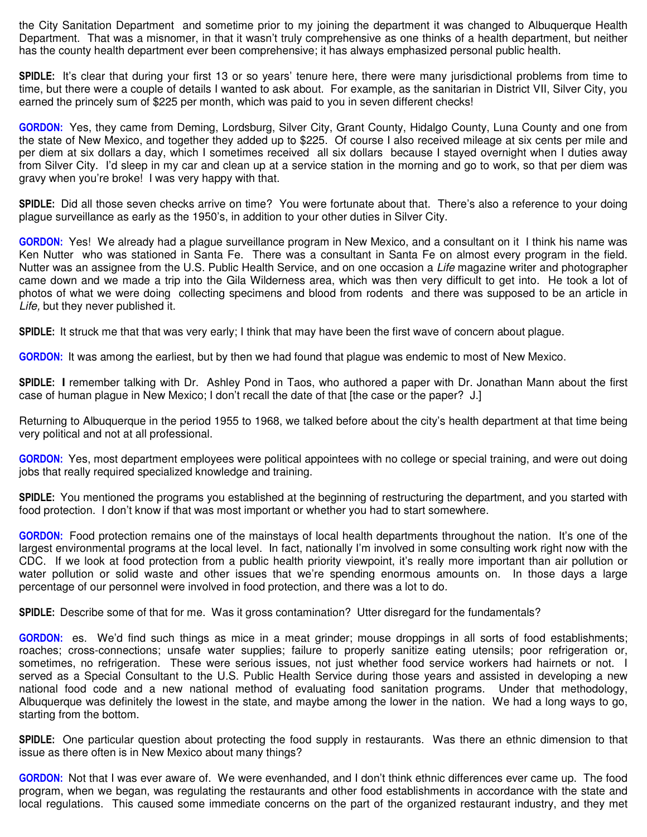the City Sanitation Department and sometime prior to my joining the department it was changed to Albuquerque Health Department. That was a misnomer, in that it wasn't truly comprehensive as one thinks of a health department, but neither has the county health department ever been comprehensive; it has always emphasized personal public health.

**SPIDLE:** It's clear that during your first 13 or so years' tenure here, there were many jurisdictional problems from time to time, but there were a couple of details I wanted to ask about. For example, as the sanitarian in District VII, Silver City, you earned the princely sum of \$225 per month, which was paid to you in seven different checks!

**GORDON:** Yes, they came from Deming, Lordsburg, Silver City, Grant County, Hidalgo County, Luna County and one from the state of New Mexico, and together they added up to \$225. Of course I also received mileage at six cents per mile and per diem at six dollars a day, which I sometimes received all six dollars because I stayed overnight when I duties away from Silver City. I'd sleep in my car and clean up at a service station in the morning and go to work, so that per diem was gravy when you're broke! I was very happy with that.

**SPIDLE:** Did all those seven checks arrive on time? You were fortunate about that. There's also a reference to your doing plague surveillance as early as the 1950's, in addition to your other duties in Silver City.

**GORDON:** Yes! We already had a plague surveillance program in New Mexico, and a consultant on it I think his name was Ken Nutter who was stationed in Santa Fe. There was a consultant in Santa Fe on almost every program in the field. Nutter was an assignee from the U.S. Public Health Service, and on one occasion a *Life* magazine writer and photographer came down and we made a trip into the Gila Wilderness area, which was then very difficult to get into. He took a lot of photos of what we were doing collecting specimens and blood from rodents and there was supposed to be an article in *Life,* but they never published it.

**SPIDLE:** It struck me that that was very early; I think that may have been the first wave of concern about plague.

**GORDON:** It was among the earliest, but by then we had found that plague was endemic to most of New Mexico.

**SPIDLE: I** remember talking with Dr. Ashley Pond in Taos, who authored a paper with Dr. Jonathan Mann about the first case of human plague in New Mexico; I don't recall the date of that [the case or the paper? J.]

Returning to Albuquerque in the period 1955 to 1968, we talked before about the city's health department at that time being very political and not at all professional.

**GORDON:** Yes, most department employees were political appointees with no college or special training, and were out doing jobs that really required specialized knowledge and training.

**SPIDLE:** You mentioned the programs you established at the beginning of restructuring the department, and you started with food protection. I don't know if that was most important or whether you had to start somewhere.

**GORDON:** Food protection remains one of the mainstays of local health departments throughout the nation. It's one of the largest environmental programs at the local level. In fact, nationally I'm involved in some consulting work right now with the CDC. If we look at food protection from a public health priority viewpoint, it's really more important than air pollution or water pollution or solid waste and other issues that we're spending enormous amounts on. In those days a large percentage of our personnel were involved in food protection, and there was a lot to do.

**SPIDLE:** Describe some of that for me. Was it gross contamination? Utter disregard for the fundamentals?

**GORDON:** es. We'd find such things as mice in a meat grinder; mouse droppings in all sorts of food establishments; roaches; cross-connections; unsafe water supplies; failure to properly sanitize eating utensils; poor refrigeration or, sometimes, no refrigeration. These were serious issues, not just whether food service workers had hairnets or not. I served as a Special Consultant to the U.S. Public Health Service during those years and assisted in developing a new national food code and a new national method of evaluating food sanitation programs. Under that methodology, Albuquerque was definitely the lowest in the state, and maybe among the lower in the nation. We had a long ways to go, starting from the bottom.

**SPIDLE:** One particular question about protecting the food supply in restaurants. Was there an ethnic dimension to that issue as there often is in New Mexico about many things?

**GORDON:** Not that I was ever aware of. We were evenhanded, and I don't think ethnic differences ever came up. The food program, when we began, was regulating the restaurants and other food establishments in accordance with the state and local regulations. This caused some immediate concerns on the part of the organized restaurant industry, and they met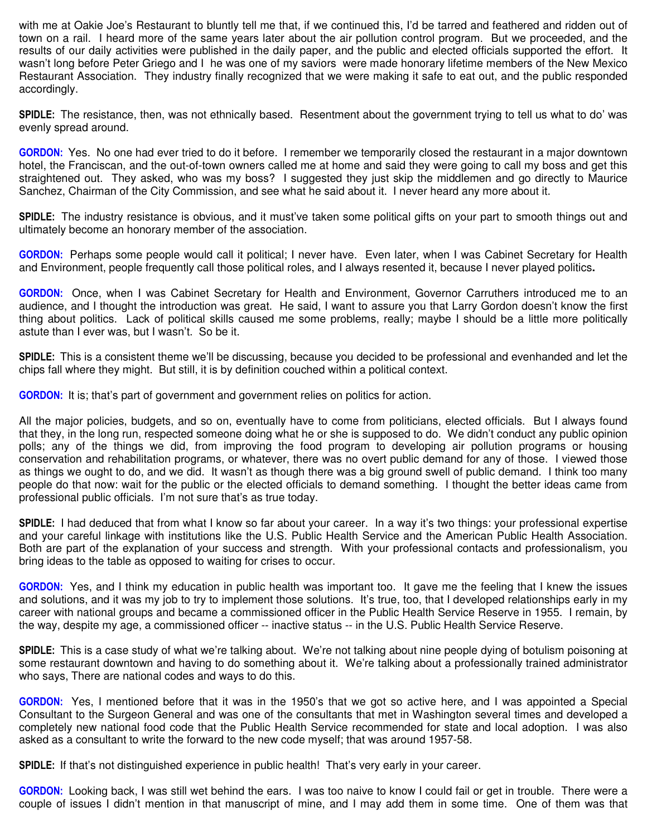with me at Oakie Joe's Restaurant to bluntly tell me that, if we continued this, I'd be tarred and feathered and ridden out of town on a rail. I heard more of the same years later about the air pollution control program. But we proceeded, and the results of our daily activities were published in the daily paper, and the public and elected officials supported the effort. It wasn't long before Peter Griego and I he was one of my saviors were made honorary lifetime members of the New Mexico Restaurant Association. They industry finally recognized that we were making it safe to eat out, and the public responded accordingly.

**SPIDLE:** The resistance, then, was not ethnically based. Resentment about the government trying to tell us what to do' was evenly spread around.

**GORDON:** Yes. No one had ever tried to do it before. I remember we temporarily closed the restaurant in a major downtown hotel, the Franciscan, and the out-of-town owners called me at home and said they were going to call my boss and get this straightened out. They asked, who was my boss? I suggested they just skip the middlemen and go directly to Maurice Sanchez, Chairman of the City Commission, and see what he said about it. I never heard any more about it.

**SPIDLE:** The industry resistance is obvious, and it must've taken some political gifts on your part to smooth things out and ultimately become an honorary member of the association.

**GORDON:** Perhaps some people would call it political; I never have. Even later, when I was Cabinet Secretary for Health and Environment, people frequently call those political roles, and I always resented it, because I never played politics**.** 

**GORDON:** Once, when I was Cabinet Secretary for Health and Environment, Governor Carruthers introduced me to an audience, and I thought the introduction was great. He said, I want to assure you that Larry Gordon doesn't know the first thing about politics. Lack of political skills caused me some problems, really; maybe I should be a little more politically astute than I ever was, but I wasn't. So be it.

**SPIDLE:** This is a consistent theme we'll be discussing, because you decided to be professional and evenhanded and let the chips fall where they might. But still, it is by definition couched within a political context.

**GORDON:** It is; that's part of government and government relies on politics for action.

All the major policies, budgets, and so on, eventually have to come from politicians, elected officials. But I always found that they, in the long run, respected someone doing what he or she is supposed to do. We didn't conduct any public opinion polls; any of the things we did, from improving the food program to developing air pollution programs or housing conservation and rehabilitation programs, or whatever, there was no overt public demand for any of those. I viewed those as things we ought to do, and we did. It wasn't as though there was a big ground swell of public demand. I think too many people do that now: wait for the public or the elected officials to demand something. I thought the better ideas came from professional public officials. I'm not sure that's as true today.

**SPIDLE:** I had deduced that from what I know so far about your career. In a way it's two things: your professional expertise and your careful linkage with institutions like the U.S. Public Health Service and the American Public Health Association. Both are part of the explanation of your success and strength. With your professional contacts and professionalism, you bring ideas to the table as opposed to waiting for crises to occur.

**GORDON:** Yes, and I think my education in public health was important too. It gave me the feeling that I knew the issues and solutions, and it was my job to try to implement those solutions. It's true, too, that I developed relationships early in my career with national groups and became a commissioned officer in the Public Health Service Reserve in 1955. I remain, by the way, despite my age, a commissioned officer -- inactive status -- in the U.S. Public Health Service Reserve.

**SPIDLE:** This is a case study of what we're talking about. We're not talking about nine people dying of botulism poisoning at some restaurant downtown and having to do something about it. We're talking about a professionally trained administrator who says, There are national codes and ways to do this.

**GORDON:** Yes, I mentioned before that it was in the 1950's that we got so active here, and I was appointed a Special Consultant to the Surgeon General and was one of the consultants that met in Washington several times and developed a completely new national food code that the Public Health Service recommended for state and local adoption. I was also asked as a consultant to write the forward to the new code myself; that was around 1957-58.

**SPIDLE:** If that's not distinguished experience in public health! That's very early in your career.

**GORDON:** Looking back, I was still wet behind the ears. I was too naive to know I could fail or get in trouble. There were a couple of issues I didn't mention in that manuscript of mine, and I may add them in some time. One of them was that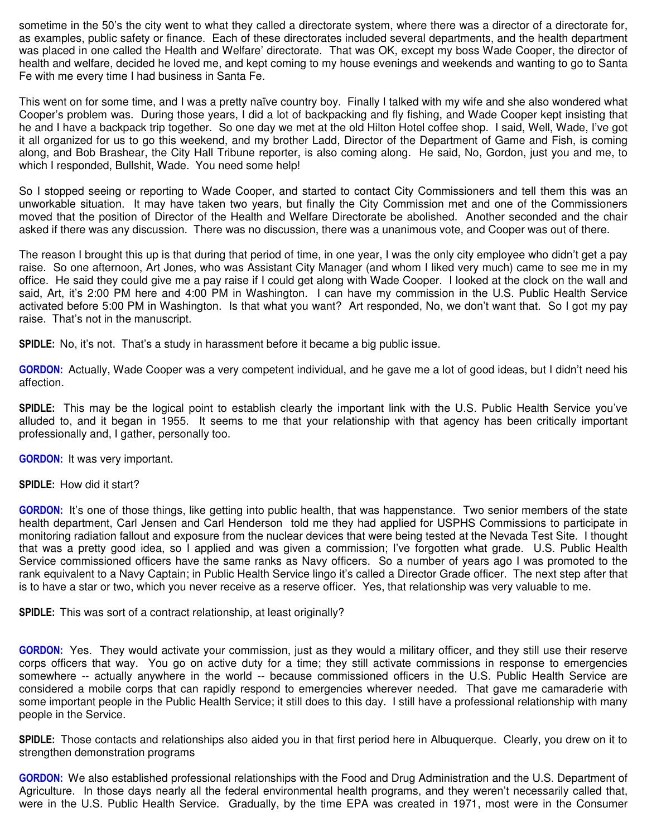sometime in the 50's the city went to what they called a directorate system, where there was a director of a directorate for, as examples, public safety or finance. Each of these directorates included several departments, and the health department was placed in one called the Health and Welfare' directorate. That was OK, except my boss Wade Cooper, the director of health and welfare, decided he loved me, and kept coming to my house evenings and weekends and wanting to go to Santa Fe with me every time I had business in Santa Fe.

This went on for some time, and I was a pretty naïve country boy. Finally I talked with my wife and she also wondered what Cooper's problem was. During those years, I did a lot of backpacking and fly fishing, and Wade Cooper kept insisting that he and I have a backpack trip together. So one day we met at the old Hilton Hotel coffee shop. I said, Well, Wade, I've got it all organized for us to go this weekend, and my brother Ladd, Director of the Department of Game and Fish, is coming along, and Bob Brashear, the City Hall Tribune reporter, is also coming along. He said, No, Gordon, just you and me, to which I responded, Bullshit, Wade. You need some help!

So I stopped seeing or reporting to Wade Cooper, and started to contact City Commissioners and tell them this was an unworkable situation. It may have taken two years, but finally the City Commission met and one of the Commissioners moved that the position of Director of the Health and Welfare Directorate be abolished. Another seconded and the chair asked if there was any discussion. There was no discussion, there was a unanimous vote, and Cooper was out of there.

The reason I brought this up is that during that period of time, in one year, I was the only city employee who didn't get a pay raise. So one afternoon, Art Jones, who was Assistant City Manager (and whom I liked very much) came to see me in my office. He said they could give me a pay raise if I could get along with Wade Cooper. I looked at the clock on the wall and said, Art, it's 2:00 PM here and 4:00 PM in Washington. I can have my commission in the U.S. Public Health Service activated before 5:00 PM in Washington. Is that what you want? Art responded, No, we don't want that. So I got my pay raise. That's not in the manuscript.

**SPIDLE:** No, it's not. That's a study in harassment before it became a big public issue.

**GORDON:** Actually, Wade Cooper was a very competent individual, and he gave me a lot of good ideas, but I didn't need his affection.

**SPIDLE:** This may be the logical point to establish clearly the important link with the U.S. Public Health Service you've alluded to, and it began in 1955. It seems to me that your relationship with that agency has been critically important professionally and, I gather, personally too.

**GORDON:** It was very important.

**SPIDLE:** How did it start?

**GORDON:** It's one of those things, like getting into public health, that was happenstance. Two senior members of the state health department, Carl Jensen and Carl Henderson told me they had applied for USPHS Commissions to participate in monitoring radiation fallout and exposure from the nuclear devices that were being tested at the Nevada Test Site. I thought that was a pretty good idea, so I applied and was given a commission; I've forgotten what grade. U.S. Public Health Service commissioned officers have the same ranks as Navy officers. So a number of years ago I was promoted to the rank equivalent to a Navy Captain; in Public Health Service lingo it's called a Director Grade officer. The next step after that is to have a star or two, which you never receive as a reserve officer. Yes, that relationship was very valuable to me.

**SPIDLE:** This was sort of a contract relationship, at least originally?

**GORDON:** Yes. They would activate your commission, just as they would a military officer, and they still use their reserve corps officers that way. You go on active duty for a time; they still activate commissions in response to emergencies somewhere -- actually anywhere in the world -- because commissioned officers in the U.S. Public Health Service are considered a mobile corps that can rapidly respond to emergencies wherever needed. That gave me camaraderie with some important people in the Public Health Service; it still does to this day. I still have a professional relationship with many people in the Service.

**SPIDLE:** Those contacts and relationships also aided you in that first period here in Albuquerque. Clearly, you drew on it to strengthen demonstration programs

**GORDON:** We also established professional relationships with the Food and Drug Administration and the U.S. Department of Agriculture. In those days nearly all the federal environmental health programs, and they weren't necessarily called that, were in the U.S. Public Health Service. Gradually, by the time EPA was created in 1971, most were in the Consumer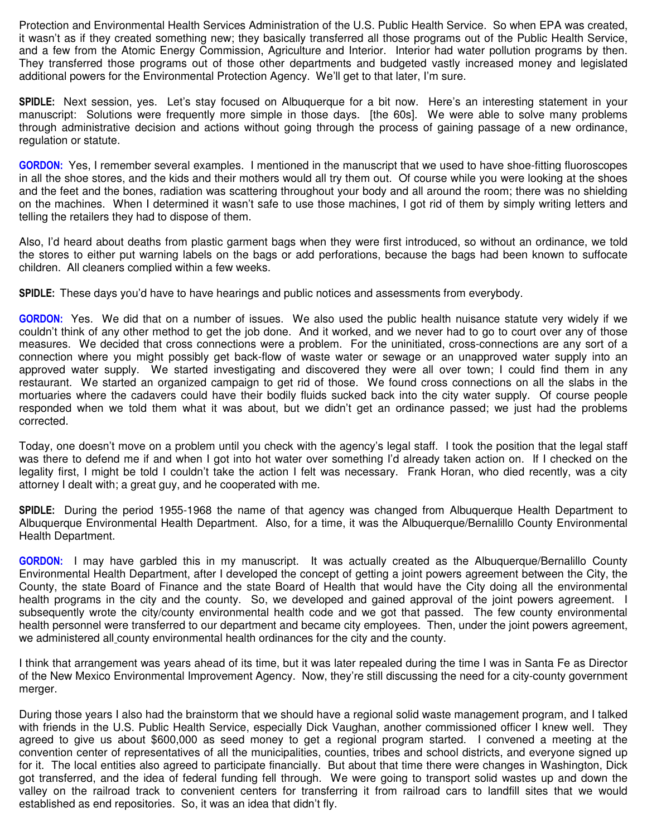Protection and Environmental Health Services Administration of the U.S. Public Health Service. So when EPA was created, it wasn't as if they created something new; they basically transferred all those programs out of the Public Health Service, and a few from the Atomic Energy Commission, Agriculture and Interior. Interior had water pollution programs by then. They transferred those programs out of those other departments and budgeted vastly increased money and legislated additional powers for the Environmental Protection Agency. We'll get to that later, I'm sure.

**SPIDLE:** Next session, yes. Let's stay focused on Albuquerque for a bit now. Here's an interesting statement in your manuscript: Solutions were frequently more simple in those days. [the 60s]. We were able to solve many problems through administrative decision and actions without going through the process of gaining passage of a new ordinance, regulation or statute.

**GORDON:** Yes, I remember several examples. I mentioned in the manuscript that we used to have shoe-fitting fluoroscopes in all the shoe stores, and the kids and their mothers would all try them out. Of course while you were looking at the shoes and the feet and the bones, radiation was scattering throughout your body and all around the room; there was no shielding on the machines. When I determined it wasn't safe to use those machines, I got rid of them by simply writing letters and telling the retailers they had to dispose of them.

Also, I'd heard about deaths from plastic garment bags when they were first introduced, so without an ordinance, we told the stores to either put warning labels on the bags or add perforations, because the bags had been known to suffocate children. All cleaners complied within a few weeks.

**SPIDLE:** These days you'd have to have hearings and public notices and assessments from everybody.

**GORDON:** Yes. We did that on a number of issues. We also used the public health nuisance statute very widely if we couldn't think of any other method to get the job done. And it worked, and we never had to go to court over any of those measures. We decided that cross connections were a problem. For the uninitiated, cross-connections are any sort of a connection where you might possibly get back-flow of waste water or sewage or an unapproved water supply into an approved water supply. We started investigating and discovered they were all over town; I could find them in any restaurant. We started an organized campaign to get rid of those. We found cross connections on all the slabs in the mortuaries where the cadavers could have their bodily fluids sucked back into the city water supply. Of course people responded when we told them what it was about, but we didn't get an ordinance passed; we just had the problems corrected.

Today, one doesn't move on a problem until you check with the agency's legal staff. I took the position that the legal staff was there to defend me if and when I got into hot water over something I'd already taken action on. If I checked on the legality first, I might be told I couldn't take the action I felt was necessary. Frank Horan, who died recently, was a city attorney I dealt with; a great guy, and he cooperated with me.

**SPIDLE:** During the period 1955-1968 the name of that agency was changed from Albuquerque Health Department to Albuquerque Environmental Health Department. Also, for a time, it was the Albuquerque/Bernalillo County Environmental Health Department.

**GORDON:** I may have garbled this in my manuscript. It was actually created as the Albuquerque/Bernalillo County Environmental Health Department, after I developed the concept of getting a joint powers agreement between the City, the County, the state Board of Finance and the state Board of Health that would have the City doing all the environmental health programs in the city and the county. So, we developed and gained approval of the joint powers agreement. I subsequently wrote the city/county environmental health code and we got that passed. The few county environmental health personnel were transferred to our department and became city employees. Then, under the joint powers agreement, we administered all county environmental health ordinances for the city and the county.

I think that arrangement was years ahead of its time, but it was later repealed during the time I was in Santa Fe as Director of the New Mexico Environmental Improvement Agency. Now, they're still discussing the need for a city-county government merger.

During those years I also had the brainstorm that we should have a regional solid waste management program, and I talked with friends in the U.S. Public Health Service, especially Dick Vaughan, another commissioned officer I knew well. They agreed to give us about \$600,000 as seed money to get a regional program started. I convened a meeting at the convention center of representatives of all the municipalities, counties, tribes and school districts, and everyone signed up for it. The local entities also agreed to participate financially. But about that time there were changes in Washington, Dick got transferred, and the idea of federal funding fell through. We were going to transport solid wastes up and down the valley on the railroad track to convenient centers for transferring it from railroad cars to landfill sites that we would established as end repositories. So, it was an idea that didn't fly.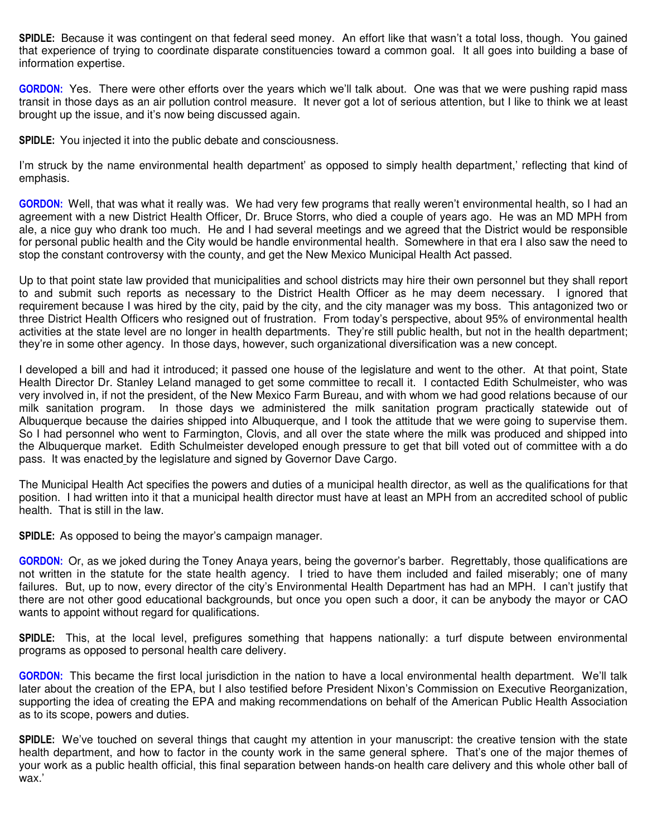**SPIDLE:** Because it was contingent on that federal seed money. An effort like that wasn't a total loss, though. You gained that experience of trying to coordinate disparate constituencies toward a common goal. It all goes into building a base of information expertise.

**GORDON:** Yes. There were other efforts over the years which we'll talk about. One was that we were pushing rapid mass transit in those days as an air pollution control measure. It never got a lot of serious attention, but I like to think we at least brought up the issue, and it's now being discussed again.

**SPIDLE:** You injected it into the public debate and consciousness.

I'm struck by the name environmental health department' as opposed to simply health department,' reflecting that kind of emphasis.

**GORDON:** Well, that was what it really was. We had very few programs that really weren't environmental health, so I had an agreement with a new District Health Officer, Dr. Bruce Storrs, who died a couple of years ago. He was an MD MPH from ale, a nice guy who drank too much. He and I had several meetings and we agreed that the District would be responsible for personal public health and the City would be handle environmental health. Somewhere in that era I also saw the need to stop the constant controversy with the county, and get the New Mexico Municipal Health Act passed.

Up to that point state law provided that municipalities and school districts may hire their own personnel but they shall report to and submit such reports as necessary to the District Health Officer as he may deem necessary. I ignored that requirement because I was hired by the city, paid by the city, and the city manager was my boss. This antagonized two or three District Health Officers who resigned out of frustration. From today's perspective, about 95% of environmental health activities at the state level are no longer in health departments. They're still public health, but not in the health department; they're in some other agency. In those days, however, such organizational diversification was a new concept.

I developed a bill and had it introduced; it passed one house of the legislature and went to the other. At that point, State Health Director Dr. Stanley Leland managed to get some committee to recall it. I contacted Edith Schulmeister, who was very involved in, if not the president, of the New Mexico Farm Bureau, and with whom we had good relations because of our milk sanitation program. In those days we administered the milk sanitation program practically statewide out of Albuquerque because the dairies shipped into Albuquerque, and I took the attitude that we were going to supervise them. So I had personnel who went to Farmington, Clovis, and all over the state where the milk was produced and shipped into the Albuquerque market. Edith Schulmeister developed enough pressure to get that bill voted out of committee with a do pass. It was enacted by the legislature and signed by Governor Dave Cargo.

The Municipal Health Act specifies the powers and duties of a municipal health director, as well as the qualifications for that position. I had written into it that a municipal health director must have at least an MPH from an accredited school of public health. That is still in the law.

**SPIDLE:** As opposed to being the mayor's campaign manager.

**GORDON:** Or, as we joked during the Toney Anaya years, being the governor's barber. Regrettably, those qualifications are not written in the statute for the state health agency. I tried to have them included and failed miserably; one of many failures. But, up to now, every director of the city's Environmental Health Department has had an MPH. I can't justify that there are not other good educational backgrounds, but once you open such a door, it can be anybody the mayor or CAO wants to appoint without regard for qualifications.

**SPIDLE:** This, at the local level, prefigures something that happens nationally: a turf dispute between environmental programs as opposed to personal health care delivery.

**GORDON:** This became the first local jurisdiction in the nation to have a local environmental health department. We'll talk later about the creation of the EPA, but I also testified before President Nixon's Commission on Executive Reorganization, supporting the idea of creating the EPA and making recommendations on behalf of the American Public Health Association as to its scope, powers and duties.

**SPIDLE:** We've touched on several things that caught my attention in your manuscript: the creative tension with the state health department, and how to factor in the county work in the same general sphere. That's one of the major themes of your work as a public health official, this final separation between hands-on health care delivery and this whole other ball of wax.'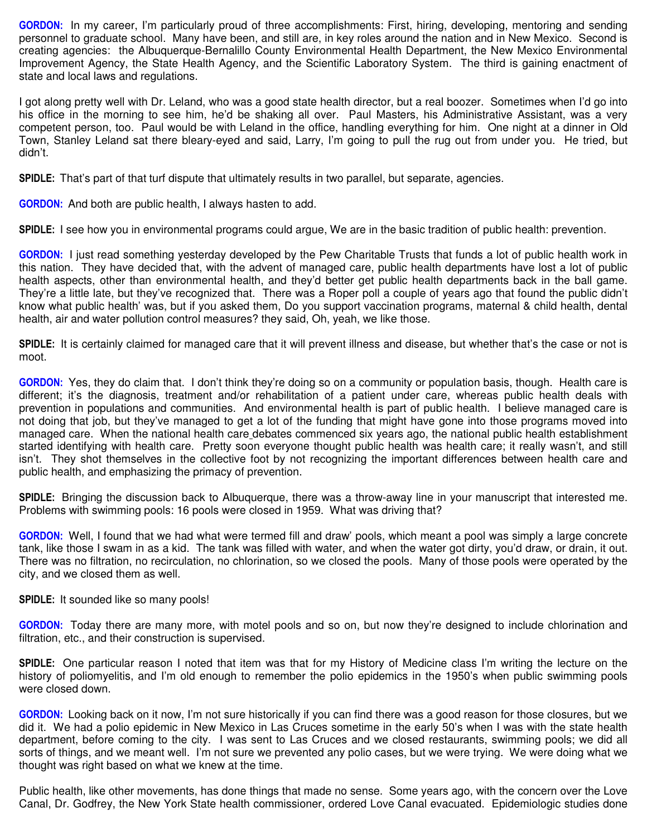**GORDON:** In my career, I'm particularly proud of three accomplishments: First, hiring, developing, mentoring and sending personnel to graduate school. Many have been, and still are, in key roles around the nation and in New Mexico. Second is creating agencies: the Albuquerque-Bernalillo County Environmental Health Department, the New Mexico Environmental Improvement Agency, the State Health Agency, and the Scientific Laboratory System. The third is gaining enactment of state and local laws and regulations.

I got along pretty well with Dr. Leland, who was a good state health director, but a real boozer. Sometimes when I'd go into his office in the morning to see him, he'd be shaking all over. Paul Masters, his Administrative Assistant, was a very competent person, too. Paul would be with Leland in the office, handling everything for him. One night at a dinner in Old Town, Stanley Leland sat there bleary-eyed and said, Larry, I'm going to pull the rug out from under you. He tried, but didn't.

**SPIDLE:** That's part of that turf dispute that ultimately results in two parallel, but separate, agencies.

**GORDON:** And both are public health, I always hasten to add.

**SPIDLE:** I see how you in environmental programs could argue, We are in the basic tradition of public health: prevention.

**GORDON:** I just read something yesterday developed by the Pew Charitable Trusts that funds a lot of public health work in this nation. They have decided that, with the advent of managed care, public health departments have lost a lot of public health aspects, other than environmental health, and they'd better get public health departments back in the ball game. They're a little late, but they've recognized that. There was a Roper poll a couple of years ago that found the public didn't know what public health' was, but if you asked them, Do you support vaccination programs, maternal & child health, dental health, air and water pollution control measures? they said, Oh, yeah, we like those.

**SPIDLE:** It is certainly claimed for managed care that it will prevent illness and disease, but whether that's the case or not is moot.

**GORDON:** Yes, they do claim that. I don't think they're doing so on a community or population basis, though. Health care is different; it's the diagnosis, treatment and/or rehabilitation of a patient under care, whereas public health deals with prevention in populations and communities. And environmental health is part of public health. I believe managed care is not doing that job, but they've managed to get a lot of the funding that might have gone into those programs moved into managed care. When the national health care debates commenced six years ago, the national public health establishment started identifying with health care. Pretty soon everyone thought public health was health care; it really wasn't, and still isn't. They shot themselves in the collective foot by not recognizing the important differences between health care and public health, and emphasizing the primacy of prevention.

**SPIDLE:** Bringing the discussion back to Albuquerque, there was a throw-away line in your manuscript that interested me. Problems with swimming pools: 16 pools were closed in 1959. What was driving that?

**GORDON:** Well, I found that we had what were termed fill and draw' pools, which meant a pool was simply a large concrete tank, like those I swam in as a kid. The tank was filled with water, and when the water got dirty, you'd draw, or drain, it out. There was no filtration, no recirculation, no chlorination, so we closed the pools. Many of those pools were operated by the city, and we closed them as well.

**SPIDLE:** It sounded like so many pools!

**GORDON:** Today there are many more, with motel pools and so on, but now they're designed to include chlorination and filtration, etc., and their construction is supervised.

**SPIDLE:** One particular reason I noted that item was that for my History of Medicine class I'm writing the lecture on the history of poliomyelitis, and I'm old enough to remember the polio epidemics in the 1950's when public swimming pools were closed down.

**GORDON:** Looking back on it now, I'm not sure historically if you can find there was a good reason for those closures, but we did it. We had a polio epidemic in New Mexico in Las Cruces sometime in the early 50's when I was with the state health department, before coming to the city. I was sent to Las Cruces and we closed restaurants, swimming pools; we did all sorts of things, and we meant well. I'm not sure we prevented any polio cases, but we were trying. We were doing what we thought was right based on what we knew at the time.

Public health, like other movements, has done things that made no sense. Some years ago, with the concern over the Love Canal, Dr. Godfrey, the New York State health commissioner, ordered Love Canal evacuated. Epidemiologic studies done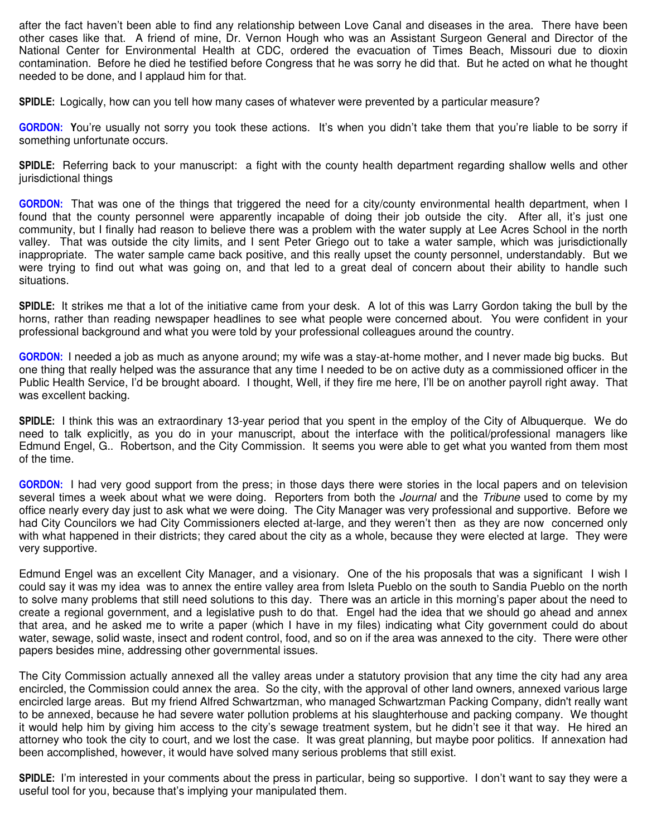after the fact haven't been able to find any relationship between Love Canal and diseases in the area. There have been other cases like that. A friend of mine, Dr. Vernon Hough who was an Assistant Surgeon General and Director of the National Center for Environmental Health at CDC, ordered the evacuation of Times Beach, Missouri due to dioxin contamination. Before he died he testified before Congress that he was sorry he did that. But he acted on what he thought needed to be done, and I applaud him for that.

**SPIDLE:** Logically, how can you tell how many cases of whatever were prevented by a particular measure?

**GORDON: Y**ou're usually not sorry you took these actions. It's when you didn't take them that you're liable to be sorry if something unfortunate occurs.

**SPIDLE:** Referring back to your manuscript: a fight with the county health department regarding shallow wells and other jurisdictional things

**GORDON:** That was one of the things that triggered the need for a city/county environmental health department, when I found that the county personnel were apparently incapable of doing their job outside the city. After all, it's just one community, but I finally had reason to believe there was a problem with the water supply at Lee Acres School in the north valley. That was outside the city limits, and I sent Peter Griego out to take a water sample, which was jurisdictionally inappropriate. The water sample came back positive, and this really upset the county personnel, understandably. But we were trying to find out what was going on, and that led to a great deal of concern about their ability to handle such situations.

**SPIDLE:** It strikes me that a lot of the initiative came from your desk. A lot of this was Larry Gordon taking the bull by the horns, rather than reading newspaper headlines to see what people were concerned about. You were confident in your professional background and what you were told by your professional colleagues around the country.

**GORDON:** I needed a job as much as anyone around; my wife was a stay-at-home mother, and I never made big bucks. But one thing that really helped was the assurance that any time I needed to be on active duty as a commissioned officer in the Public Health Service, I'd be brought aboard. I thought, Well, if they fire me here, I'll be on another payroll right away. That was excellent backing.

**SPIDLE:** I think this was an extraordinary 13-year period that you spent in the employ of the City of Albuquerque. We do need to talk explicitly, as you do in your manuscript, about the interface with the political/professional managers like Edmund Engel, G.. Robertson, and the City Commission. It seems you were able to get what you wanted from them most of the time.

**GORDON:** I had very good support from the press; in those days there were stories in the local papers and on television several times a week about what we were doing. Reporters from both the *Journal* and the *Tribune* used to come by my office nearly every day just to ask what we were doing. The City Manager was very professional and supportive. Before we had City Councilors we had City Commissioners elected at-large, and they weren't then as they are now concerned only with what happened in their districts; they cared about the city as a whole, because they were elected at large. They were very supportive.

Edmund Engel was an excellent City Manager, and a visionary. One of the his proposals that was a significant I wish I could say it was my idea was to annex the entire valley area from Isleta Pueblo on the south to Sandia Pueblo on the north to solve many problems that still need solutions to this day. There was an article in this morning's paper about the need to create a regional government, and a legislative push to do that. Engel had the idea that we should go ahead and annex that area, and he asked me to write a paper (which I have in my files) indicating what City government could do about water, sewage, solid waste, insect and rodent control, food, and so on if the area was annexed to the city. There were other papers besides mine, addressing other governmental issues.

The City Commission actually annexed all the valley areas under a statutory provision that any time the city had any area encircled, the Commission could annex the area. So the city, with the approval of other land owners, annexed various large encircled large areas. But my friend Alfred Schwartzman, who managed Schwartzman Packing Company, didn't really want to be annexed, because he had severe water pollution problems at his slaughterhouse and packing company. We thought it would help him by giving him access to the city's sewage treatment system, but he didn't see it that way. He hired an attorney who took the city to court, and we lost the case. It was great planning, but maybe poor politics. If annexation had been accomplished, however, it would have solved many serious problems that still exist.

**SPIDLE:** I'm interested in your comments about the press in particular, being so supportive. I don't want to say they were a useful tool for you, because that's implying your manipulated them.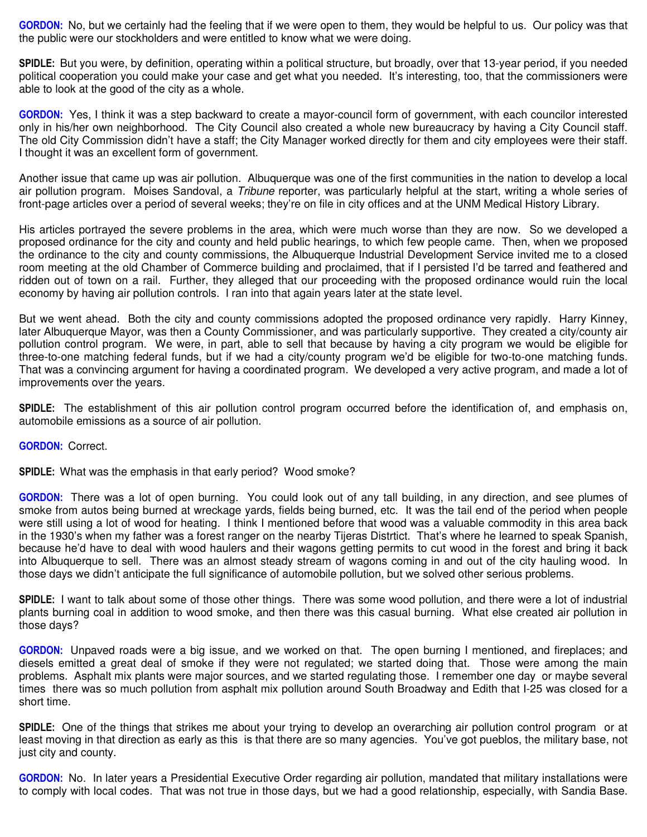**GORDON:** No, but we certainly had the feeling that if we were open to them, they would be helpful to us. Our policy was that the public were our stockholders and were entitled to know what we were doing.

**SPIDLE:** But you were, by definition, operating within a political structure, but broadly, over that 13-year period, if you needed political cooperation you could make your case and get what you needed. It's interesting, too, that the commissioners were able to look at the good of the city as a whole.

**GORDON:** Yes, I think it was a step backward to create a mayor-council form of government, with each councilor interested only in his/her own neighborhood. The City Council also created a whole new bureaucracy by having a City Council staff. The old City Commission didn't have a staff; the City Manager worked directly for them and city employees were their staff. I thought it was an excellent form of government.

Another issue that came up was air pollution. Albuquerque was one of the first communities in the nation to develop a local air pollution program. Moises Sandoval, a *Tribune* reporter, was particularly helpful at the start, writing a whole series of front-page articles over a period of several weeks; they're on file in city offices and at the UNM Medical History Library.

His articles portrayed the severe problems in the area, which were much worse than they are now. So we developed a proposed ordinance for the city and county and held public hearings, to which few people came. Then, when we proposed the ordinance to the city and county commissions, the Albuquerque Industrial Development Service invited me to a closed room meeting at the old Chamber of Commerce building and proclaimed, that if I persisted I'd be tarred and feathered and ridden out of town on a rail. Further, they alleged that our proceeding with the proposed ordinance would ruin the local economy by having air pollution controls. I ran into that again years later at the state level.

But we went ahead. Both the city and county commissions adopted the proposed ordinance very rapidly. Harry Kinney, later Albuquerque Mayor, was then a County Commissioner, and was particularly supportive. They created a city/county air pollution control program. We were, in part, able to sell that because by having a city program we would be eligible for three-to-one matching federal funds, but if we had a city/county program we'd be eligible for two-to-one matching funds. That was a convincing argument for having a coordinated program. We developed a very active program, and made a lot of improvements over the years.

**SPIDLE:** The establishment of this air pollution control program occurred before the identification of, and emphasis on, automobile emissions as a source of air pollution.

**GORDON:** Correct.

**SPIDLE:** What was the emphasis in that early period? Wood smoke?

**GORDON:** There was a lot of open burning. You could look out of any tall building, in any direction, and see plumes of smoke from autos being burned at wreckage yards, fields being burned, etc. It was the tail end of the period when people were still using a lot of wood for heating. I think I mentioned before that wood was a valuable commodity in this area back in the 1930's when my father was a forest ranger on the nearby Tijeras Distrtict. That's where he learned to speak Spanish, because he'd have to deal with wood haulers and their wagons getting permits to cut wood in the forest and bring it back into Albuquerque to sell. There was an almost steady stream of wagons coming in and out of the city hauling wood. In those days we didn't anticipate the full significance of automobile pollution, but we solved other serious problems.

**SPIDLE:** I want to talk about some of those other things. There was some wood pollution, and there were a lot of industrial plants burning coal in addition to wood smoke, and then there was this casual burning. What else created air pollution in those days?

**GORDON:** Unpaved roads were a big issue, and we worked on that. The open burning I mentioned, and fireplaces; and diesels emitted a great deal of smoke if they were not regulated; we started doing that. Those were among the main problems. Asphalt mix plants were major sources, and we started regulating those. I remember one day or maybe several times there was so much pollution from asphalt mix pollution around South Broadway and Edith that I-25 was closed for a short time.

**SPIDLE:** One of the things that strikes me about your trying to develop an overarching air pollution control program or at least moving in that direction as early as this is that there are so many agencies. You've got pueblos, the military base, not just city and county.

**GORDON:** No. In later years a Presidential Executive Order regarding air pollution, mandated that military installations were to comply with local codes. That was not true in those days, but we had a good relationship, especially, with Sandia Base.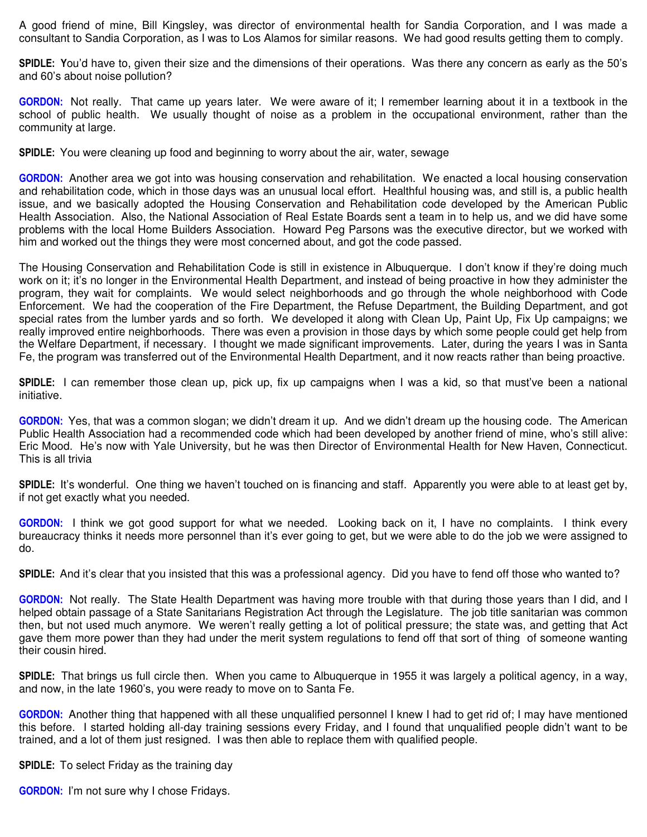A good friend of mine, Bill Kingsley, was director of environmental health for Sandia Corporation, and I was made a consultant to Sandia Corporation, as I was to Los Alamos for similar reasons. We had good results getting them to comply.

**SPIDLE: Y**ou'd have to, given their size and the dimensions of their operations. Was there any concern as early as the 50's and 60's about noise pollution?

**GORDON:** Not really. That came up years later. We were aware of it; I remember learning about it in a textbook in the school of public health. We usually thought of noise as a problem in the occupational environment, rather than the community at large.

**SPIDLE:** You were cleaning up food and beginning to worry about the air, water, sewage

**GORDON:** Another area we got into was housing conservation and rehabilitation. We enacted a local housing conservation and rehabilitation code, which in those days was an unusual local effort. Healthful housing was, and still is, a public health issue, and we basically adopted the Housing Conservation and Rehabilitation code developed by the American Public Health Association. Also, the National Association of Real Estate Boards sent a team in to help us, and we did have some problems with the local Home Builders Association. Howard Peg Parsons was the executive director, but we worked with him and worked out the things they were most concerned about, and got the code passed.

The Housing Conservation and Rehabilitation Code is still in existence in Albuquerque. I don't know if they're doing much work on it; it's no longer in the Environmental Health Department, and instead of being proactive in how they administer the program, they wait for complaints. We would select neighborhoods and go through the whole neighborhood with Code Enforcement. We had the cooperation of the Fire Department, the Refuse Department, the Building Department, and got special rates from the lumber yards and so forth. We developed it along with Clean Up, Paint Up, Fix Up campaigns; we really improved entire neighborhoods. There was even a provision in those days by which some people could get help from the Welfare Department, if necessary. I thought we made significant improvements. Later, during the years I was in Santa Fe, the program was transferred out of the Environmental Health Department, and it now reacts rather than being proactive.

**SPIDLE:** I can remember those clean up, pick up, fix up campaigns when I was a kid, so that must've been a national initiative.

**GORDON:** Yes, that was a common slogan; we didn't dream it up. And we didn't dream up the housing code. The American Public Health Association had a recommended code which had been developed by another friend of mine, who's still alive: Eric Mood. He's now with Yale University, but he was then Director of Environmental Health for New Haven, Connecticut. This is all trivia

**SPIDLE:** It's wonderful. One thing we haven't touched on is financing and staff. Apparently you were able to at least get by, if not get exactly what you needed.

**GORDON:** I think we got good support for what we needed. Looking back on it, I have no complaints. I think every bureaucracy thinks it needs more personnel than it's ever going to get, but we were able to do the job we were assigned to do.

**SPIDLE:** And it's clear that you insisted that this was a professional agency. Did you have to fend off those who wanted to?

**GORDON:** Not really. The State Health Department was having more trouble with that during those years than I did, and I helped obtain passage of a State Sanitarians Registration Act through the Legislature. The job title sanitarian was common then, but not used much anymore. We weren't really getting a lot of political pressure; the state was, and getting that Act gave them more power than they had under the merit system regulations to fend off that sort of thing of someone wanting their cousin hired.

**SPIDLE:** That brings us full circle then. When you came to Albuquerque in 1955 it was largely a political agency, in a way, and now, in the late 1960's, you were ready to move on to Santa Fe.

**GORDON:** Another thing that happened with all these unqualified personnel I knew I had to get rid of; I may have mentioned this before. I started holding all-day training sessions every Friday, and I found that unqualified people didn't want to be trained, and a lot of them just resigned. I was then able to replace them with qualified people.

**SPIDLE:** To select Friday as the training day

**GORDON:** I'm not sure why I chose Fridays.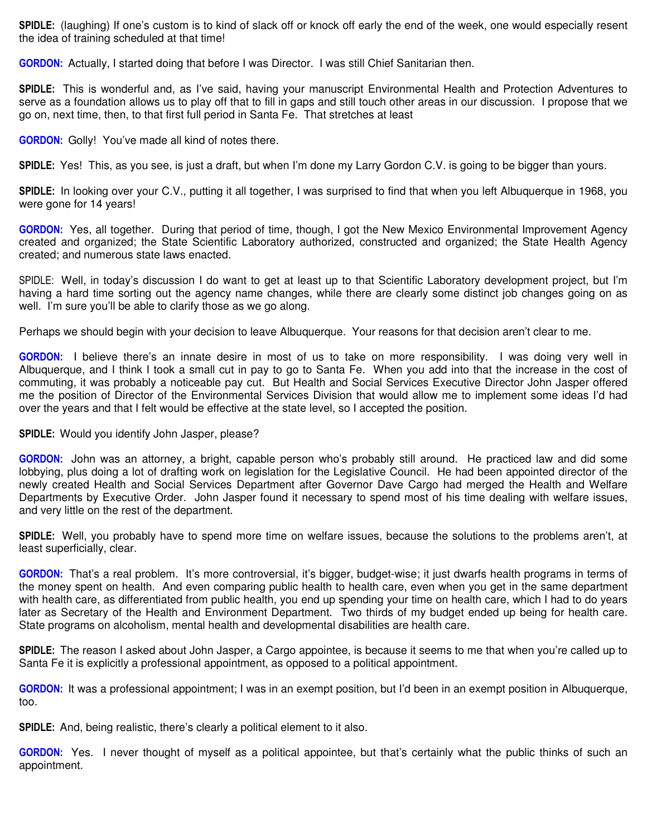**SPIDLE:** (laughing) If one's custom is to kind of slack off or knock off early the end of the week, one would especially resent the idea of training scheduled at that time!

**GORDON:** Actually, I started doing that before I was Director. I was still Chief Sanitarian then.

**SPIDLE:** This is wonderful and, as I've said, having your manuscript Environmental Health and Protection Adventures to serve as a foundation allows us to play off that to fill in gaps and still touch other areas in our discussion. I propose that we go on, next time, then, to that first full period in Santa Fe. That stretches at least

**GORDON:** Golly! You've made all kind of notes there.

**SPIDLE:** Yes! This, as you see, is just a draft, but when I'm done my Larry Gordon C.V. is going to be bigger than yours.

**SPIDLE:** In looking over your C.V., putting it all together, I was surprised to find that when you left Albuquerque in 1968, you were gone for 14 years!

**GORDON:** Yes, all together. During that period of time, though, I got the New Mexico Environmental Improvement Agency created and organized; the State Scientific Laboratory authorized, constructed and organized; the State Health Agency created; and numerous state laws enacted.

SPIDLE: Well, in today's discussion I do want to get at least up to that Scientific Laboratory development project, but I'm having a hard time sorting out the agency name changes, while there are clearly some distinct job changes going on as well. I'm sure you'll be able to clarify those as we go along.

Perhaps we should begin with your decision to leave Albuquerque. Your reasons for that decision aren't clear to me.

**GORDON:** I believe there's an innate desire in most of us to take on more responsibility. I was doing very well in Albuquerque, and I think I took a small cut in pay to go to Santa Fe. When you add into that the increase in the cost of commuting, it was probably a noticeable pay cut. But Health and Social Services Executive Director John Jasper offered me the position of Director of the Environmental Services Division that would allow me to implement some ideas I'd had over the years and that I felt would be effective at the state level, so I accepted the position.

**SPIDLE:** Would you identify John Jasper, please?

**GORDON:** John was an attorney, a bright, capable person who's probably still around. He practiced law and did some lobbying, plus doing a lot of drafting work on legislation for the Legislative Council. He had been appointed director of the newly created Health and Social Services Department after Governor Dave Cargo had merged the Health and Welfare Departments by Executive Order. John Jasper found it necessary to spend most of his time dealing with welfare issues, and very little on the rest of the department.

**SPIDLE:** Well, you probably have to spend more time on welfare issues, because the solutions to the problems aren't, at least superficially, clear.

**GORDON:** That's a real problem. It's more controversial, it's bigger, budget-wise; it just dwarfs health programs in terms of the money spent on health. And even comparing public health to health care, even when you get in the same department with health care, as differentiated from public health, you end up spending your time on health care, which I had to do years later as Secretary of the Health and Environment Department. Two thirds of my budget ended up being for health care. State programs on alcoholism, mental health and developmental disabilities are health care.

**SPIDLE:** The reason I asked about John Jasper, a Cargo appointee, is because it seems to me that when you're called up to Santa Fe it is explicitly a professional appointment, as opposed to a political appointment.

**GORDON:** It was a professional appointment; I was in an exempt position, but I'd been in an exempt position in Albuquerque, too.

**SPIDLE:** And, being realistic, there's clearly a political element to it also.

**GORDON:** Yes. I never thought of myself as a political appointee, but that's certainly what the public thinks of such an appointment.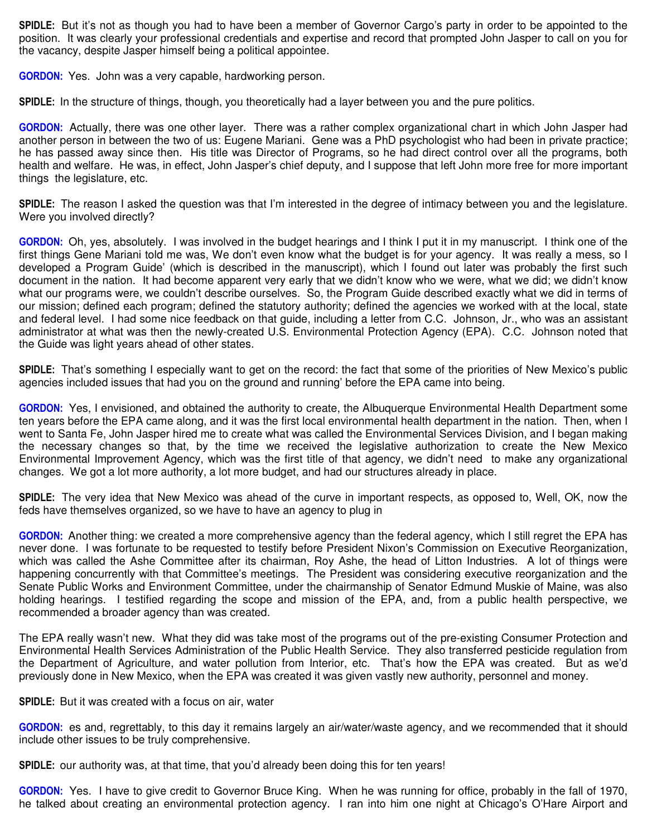**SPIDLE:** But it's not as though you had to have been a member of Governor Cargo's party in order to be appointed to the position. It was clearly your professional credentials and expertise and record that prompted John Jasper to call on you for the vacancy, despite Jasper himself being a political appointee.

**GORDON:** Yes. John was a very capable, hardworking person.

**SPIDLE:** In the structure of things, though, you theoretically had a layer between you and the pure politics.

**GORDON:** Actually, there was one other layer. There was a rather complex organizational chart in which John Jasper had another person in between the two of us: Eugene Mariani. Gene was a PhD psychologist who had been in private practice; he has passed away since then. His title was Director of Programs, so he had direct control over all the programs, both health and welfare. He was, in effect, John Jasper's chief deputy, and I suppose that left John more free for more important things the legislature, etc.

**SPIDLE:** The reason I asked the question was that I'm interested in the degree of intimacy between you and the legislature. Were you involved directly?

**GORDON:** Oh, yes, absolutely. I was involved in the budget hearings and I think I put it in my manuscript. I think one of the first things Gene Mariani told me was, We don't even know what the budget is for your agency. It was really a mess, so I developed a Program Guide' (which is described in the manuscript), which I found out later was probably the first such document in the nation. It had become apparent very early that we didn't know who we were, what we did; we didn't know what our programs were, we couldn't describe ourselves. So, the Program Guide described exactly what we did in terms of our mission; defined each program; defined the statutory authority; defined the agencies we worked with at the local, state and federal level. I had some nice feedback on that guide, including a letter from C.C. Johnson, Jr., who was an assistant administrator at what was then the newly-created U.S. Environmental Protection Agency (EPA). C.C. Johnson noted that the Guide was light years ahead of other states.

**SPIDLE:** That's something I especially want to get on the record: the fact that some of the priorities of New Mexico's public agencies included issues that had you on the ground and running' before the EPA came into being.

**GORDON:** Yes, I envisioned, and obtained the authority to create, the Albuquerque Environmental Health Department some ten years before the EPA came along, and it was the first local environmental health department in the nation. Then, when I went to Santa Fe, John Jasper hired me to create what was called the Environmental Services Division, and I began making the necessary changes so that, by the time we received the legislative authorization to create the New Mexico Environmental Improvement Agency, which was the first title of that agency, we didn't need to make any organizational changes. We got a lot more authority, a lot more budget, and had our structures already in place.

**SPIDLE:** The very idea that New Mexico was ahead of the curve in important respects, as opposed to, Well, OK, now the feds have themselves organized, so we have to have an agency to plug in

**GORDON:** Another thing: we created a more comprehensive agency than the federal agency, which I still regret the EPA has never done. I was fortunate to be requested to testify before President Nixon's Commission on Executive Reorganization, which was called the Ashe Committee after its chairman, Roy Ashe, the head of Litton Industries. A lot of things were happening concurrently with that Committee's meetings. The President was considering executive reorganization and the Senate Public Works and Environment Committee, under the chairmanship of Senator Edmund Muskie of Maine, was also holding hearings. I testified regarding the scope and mission of the EPA, and, from a public health perspective, we recommended a broader agency than was created.

The EPA really wasn't new. What they did was take most of the programs out of the pre-existing Consumer Protection and Environmental Health Services Administration of the Public Health Service. They also transferred pesticide regulation from the Department of Agriculture, and water pollution from Interior, etc. That's how the EPA was created. But as we'd previously done in New Mexico, when the EPA was created it was given vastly new authority, personnel and money.

**SPIDLE:** But it was created with a focus on air, water

**GORDON:** es and, regrettably, to this day it remains largely an air/water/waste agency, and we recommended that it should include other issues to be truly comprehensive.

**SPIDLE:** our authority was, at that time, that you'd already been doing this for ten years!

**GORDON:** Yes. I have to give credit to Governor Bruce King. When he was running for office, probably in the fall of 1970, he talked about creating an environmental protection agency. I ran into him one night at Chicago's O'Hare Airport and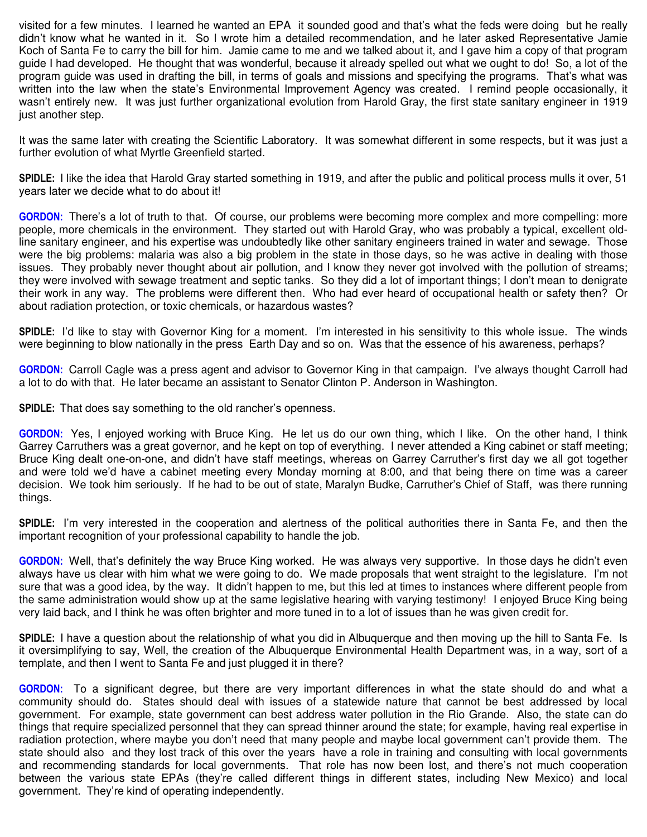visited for a few minutes. I learned he wanted an EPA it sounded good and that's what the feds were doing but he really didn't know what he wanted in it. So I wrote him a detailed recommendation, and he later asked Representative Jamie Koch of Santa Fe to carry the bill for him. Jamie came to me and we talked about it, and I gave him a copy of that program guide I had developed. He thought that was wonderful, because it already spelled out what we ought to do! So, a lot of the program guide was used in drafting the bill, in terms of goals and missions and specifying the programs. That's what was written into the law when the state's Environmental Improvement Agency was created. I remind people occasionally, it wasn't entirely new. It was just further organizational evolution from Harold Gray, the first state sanitary engineer in 1919 just another step.

It was the same later with creating the Scientific Laboratory. It was somewhat different in some respects, but it was just a further evolution of what Myrtle Greenfield started.

**SPIDLE:** I like the idea that Harold Gray started something in 1919, and after the public and political process mulls it over, 51 years later we decide what to do about it!

**GORDON:** There's a lot of truth to that. Of course, our problems were becoming more complex and more compelling: more people, more chemicals in the environment. They started out with Harold Gray, who was probably a typical, excellent oldline sanitary engineer, and his expertise was undoubtedly like other sanitary engineers trained in water and sewage. Those were the big problems: malaria was also a big problem in the state in those days, so he was active in dealing with those issues. They probably never thought about air pollution, and I know they never got involved with the pollution of streams; they were involved with sewage treatment and septic tanks. So they did a lot of important things; I don't mean to denigrate their work in any way. The problems were different then. Who had ever heard of occupational health or safety then? Or about radiation protection, or toxic chemicals, or hazardous wastes?

**SPIDLE:** I'd like to stay with Governor King for a moment. I'm interested in his sensitivity to this whole issue. The winds were beginning to blow nationally in the press Earth Day and so on. Was that the essence of his awareness, perhaps?

**GORDON:** Carroll Cagle was a press agent and advisor to Governor King in that campaign. I've always thought Carroll had a lot to do with that. He later became an assistant to Senator Clinton P. Anderson in Washington.

**SPIDLE:** That does say something to the old rancher's openness.

**GORDON:** Yes, I enjoyed working with Bruce King. He let us do our own thing, which I like. On the other hand, I think Garrey Carruthers was a great governor, and he kept on top of everything. I never attended a King cabinet or staff meeting; Bruce King dealt one-on-one, and didn't have staff meetings, whereas on Garrey Carruther's first day we all got together and were told we'd have a cabinet meeting every Monday morning at 8:00, and that being there on time was a career decision. We took him seriously. If he had to be out of state, Maralyn Budke, Carruther's Chief of Staff, was there running things.

**SPIDLE:** I'm very interested in the cooperation and alertness of the political authorities there in Santa Fe, and then the important recognition of your professional capability to handle the job.

**GORDON:** Well, that's definitely the way Bruce King worked. He was always very supportive. In those days he didn't even always have us clear with him what we were going to do. We made proposals that went straight to the legislature. I'm not sure that was a good idea, by the way. It didn't happen to me, but this led at times to instances where different people from the same administration would show up at the same legislative hearing with varying testimony! I enjoyed Bruce King being very laid back, and I think he was often brighter and more tuned in to a lot of issues than he was given credit for.

**SPIDLE:** I have a question about the relationship of what you did in Albuquerque and then moving up the hill to Santa Fe. Is it oversimplifying to say, Well, the creation of the Albuquerque Environmental Health Department was, in a way, sort of a template, and then I went to Santa Fe and just plugged it in there?

**GORDON:** To a significant degree, but there are very important differences in what the state should do and what a community should do. States should deal with issues of a statewide nature that cannot be best addressed by local government. For example, state government can best address water pollution in the Rio Grande. Also, the state can do things that require specialized personnel that they can spread thinner around the state; for example, having real expertise in radiation protection, where maybe you don't need that many people and maybe local government can't provide them. The state should also and they lost track of this over the years have a role in training and consulting with local governments and recommending standards for local governments. That role has now been lost, and there's not much cooperation between the various state EPAs (they're called different things in different states, including New Mexico) and local government. They're kind of operating independently.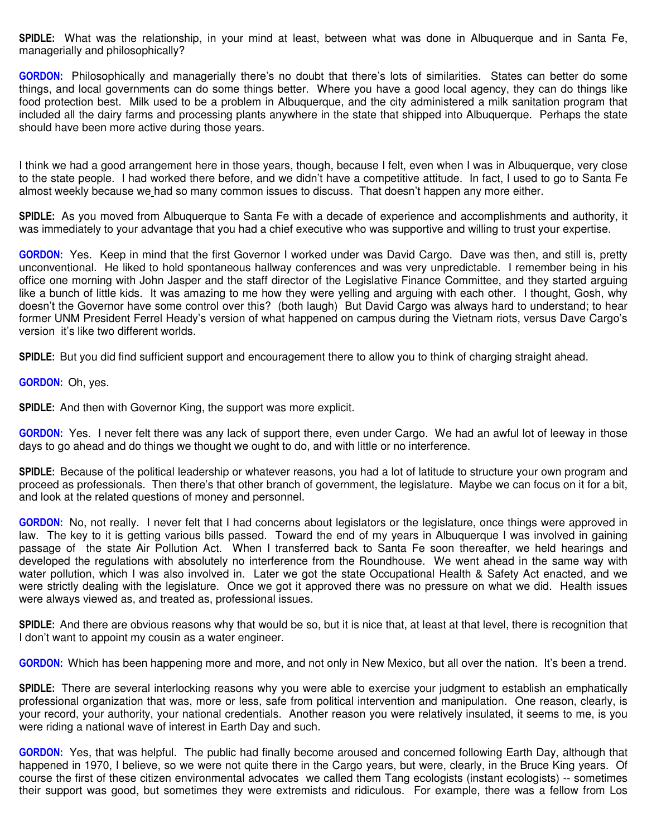**SPIDLE:** What was the relationship, in your mind at least, between what was done in Albuquerque and in Santa Fe, managerially and philosophically?

**GORDON:** Philosophically and managerially there's no doubt that there's lots of similarities. States can better do some things, and local governments can do some things better. Where you have a good local agency, they can do things like food protection best. Milk used to be a problem in Albuquerque, and the city administered a milk sanitation program that included all the dairy farms and processing plants anywhere in the state that shipped into Albuquerque. Perhaps the state should have been more active during those years.

I think we had a good arrangement here in those years, though, because I felt, even when I was in Albuquerque, very close to the state people. I had worked there before, and we didn't have a competitive attitude. In fact, I used to go to Santa Fe almost weekly because we had so many common issues to discuss. That doesn't happen any more either.

**SPIDLE:** As you moved from Albuquerque to Santa Fe with a decade of experience and accomplishments and authority, it was immediately to your advantage that you had a chief executive who was supportive and willing to trust your expertise.

**GORDON:** Yes. Keep in mind that the first Governor I worked under was David Cargo. Dave was then, and still is, pretty unconventional. He liked to hold spontaneous hallway conferences and was very unpredictable. I remember being in his office one morning with John Jasper and the staff director of the Legislative Finance Committee, and they started arguing like a bunch of little kids. It was amazing to me how they were yelling and arguing with each other. I thought, Gosh, why doesn't the Governor have some control over this? (both laugh) But David Cargo was always hard to understand; to hear former UNM President Ferrel Heady's version of what happened on campus during the Vietnam riots, versus Dave Cargo's version it's like two different worlds.

**SPIDLE:** But you did find sufficient support and encouragement there to allow you to think of charging straight ahead.

#### **GORDON:** Oh, yes.

**SPIDLE:** And then with Governor King, the support was more explicit.

**GORDON:** Yes. I never felt there was any lack of support there, even under Cargo. We had an awful lot of leeway in those days to go ahead and do things we thought we ought to do, and with little or no interference.

**SPIDLE:** Because of the political leadership or whatever reasons, you had a lot of latitude to structure your own program and proceed as professionals. Then there's that other branch of government, the legislature. Maybe we can focus on it for a bit, and look at the related questions of money and personnel.

**GORDON:** No, not really. I never felt that I had concerns about legislators or the legislature, once things were approved in law. The key to it is getting various bills passed. Toward the end of my years in Albuquerque I was involved in gaining passage of the state Air Pollution Act. When I transferred back to Santa Fe soon thereafter, we held hearings and developed the regulations with absolutely no interference from the Roundhouse. We went ahead in the same way with water pollution, which I was also involved in. Later we got the state Occupational Health & Safety Act enacted, and we were strictly dealing with the legislature. Once we got it approved there was no pressure on what we did. Health issues were always viewed as, and treated as, professional issues.

**SPIDLE:** And there are obvious reasons why that would be so, but it is nice that, at least at that level, there is recognition that I don't want to appoint my cousin as a water engineer.

**GORDON:** Which has been happening more and more, and not only in New Mexico, but all over the nation. It's been a trend.

**SPIDLE:** There are several interlocking reasons why you were able to exercise your judgment to establish an emphatically professional organization that was, more or less, safe from political intervention and manipulation. One reason, clearly, is your record, your authority, your national credentials. Another reason you were relatively insulated, it seems to me, is you were riding a national wave of interest in Earth Day and such.

**GORDON:** Yes, that was helpful. The public had finally become aroused and concerned following Earth Day, although that happened in 1970, I believe, so we were not quite there in the Cargo years, but were, clearly, in the Bruce King years. Of course the first of these citizen environmental advocates we called them Tang ecologists (instant ecologists) -- sometimes their support was good, but sometimes they were extremists and ridiculous. For example, there was a fellow from Los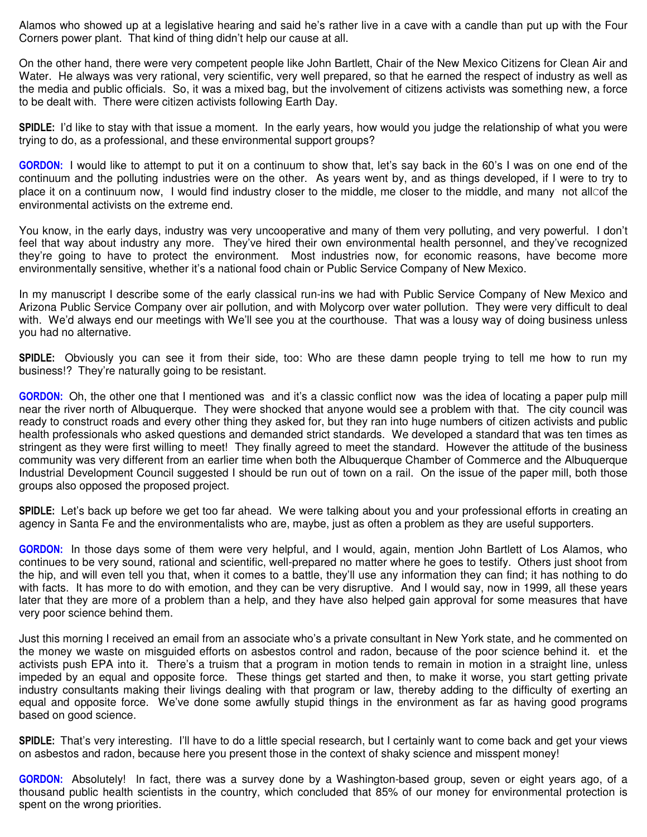Alamos who showed up at a legislative hearing and said he's rather live in a cave with a candle than put up with the Four Corners power plant. That kind of thing didn't help our cause at all.

On the other hand, there were very competent people like John Bartlett, Chair of the New Mexico Citizens for Clean Air and Water. He always was very rational, very scientific, very well prepared, so that he earned the respect of industry as well as the media and public officials. So, it was a mixed bag, but the involvement of citizens activists was something new, a force to be dealt with. There were citizen activists following Earth Day.

**SPIDLE:** I'd like to stay with that issue a moment. In the early years, how would you judge the relationship of what you were trying to do, as a professional, and these environmental support groups?

**GORDON:** I would like to attempt to put it on a continuum to show that, let's say back in the 60's I was on one end of the continuum and the polluting industries were on the other. As years went by, and as things developed, if I were to try to place it on a continuum now, I would find industry closer to the middle, me closer to the middle, and many not allcof the environmental activists on the extreme end.

You know, in the early days, industry was very uncooperative and many of them very polluting, and very powerful. I don't feel that way about industry any more. They've hired their own environmental health personnel, and they've recognized they're going to have to protect the environment. Most industries now, for economic reasons, have become more environmentally sensitive, whether it's a national food chain or Public Service Company of New Mexico.

In my manuscript I describe some of the early classical run-ins we had with Public Service Company of New Mexico and Arizona Public Service Company over air pollution, and with Molycorp over water pollution. They were very difficult to deal with. We'd always end our meetings with We'll see you at the courthouse. That was a lousy way of doing business unless you had no alternative.

**SPIDLE:** Obviously you can see it from their side, too: Who are these damn people trying to tell me how to run my business!? They're naturally going to be resistant.

**GORDON:** Oh, the other one that I mentioned was and it's a classic conflict now was the idea of locating a paper pulp mill near the river north of Albuquerque. They were shocked that anyone would see a problem with that. The city council was ready to construct roads and every other thing they asked for, but they ran into huge numbers of citizen activists and public health professionals who asked questions and demanded strict standards. We developed a standard that was ten times as stringent as they were first willing to meet! They finally agreed to meet the standard. However the attitude of the business community was very different from an earlier time when both the Albuquerque Chamber of Commerce and the Albuquerque Industrial Development Council suggested I should be run out of town on a rail. On the issue of the paper mill, both those groups also opposed the proposed project.

**SPIDLE:** Let's back up before we get too far ahead. We were talking about you and your professional efforts in creating an agency in Santa Fe and the environmentalists who are, maybe, just as often a problem as they are useful supporters.

**GORDON:** In those days some of them were very helpful, and I would, again, mention John Bartlett of Los Alamos, who continues to be very sound, rational and scientific, well-prepared no matter where he goes to testify. Others just shoot from the hip, and will even tell you that, when it comes to a battle, they'll use any information they can find; it has nothing to do with facts. It has more to do with emotion, and they can be very disruptive. And I would say, now in 1999, all these years later that they are more of a problem than a help, and they have also helped gain approval for some measures that have very poor science behind them.

Just this morning I received an email from an associate who's a private consultant in New York state, and he commented on the money we waste on misguided efforts on asbestos control and radon, because of the poor science behind it. et the activists push EPA into it. There's a truism that a program in motion tends to remain in motion in a straight line, unless impeded by an equal and opposite force. These things get started and then, to make it worse, you start getting private industry consultants making their livings dealing with that program or law, thereby adding to the difficulty of exerting an equal and opposite force. We've done some awfully stupid things in the environment as far as having good programs based on good science.

**SPIDLE:** That's very interesting. I'll have to do a little special research, but I certainly want to come back and get your views on asbestos and radon, because here you present those in the context of shaky science and misspent money!

**GORDON:** Absolutely! In fact, there was a survey done by a Washington-based group, seven or eight years ago, of a thousand public health scientists in the country, which concluded that 85% of our money for environmental protection is spent on the wrong priorities.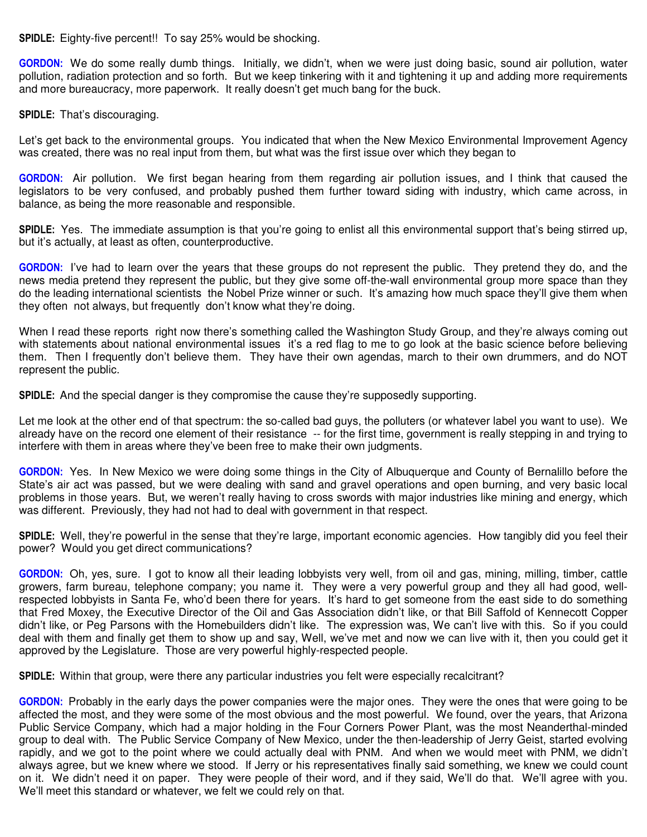**SPIDLE:** Eighty-five percent!! To say 25% would be shocking.

**GORDON:** We do some really dumb things. Initially, we didn't, when we were just doing basic, sound air pollution, water pollution, radiation protection and so forth. But we keep tinkering with it and tightening it up and adding more requirements and more bureaucracy, more paperwork. It really doesn't get much bang for the buck.

**SPIDLE:** That's discouraging.

Let's get back to the environmental groups. You indicated that when the New Mexico Environmental Improvement Agency was created, there was no real input from them, but what was the first issue over which they began to

**GORDON:** Air pollution. We first began hearing from them regarding air pollution issues, and I think that caused the legislators to be very confused, and probably pushed them further toward siding with industry, which came across, in balance, as being the more reasonable and responsible.

**SPIDLE:** Yes. The immediate assumption is that you're going to enlist all this environmental support that's being stirred up, but it's actually, at least as often, counterproductive.

**GORDON:** I've had to learn over the years that these groups do not represent the public. They pretend they do, and the news media pretend they represent the public, but they give some off-the-wall environmental group more space than they do the leading international scientists the Nobel Prize winner or such. It's amazing how much space they'll give them when they often not always, but frequently don't know what they're doing.

When I read these reports right now there's something called the Washington Study Group, and they're always coming out with statements about national environmental issues it's a red flag to me to go look at the basic science before believing them. Then I frequently don't believe them. They have their own agendas, march to their own drummers, and do NOT represent the public.

**SPIDLE:** And the special danger is they compromise the cause they're supposedly supporting.

Let me look at the other end of that spectrum: the so-called bad guys, the polluters (or whatever label you want to use). We already have on the record one element of their resistance -- for the first time, government is really stepping in and trying to interfere with them in areas where they've been free to make their own judgments.

**GORDON:** Yes. In New Mexico we were doing some things in the City of Albuquerque and County of Bernalillo before the State's air act was passed, but we were dealing with sand and gravel operations and open burning, and very basic local problems in those years. But, we weren't really having to cross swords with major industries like mining and energy, which was different. Previously, they had not had to deal with government in that respect.

**SPIDLE:** Well, they're powerful in the sense that they're large, important economic agencies. How tangibly did you feel their power? Would you get direct communications?

**GORDON:** Oh, yes, sure. I got to know all their leading lobbyists very well, from oil and gas, mining, milling, timber, cattle growers, farm bureau, telephone company; you name it. They were a very powerful group and they all had good, wellrespected lobbyists in Santa Fe, who'd been there for years. It's hard to get someone from the east side to do something that Fred Moxey, the Executive Director of the Oil and Gas Association didn't like, or that Bill Saffold of Kennecott Copper didn't like, or Peg Parsons with the Homebuilders didn't like. The expression was, We can't live with this. So if you could deal with them and finally get them to show up and say, Well, we've met and now we can live with it, then you could get it approved by the Legislature. Those are very powerful highly-respected people.

**SPIDLE:** Within that group, were there any particular industries you felt were especially recalcitrant?

**GORDON:** Probably in the early days the power companies were the major ones. They were the ones that were going to be affected the most, and they were some of the most obvious and the most powerful. We found, over the years, that Arizona Public Service Company, which had a major holding in the Four Corners Power Plant, was the most Neanderthal-minded group to deal with. The Public Service Company of New Mexico, under the then-leadership of Jerry Geist, started evolving rapidly, and we got to the point where we could actually deal with PNM. And when we would meet with PNM, we didn't always agree, but we knew where we stood. If Jerry or his representatives finally said something, we knew we could count on it. We didn't need it on paper. They were people of their word, and if they said, We'll do that. We'll agree with you. We'll meet this standard or whatever, we felt we could rely on that.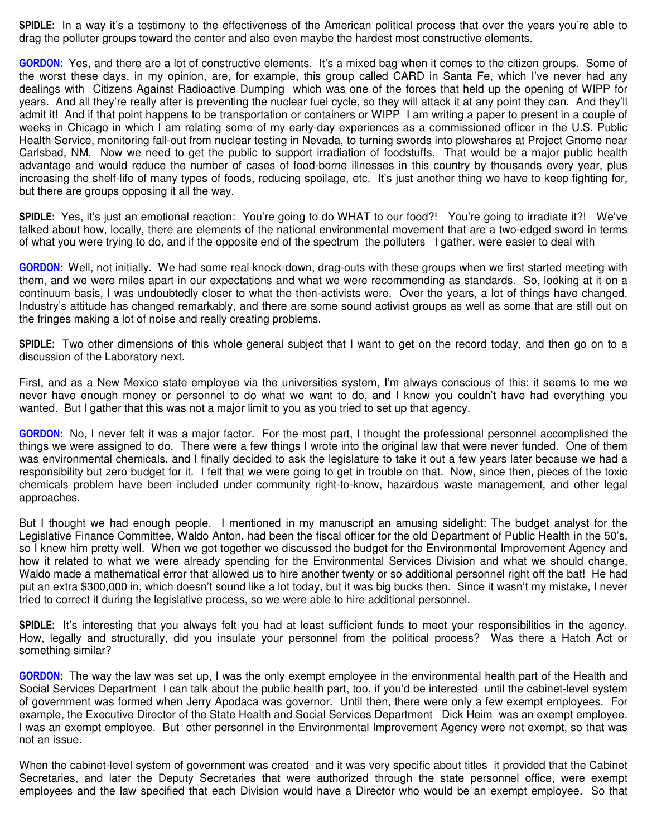**SPIDLE:** In a way it's a testimony to the effectiveness of the American political process that over the years you're able to drag the polluter groups toward the center and also even maybe the hardest most constructive elements.

**GORDON:** Yes, and there are a lot of constructive elements. It's a mixed bag when it comes to the citizen groups. Some of the worst these days, in my opinion, are, for example, this group called CARD in Santa Fe, which I've never had any dealings with Citizens Against Radioactive Dumping which was one of the forces that held up the opening of WIPP for years. And all they're really after is preventing the nuclear fuel cycle, so they will attack it at any point they can. And they'll admit it! And if that point happens to be transportation or containers or WIPP I am writing a paper to present in a couple of weeks in Chicago in which I am relating some of my early-day experiences as a commissioned officer in the U.S. Public Health Service, monitoring fall-out from nuclear testing in Nevada, to turning swords into plowshares at Project Gnome near Carlsbad, NM. Now we need to get the public to support irradiation of foodstuffs. That would be a major public health advantage and would reduce the number of cases of food-borne illnesses in this country by thousands every year, plus increasing the shelf-life of many types of foods, reducing spoilage, etc. It's just another thing we have to keep fighting for, but there are groups opposing it all the way.

**SPIDLE:** Yes, it's just an emotional reaction: You're going to do WHAT to our food?! You're going to irradiate it?! We've talked about how, locally, there are elements of the national environmental movement that are a two-edged sword in terms of what you were trying to do, and if the opposite end of the spectrum the polluters I gather, were easier to deal with

**GORDON:** Well, not initially. We had some real knock-down, drag-outs with these groups when we first started meeting with them, and we were miles apart in our expectations and what we were recommending as standards. So, looking at it on a continuum basis, I was undoubtedly closer to what the then-activists were. Over the years, a lot of things have changed. Industry's attitude has changed remarkably, and there are some sound activist groups as well as some that are still out on the fringes making a lot of noise and really creating problems.

**SPIDLE:** Two other dimensions of this whole general subject that I want to get on the record today, and then go on to a discussion of the Laboratory next.

First, and as a New Mexico state employee via the universities system, I'm always conscious of this: it seems to me we never have enough money or personnel to do what we want to do, and I know you couldn't have had everything you wanted. But I gather that this was not a major limit to you as you tried to set up that agency.

**GORDON:** No, I never felt it was a major factor. For the most part, I thought the professional personnel accomplished the things we were assigned to do. There were a few things I wrote into the original law that were never funded. One of them was environmental chemicals, and I finally decided to ask the legislature to take it out a few years later because we had a responsibility but zero budget for it. I felt that we were going to get in trouble on that. Now, since then, pieces of the toxic chemicals problem have been included under community right-to-know, hazardous waste management, and other legal approaches.

But I thought we had enough people. I mentioned in my manuscript an amusing sidelight: The budget analyst for the Legislative Finance Committee, Waldo Anton, had been the fiscal officer for the old Department of Public Health in the 50's, so I knew him pretty well. When we got together we discussed the budget for the Environmental Improvement Agency and how it related to what we were already spending for the Environmental Services Division and what we should change, Waldo made a mathematical error that allowed us to hire another twenty or so additional personnel right off the bat! He had put an extra \$300,000 in, which doesn't sound like a lot today, but it was big bucks then. Since it wasn't my mistake, I never tried to correct it during the legislative process, so we were able to hire additional personnel.

**SPIDLE:** It's interesting that you always felt you had at least sufficient funds to meet your responsibilities in the agency. How, legally and structurally, did you insulate your personnel from the political process? Was there a Hatch Act or something similar?

**GORDON:** The way the law was set up, I was the only exempt employee in the environmental health part of the Health and Social Services Department I can talk about the public health part, too, if you'd be interested until the cabinet-level system of government was formed when Jerry Apodaca was governor. Until then, there were only a few exempt employees. For example, the Executive Director of the State Health and Social Services Department Dick Heim was an exempt employee. I was an exempt employee. But other personnel in the Environmental Improvement Agency were not exempt, so that was not an issue.

When the cabinet-level system of government was created and it was very specific about titles it provided that the Cabinet Secretaries, and later the Deputy Secretaries that were authorized through the state personnel office, were exempt employees and the law specified that each Division would have a Director who would be an exempt employee. So that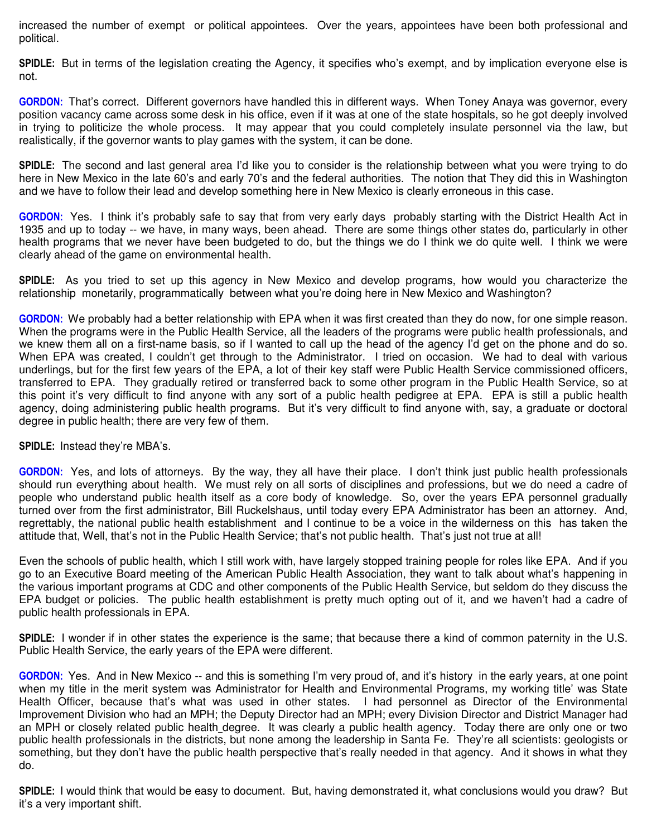increased the number of exempt or political appointees. Over the years, appointees have been both professional and political.

**SPIDLE:** But in terms of the legislation creating the Agency, it specifies who's exempt, and by implication everyone else is not.

**GORDON:** That's correct. Different governors have handled this in different ways. When Toney Anaya was governor, every position vacancy came across some desk in his office, even if it was at one of the state hospitals, so he got deeply involved in trying to politicize the whole process. It may appear that you could completely insulate personnel via the law, but realistically, if the governor wants to play games with the system, it can be done.

**SPIDLE:** The second and last general area I'd like you to consider is the relationship between what you were trying to do here in New Mexico in the late 60's and early 70's and the federal authorities. The notion that They did this in Washington and we have to follow their lead and develop something here in New Mexico is clearly erroneous in this case.

**GORDON:** Yes. I think it's probably safe to say that from very early days probably starting with the District Health Act in 1935 and up to today -- we have, in many ways, been ahead. There are some things other states do, particularly in other health programs that we never have been budgeted to do, but the things we do I think we do quite well. I think we were clearly ahead of the game on environmental health.

**SPIDLE:** As you tried to set up this agency in New Mexico and develop programs, how would you characterize the relationship monetarily, programmatically between what you're doing here in New Mexico and Washington?

**GORDON:** We probably had a better relationship with EPA when it was first created than they do now, for one simple reason. When the programs were in the Public Health Service, all the leaders of the programs were public health professionals, and we knew them all on a first-name basis, so if I wanted to call up the head of the agency I'd get on the phone and do so. When EPA was created, I couldn't get through to the Administrator. I tried on occasion. We had to deal with various underlings, but for the first few years of the EPA, a lot of their key staff were Public Health Service commissioned officers, transferred to EPA. They gradually retired or transferred back to some other program in the Public Health Service, so at this point it's very difficult to find anyone with any sort of a public health pedigree at EPA. EPA is still a public health agency, doing administering public health programs. But it's very difficult to find anyone with, say, a graduate or doctoral degree in public health; there are very few of them.

**SPIDLE:** Instead they're MBA's.

**GORDON:** Yes, and lots of attorneys. By the way, they all have their place. I don't think just public health professionals should run everything about health. We must rely on all sorts of disciplines and professions, but we do need a cadre of people who understand public health itself as a core body of knowledge. So, over the years EPA personnel gradually turned over from the first administrator, Bill Ruckelshaus, until today every EPA Administrator has been an attorney. And, regrettably, the national public health establishment and I continue to be a voice in the wilderness on this has taken the attitude that, Well, that's not in the Public Health Service; that's not public health. That's just not true at all!

Even the schools of public health, which I still work with, have largely stopped training people for roles like EPA. And if you go to an Executive Board meeting of the American Public Health Association, they want to talk about what's happening in the various important programs at CDC and other components of the Public Health Service, but seldom do they discuss the EPA budget or policies. The public health establishment is pretty much opting out of it, and we haven't had a cadre of public health professionals in EPA.

**SPIDLE:** I wonder if in other states the experience is the same; that because there a kind of common paternity in the U.S. Public Health Service, the early years of the EPA were different.

**GORDON:** Yes. And in New Mexico -- and this is something I'm very proud of, and it's history in the early years, at one point when my title in the merit system was Administrator for Health and Environmental Programs, my working title' was State Health Officer, because that's what was used in other states. I had personnel as Director of the Environmental Improvement Division who had an MPH; the Deputy Director had an MPH; every Division Director and District Manager had an MPH or closely related public health degree. It was clearly a public health agency. Today there are only one or two public health professionals in the districts, but none among the leadership in Santa Fe. They're all scientists: geologists or something, but they don't have the public health perspective that's really needed in that agency. And it shows in what they do.

**SPIDLE:** I would think that would be easy to document. But, having demonstrated it, what conclusions would you draw? But it's a very important shift.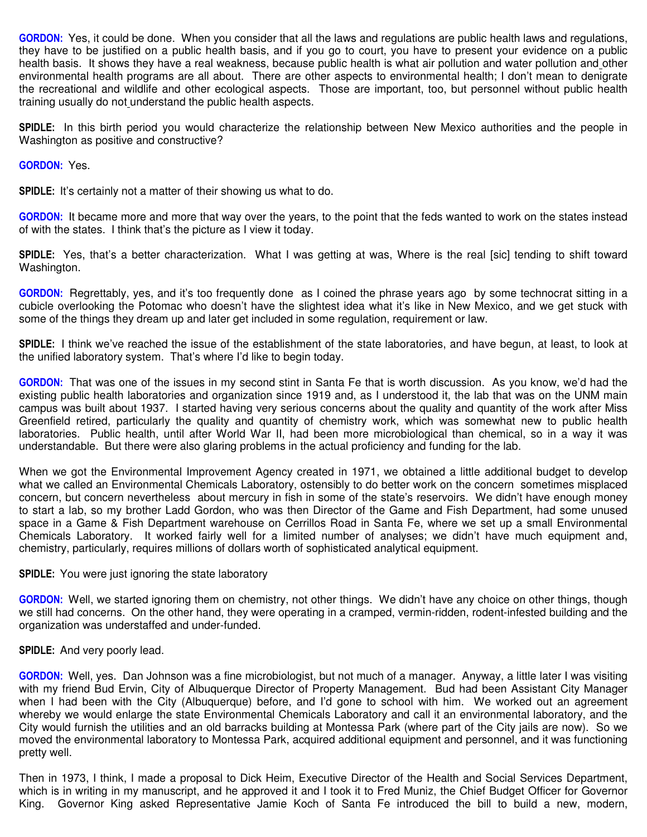**GORDON:** Yes, it could be done. When you consider that all the laws and regulations are public health laws and regulations, they have to be justified on a public health basis, and if you go to court, you have to present your evidence on a public health basis. It shows they have a real weakness, because public health is what air pollution and water pollution and other environmental health programs are all about. There are other aspects to environmental health; I don't mean to denigrate the recreational and wildlife and other ecological aspects. Those are important, too, but personnel without public health training usually do not understand the public health aspects.

**SPIDLE:** In this birth period you would characterize the relationship between New Mexico authorities and the people in Washington as positive and constructive?

**GORDON:** Yes.

**SPIDLE:** It's certainly not a matter of their showing us what to do.

**GORDON:** It became more and more that way over the years, to the point that the feds wanted to work on the states instead of with the states. I think that's the picture as I view it today.

**SPIDLE:** Yes, that's a better characterization. What I was getting at was, Where is the real [sic] tending to shift toward Washington.

**GORDON:** Regrettably, yes, and it's too frequently done as I coined the phrase years ago by some technocrat sitting in a cubicle overlooking the Potomac who doesn't have the slightest idea what it's like in New Mexico, and we get stuck with some of the things they dream up and later get included in some regulation, requirement or law.

**SPIDLE:** I think we've reached the issue of the establishment of the state laboratories, and have begun, at least, to look at the unified laboratory system. That's where I'd like to begin today.

**GORDON:** That was one of the issues in my second stint in Santa Fe that is worth discussion. As you know, we'd had the existing public health laboratories and organization since 1919 and, as I understood it, the lab that was on the UNM main campus was built about 1937. I started having very serious concerns about the quality and quantity of the work after Miss Greenfield retired, particularly the quality and quantity of chemistry work, which was somewhat new to public health laboratories. Public health, until after World War II, had been more microbiological than chemical, so in a way it was understandable. But there were also glaring problems in the actual proficiency and funding for the lab.

When we got the Environmental Improvement Agency created in 1971, we obtained a little additional budget to develop what we called an Environmental Chemicals Laboratory, ostensibly to do better work on the concern sometimes misplaced concern, but concern nevertheless about mercury in fish in some of the state's reservoirs. We didn't have enough money to start a lab, so my brother Ladd Gordon, who was then Director of the Game and Fish Department, had some unused space in a Game & Fish Department warehouse on Cerrillos Road in Santa Fe, where we set up a small Environmental Chemicals Laboratory. It worked fairly well for a limited number of analyses; we didn't have much equipment and, chemistry, particularly, requires millions of dollars worth of sophisticated analytical equipment.

#### **SPIDLE:** You were just ignoring the state laboratory

**GORDON:** Well, we started ignoring them on chemistry, not other things. We didn't have any choice on other things, though we still had concerns. On the other hand, they were operating in a cramped, vermin-ridden, rodent-infested building and the organization was understaffed and under-funded.

# **SPIDLE:** And very poorly lead.

**GORDON:** Well, yes. Dan Johnson was a fine microbiologist, but not much of a manager. Anyway, a little later I was visiting with my friend Bud Ervin, City of Albuquerque Director of Property Management. Bud had been Assistant City Manager when I had been with the City (Albuquerque) before, and I'd gone to school with him. We worked out an agreement whereby we would enlarge the state Environmental Chemicals Laboratory and call it an environmental laboratory, and the City would furnish the utilities and an old barracks building at Montessa Park (where part of the City jails are now). So we moved the environmental laboratory to Montessa Park, acquired additional equipment and personnel, and it was functioning pretty well.

Then in 1973, I think, I made a proposal to Dick Heim, Executive Director of the Health and Social Services Department, which is in writing in my manuscript, and he approved it and I took it to Fred Muniz, the Chief Budget Officer for Governor King. Governor King asked Representative Jamie Koch of Santa Fe introduced the bill to build a new, modern,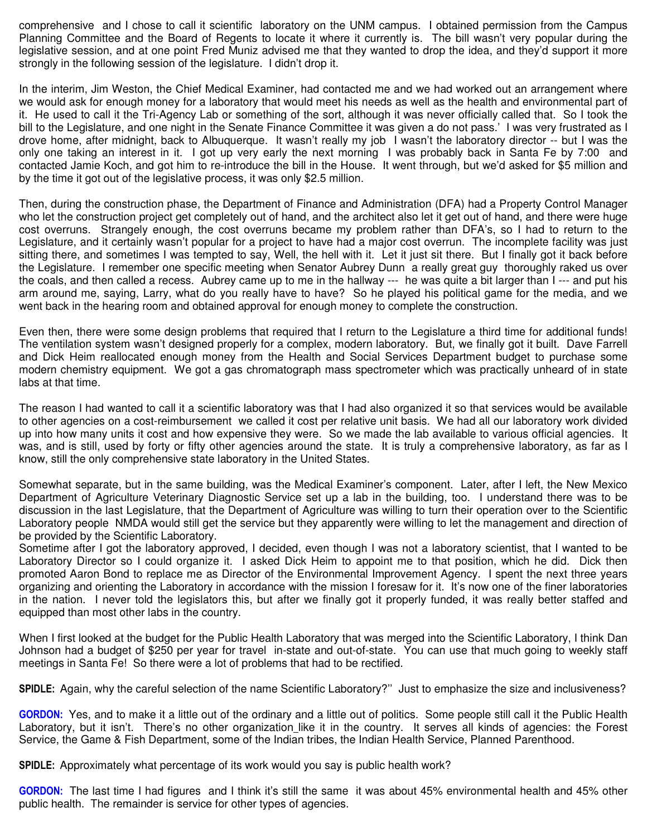comprehensive and I chose to call it scientific laboratory on the UNM campus. I obtained permission from the Campus Planning Committee and the Board of Regents to locate it where it currently is. The bill wasn't very popular during the legislative session, and at one point Fred Muniz advised me that they wanted to drop the idea, and they'd support it more strongly in the following session of the legislature. I didn't drop it.

In the interim, Jim Weston, the Chief Medical Examiner, had contacted me and we had worked out an arrangement where we would ask for enough money for a laboratory that would meet his needs as well as the health and environmental part of it. He used to call it the Tri-Agency Lab or something of the sort, although it was never officially called that. So I took the bill to the Legislature, and one night in the Senate Finance Committee it was given a do not pass.' I was very frustrated as I drove home, after midnight, back to Albuquerque. It wasn't really my job I wasn't the laboratory director -- but I was the only one taking an interest in it. I got up very early the next morning I was probably back in Santa Fe by 7:00 and contacted Jamie Koch, and got him to re-introduce the bill in the House. It went through, but we'd asked for \$5 million and by the time it got out of the legislative process, it was only \$2.5 million.

Then, during the construction phase, the Department of Finance and Administration (DFA) had a Property Control Manager who let the construction project get completely out of hand, and the architect also let it get out of hand, and there were huge cost overruns. Strangely enough, the cost overruns became my problem rather than DFA's, so I had to return to the Legislature, and it certainly wasn't popular for a project to have had a major cost overrun. The incomplete facility was just sitting there, and sometimes I was tempted to say, Well, the hell with it. Let it just sit there. But I finally got it back before the Legislature. I remember one specific meeting when Senator Aubrey Dunn a really great guy thoroughly raked us over the coals, and then called a recess. Aubrey came up to me in the hallway --- he was quite a bit larger than I --- and put his arm around me, saying, Larry, what do you really have to have? So he played his political game for the media, and we went back in the hearing room and obtained approval for enough money to complete the construction.

Even then, there were some design problems that required that I return to the Legislature a third time for additional funds! The ventilation system wasn't designed properly for a complex, modern laboratory. But, we finally got it built. Dave Farrell and Dick Heim reallocated enough money from the Health and Social Services Department budget to purchase some modern chemistry equipment. We got a gas chromatograph mass spectrometer which was practically unheard of in state labs at that time.

The reason I had wanted to call it a scientific laboratory was that I had also organized it so that services would be available to other agencies on a cost-reimbursement we called it cost per relative unit basis. We had all our laboratory work divided up into how many units it cost and how expensive they were. So we made the lab available to various official agencies. It was, and is still, used by forty or fifty other agencies around the state. It is truly a comprehensive laboratory, as far as I know, still the only comprehensive state laboratory in the United States.

Somewhat separate, but in the same building, was the Medical Examiner's component. Later, after I left, the New Mexico Department of Agriculture Veterinary Diagnostic Service set up a lab in the building, too. I understand there was to be discussion in the last Legislature, that the Department of Agriculture was willing to turn their operation over to the Scientific Laboratory people NMDA would still get the service but they apparently were willing to let the management and direction of be provided by the Scientific Laboratory.

Sometime after I got the laboratory approved, I decided, even though I was not a laboratory scientist, that I wanted to be Laboratory Director so I could organize it. I asked Dick Heim to appoint me to that position, which he did. Dick then promoted Aaron Bond to replace me as Director of the Environmental Improvement Agency. I spent the next three years organizing and orienting the Laboratory in accordance with the mission I foresaw for it. It's now one of the finer laboratories in the nation. I never told the legislators this, but after we finally got it properly funded, it was really better staffed and equipped than most other labs in the country.

When I first looked at the budget for the Public Health Laboratory that was merged into the Scientific Laboratory, I think Dan Johnson had a budget of \$250 per year for travel in-state and out-of-state. You can use that much going to weekly staff meetings in Santa Fe! So there were a lot of problems that had to be rectified.

**SPIDLE:** Again, why the careful selection of the name Scientific Laboratory?'' Just to emphasize the size and inclusiveness?

**GORDON:** Yes, and to make it a little out of the ordinary and a little out of politics. Some people still call it the Public Health Laboratory, but it isn't. There's no other organization like it in the country. It serves all kinds of agencies: the Forest Service, the Game & Fish Department, some of the Indian tribes, the Indian Health Service, Planned Parenthood.

**SPIDLE:** Approximately what percentage of its work would you say is public health work?

**GORDON:** The last time I had figures and I think it's still the same it was about 45% environmental health and 45% other public health. The remainder is service for other types of agencies.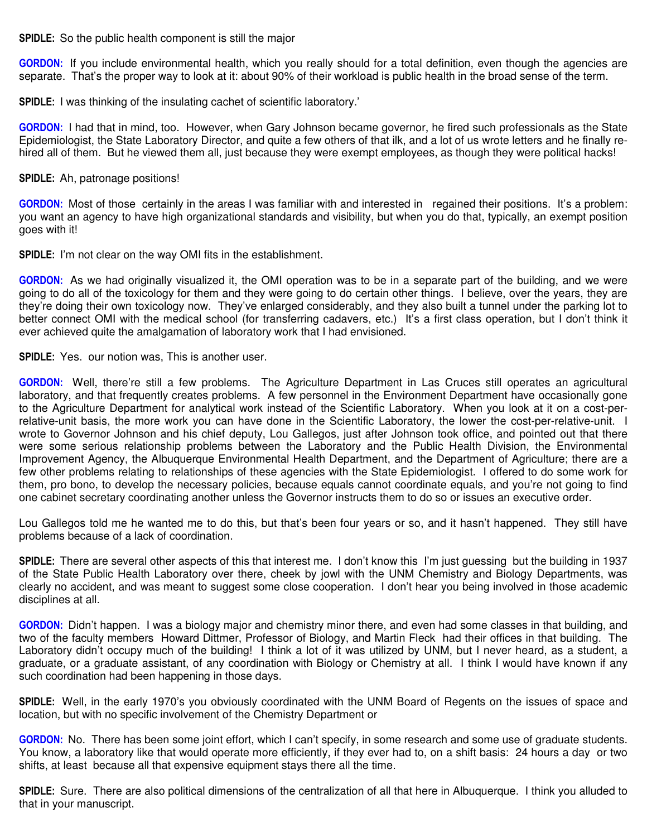**SPIDLE:** So the public health component is still the major

**GORDON:** If you include environmental health, which you really should for a total definition, even though the agencies are separate. That's the proper way to look at it: about 90% of their workload is public health in the broad sense of the term.

**SPIDLE:** I was thinking of the insulating cachet of scientific laboratory.'

**GORDON:** I had that in mind, too. However, when Gary Johnson became governor, he fired such professionals as the State Epidemiologist, the State Laboratory Director, and quite a few others of that ilk, and a lot of us wrote letters and he finally rehired all of them. But he viewed them all, just because they were exempt employees, as though they were political hacks!

**SPIDLE:** Ah, patronage positions!

**GORDON:** Most of those certainly in the areas I was familiar with and interested in regained their positions. It's a problem: you want an agency to have high organizational standards and visibility, but when you do that, typically, an exempt position goes with it!

**SPIDLE:** I'm not clear on the way OMI fits in the establishment.

**GORDON:** As we had originally visualized it, the OMI operation was to be in a separate part of the building, and we were going to do all of the toxicology for them and they were going to do certain other things. I believe, over the years, they are they're doing their own toxicology now. They've enlarged considerably, and they also built a tunnel under the parking lot to better connect OMI with the medical school (for transferring cadavers, etc.) It's a first class operation, but I don't think it ever achieved quite the amalgamation of laboratory work that I had envisioned.

**SPIDLE:** Yes. our notion was, This is another user.

**GORDON:** Well, there're still a few problems. The Agriculture Department in Las Cruces still operates an agricultural laboratory, and that frequently creates problems. A few personnel in the Environment Department have occasionally gone to the Agriculture Department for analytical work instead of the Scientific Laboratory. When you look at it on a cost-perrelative-unit basis, the more work you can have done in the Scientific Laboratory, the lower the cost-per-relative-unit. I wrote to Governor Johnson and his chief deputy, Lou Gallegos, just after Johnson took office, and pointed out that there were some serious relationship problems between the Laboratory and the Public Health Division, the Environmental Improvement Agency, the Albuquerque Environmental Health Department, and the Department of Agriculture; there are a few other problems relating to relationships of these agencies with the State Epidemiologist. I offered to do some work for them, pro bono, to develop the necessary policies, because equals cannot coordinate equals, and you're not going to find one cabinet secretary coordinating another unless the Governor instructs them to do so or issues an executive order.

Lou Gallegos told me he wanted me to do this, but that's been four years or so, and it hasn't happened. They still have problems because of a lack of coordination.

**SPIDLE:** There are several other aspects of this that interest me. I don't know this I'm just guessing but the building in 1937 of the State Public Health Laboratory over there, cheek by jowl with the UNM Chemistry and Biology Departments, was clearly no accident, and was meant to suggest some close cooperation. I don't hear you being involved in those academic disciplines at all.

**GORDON:** Didn't happen. I was a biology major and chemistry minor there, and even had some classes in that building, and two of the faculty members Howard Dittmer, Professor of Biology, and Martin Fleck had their offices in that building. The Laboratory didn't occupy much of the building! I think a lot of it was utilized by UNM, but I never heard, as a student, a graduate, or a graduate assistant, of any coordination with Biology or Chemistry at all. I think I would have known if any such coordination had been happening in those days.

**SPIDLE:** Well, in the early 1970's you obviously coordinated with the UNM Board of Regents on the issues of space and location, but with no specific involvement of the Chemistry Department or

**GORDON:** No. There has been some joint effort, which I can't specify, in some research and some use of graduate students. You know, a laboratory like that would operate more efficiently, if they ever had to, on a shift basis: 24 hours a day or two shifts, at least because all that expensive equipment stays there all the time.

**SPIDLE:** Sure. There are also political dimensions of the centralization of all that here in Albuquerque. I think you alluded to that in your manuscript.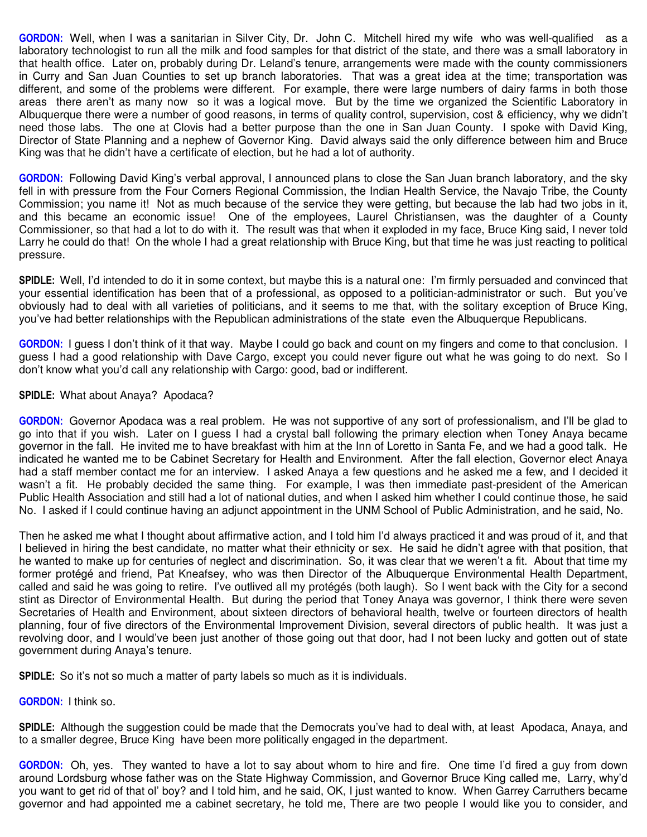**GORDON:** Well, when I was a sanitarian in Silver City, Dr. John C. Mitchell hired my wife who was well-qualified as a laboratory technologist to run all the milk and food samples for that district of the state, and there was a small laboratory in that health office. Later on, probably during Dr. Leland's tenure, arrangements were made with the county commissioners in Curry and San Juan Counties to set up branch laboratories. That was a great idea at the time; transportation was different, and some of the problems were different. For example, there were large numbers of dairy farms in both those areas there aren't as many now so it was a logical move. But by the time we organized the Scientific Laboratory in Albuquerque there were a number of good reasons, in terms of quality control, supervision, cost & efficiency, why we didn't need those labs. The one at Clovis had a better purpose than the one in San Juan County. I spoke with David King, Director of State Planning and a nephew of Governor King. David always said the only difference between him and Bruce King was that he didn't have a certificate of election, but he had a lot of authority.

**GORDON:** Following David King's verbal approval, I announced plans to close the San Juan branch laboratory, and the sky fell in with pressure from the Four Corners Regional Commission, the Indian Health Service, the Navajo Tribe, the County Commission; you name it! Not as much because of the service they were getting, but because the lab had two jobs in it, and this became an economic issue! One of the employees, Laurel Christiansen, was the daughter of a County Commissioner, so that had a lot to do with it. The result was that when it exploded in my face, Bruce King said, I never told Larry he could do that! On the whole I had a great relationship with Bruce King, but that time he was just reacting to political pressure.

**SPIDLE:** Well, I'd intended to do it in some context, but maybe this is a natural one: I'm firmly persuaded and convinced that your essential identification has been that of a professional, as opposed to a politician-administrator or such. But you've obviously had to deal with all varieties of politicians, and it seems to me that, with the solitary exception of Bruce King, you've had better relationships with the Republican administrations of the state even the Albuquerque Republicans.

**GORDON:** I guess I don't think of it that way. Maybe I could go back and count on my fingers and come to that conclusion. I guess I had a good relationship with Dave Cargo, except you could never figure out what he was going to do next. So I don't know what you'd call any relationship with Cargo: good, bad or indifferent.

# **SPIDLE:** What about Anaya? Apodaca?

**GORDON:** Governor Apodaca was a real problem. He was not supportive of any sort of professionalism, and I'll be glad to go into that if you wish. Later on I guess I had a crystal ball following the primary election when Toney Anaya became governor in the fall. He invited me to have breakfast with him at the Inn of Loretto in Santa Fe, and we had a good talk. He indicated he wanted me to be Cabinet Secretary for Health and Environment. After the fall election, Governor elect Anaya had a staff member contact me for an interview. I asked Anaya a few questions and he asked me a few, and I decided it wasn't a fit. He probably decided the same thing. For example, I was then immediate past-president of the American Public Health Association and still had a lot of national duties, and when I asked him whether I could continue those, he said No. I asked if I could continue having an adjunct appointment in the UNM School of Public Administration, and he said, No.

Then he asked me what I thought about affirmative action, and I told him I'd always practiced it and was proud of it, and that I believed in hiring the best candidate, no matter what their ethnicity or sex. He said he didn't agree with that position, that he wanted to make up for centuries of neglect and discrimination. So, it was clear that we weren't a fit. About that time my former protégé and friend, Pat Kneafsey, who was then Director of the Albuquerque Environmental Health Department, called and said he was going to retire. I've outlived all my protégés (both laugh). So I went back with the City for a second stint as Director of Environmental Health. But during the period that Toney Anaya was governor, I think there were seven Secretaries of Health and Environment, about sixteen directors of behavioral health, twelve or fourteen directors of health planning, four of five directors of the Environmental Improvement Division, several directors of public health. It was just a revolving door, and I would've been just another of those going out that door, had I not been lucky and gotten out of state government during Anaya's tenure.

**SPIDLE:** So it's not so much a matter of party labels so much as it is individuals.

**GORDON:** I think so.

**SPIDLE:** Although the suggestion could be made that the Democrats you've had to deal with, at least Apodaca, Anaya, and to a smaller degree, Bruce King have been more politically engaged in the department.

**GORDON:** Oh, yes. They wanted to have a lot to say about whom to hire and fire. One time I'd fired a guy from down around Lordsburg whose father was on the State Highway Commission, and Governor Bruce King called me, Larry, why'd you want to get rid of that ol' boy? and I told him, and he said, OK, I just wanted to know. When Garrey Carruthers became governor and had appointed me a cabinet secretary, he told me, There are two people I would like you to consider, and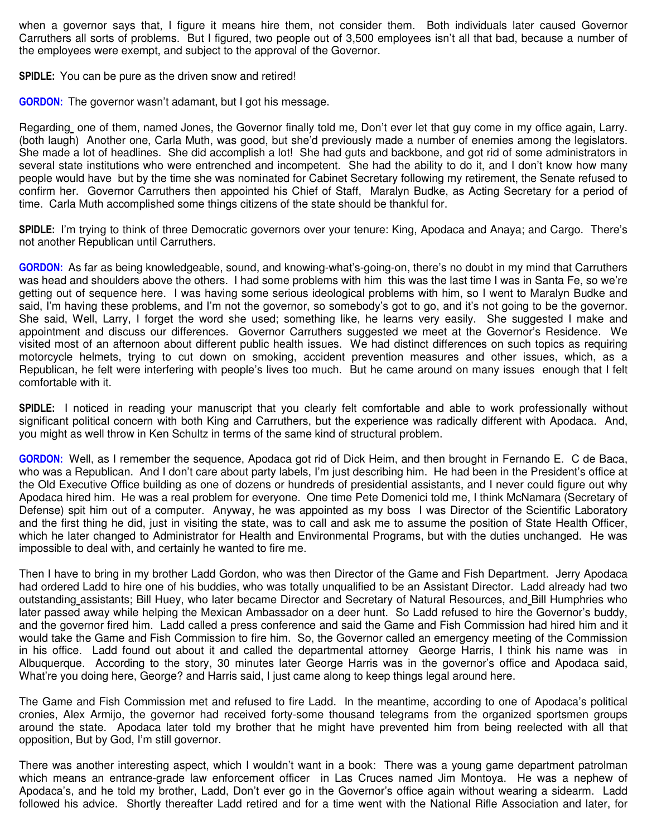when a governor says that, I figure it means hire them, not consider them. Both individuals later caused Governor Carruthers all sorts of problems. But I figured, two people out of 3,500 employees isn't all that bad, because a number of the employees were exempt, and subject to the approval of the Governor.

**SPIDLE:** You can be pure as the driven snow and retired!

**GORDON:** The governor wasn't adamant, but I got his message.

Regarding one of them, named Jones, the Governor finally told me, Don't ever let that guy come in my office again, Larry. (both laugh) Another one, Carla Muth, was good, but she'd previously made a number of enemies among the legislators. She made a lot of headlines. She did accomplish a lot! She had guts and backbone, and got rid of some administrators in several state institutions who were entrenched and incompetent. She had the ability to do it, and I don't know how many people would have but by the time she was nominated for Cabinet Secretary following my retirement, the Senate refused to confirm her. Governor Carruthers then appointed his Chief of Staff, Maralyn Budke, as Acting Secretary for a period of time. Carla Muth accomplished some things citizens of the state should be thankful for.

**SPIDLE:** I'm trying to think of three Democratic governors over your tenure: King, Apodaca and Anaya; and Cargo. There's not another Republican until Carruthers.

**GORDON:** As far as being knowledgeable, sound, and knowing-what's-going-on, there's no doubt in my mind that Carruthers was head and shoulders above the others. I had some problems with him this was the last time I was in Santa Fe, so we're getting out of sequence here. I was having some serious ideological problems with him, so I went to Maralyn Budke and said, I'm having these problems, and I'm not the governor, so somebody's got to go, and it's not going to be the governor. She said, Well, Larry, I forget the word she used; something like, he learns very easily. She suggested I make and appointment and discuss our differences. Governor Carruthers suggested we meet at the Governor's Residence. We visited most of an afternoon about different public health issues. We had distinct differences on such topics as requiring motorcycle helmets, trying to cut down on smoking, accident prevention measures and other issues, which, as a Republican, he felt were interfering with people's lives too much. But he came around on many issues enough that I felt comfortable with it.

**SPIDLE:** I noticed in reading your manuscript that you clearly felt comfortable and able to work professionally without significant political concern with both King and Carruthers, but the experience was radically different with Apodaca. And, you might as well throw in Ken Schultz in terms of the same kind of structural problem.

**GORDON:** Well, as I remember the sequence, Apodaca got rid of Dick Heim, and then brought in Fernando E. C de Baca, who was a Republican. And I don't care about party labels, I'm just describing him. He had been in the President's office at the Old Executive Office building as one of dozens or hundreds of presidential assistants, and I never could figure out why Apodaca hired him. He was a real problem for everyone. One time Pete Domenici told me, I think McNamara (Secretary of Defense) spit him out of a computer. Anyway, he was appointed as my boss I was Director of the Scientific Laboratory and the first thing he did, just in visiting the state, was to call and ask me to assume the position of State Health Officer, which he later changed to Administrator for Health and Environmental Programs, but with the duties unchanged. He was impossible to deal with, and certainly he wanted to fire me.

Then I have to bring in my brother Ladd Gordon, who was then Director of the Game and Fish Department. Jerry Apodaca had ordered Ladd to hire one of his buddies, who was totally unqualified to be an Assistant Director. Ladd already had two outstanding assistants; Bill Huey, who later became Director and Secretary of Natural Resources, and Bill Humphries who later passed away while helping the Mexican Ambassador on a deer hunt. So Ladd refused to hire the Governor's buddy, and the governor fired him. Ladd called a press conference and said the Game and Fish Commission had hired him and it would take the Game and Fish Commission to fire him. So, the Governor called an emergency meeting of the Commission in his office. Ladd found out about it and called the departmental attorney George Harris, I think his name was in Albuquerque. According to the story, 30 minutes later George Harris was in the governor's office and Apodaca said, What're you doing here, George? and Harris said, I just came along to keep things legal around here.

The Game and Fish Commission met and refused to fire Ladd. In the meantime, according to one of Apodaca's political cronies, Alex Armijo, the governor had received forty-some thousand telegrams from the organized sportsmen groups around the state. Apodaca later told my brother that he might have prevented him from being reelected with all that opposition, But by God, I'm still governor.

There was another interesting aspect, which I wouldn't want in a book: There was a young game department patrolman which means an entrance-grade law enforcement officer in Las Cruces named Jim Montoya. He was a nephew of Apodaca's, and he told my brother, Ladd, Don't ever go in the Governor's office again without wearing a sidearm. Ladd followed his advice. Shortly thereafter Ladd retired and for a time went with the National Rifle Association and later, for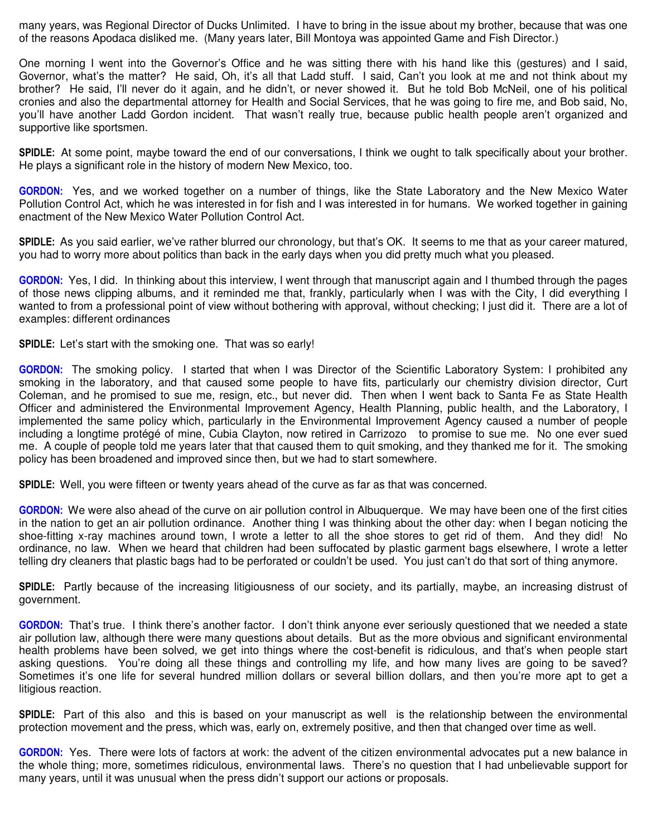many years, was Regional Director of Ducks Unlimited. I have to bring in the issue about my brother, because that was one of the reasons Apodaca disliked me. (Many years later, Bill Montoya was appointed Game and Fish Director.)

One morning I went into the Governor's Office and he was sitting there with his hand like this (gestures) and I said, Governor, what's the matter? He said, Oh, it's all that Ladd stuff. I said, Can't you look at me and not think about my brother? He said, I'll never do it again, and he didn't, or never showed it. But he told Bob McNeil, one of his political cronies and also the departmental attorney for Health and Social Services, that he was going to fire me, and Bob said, No, you'll have another Ladd Gordon incident. That wasn't really true, because public health people aren't organized and supportive like sportsmen.

**SPIDLE:** At some point, maybe toward the end of our conversations, I think we ought to talk specifically about your brother. He plays a significant role in the history of modern New Mexico, too.

**GORDON:** Yes, and we worked together on a number of things, like the State Laboratory and the New Mexico Water Pollution Control Act, which he was interested in for fish and I was interested in for humans. We worked together in gaining enactment of the New Mexico Water Pollution Control Act.

**SPIDLE:** As you said earlier, we've rather blurred our chronology, but that's OK. It seems to me that as your career matured, you had to worry more about politics than back in the early days when you did pretty much what you pleased.

**GORDON:** Yes, I did. In thinking about this interview, I went through that manuscript again and I thumbed through the pages of those news clipping albums, and it reminded me that, frankly, particularly when I was with the City, I did everything I wanted to from a professional point of view without bothering with approval, without checking; I just did it. There are a lot of examples: different ordinances

**SPIDLE:** Let's start with the smoking one. That was so early!

**GORDON:** The smoking policy. I started that when I was Director of the Scientific Laboratory System: I prohibited any smoking in the laboratory, and that caused some people to have fits, particularly our chemistry division director, Curt Coleman, and he promised to sue me, resign, etc., but never did. Then when I went back to Santa Fe as State Health Officer and administered the Environmental Improvement Agency, Health Planning, public health, and the Laboratory, I implemented the same policy which, particularly in the Environmental Improvement Agency caused a number of people including a longtime protégé of mine, Cubia Clayton, now retired in Carrizozo to promise to sue me. No one ever sued me. A couple of people told me years later that that caused them to quit smoking, and they thanked me for it. The smoking policy has been broadened and improved since then, but we had to start somewhere.

**SPIDLE:** Well, you were fifteen or twenty years ahead of the curve as far as that was concerned.

**GORDON:** We were also ahead of the curve on air pollution control in Albuquerque. We may have been one of the first cities in the nation to get an air pollution ordinance. Another thing I was thinking about the other day: when I began noticing the shoe-fitting x-ray machines around town, I wrote a letter to all the shoe stores to get rid of them. And they did! No ordinance, no law. When we heard that children had been suffocated by plastic garment bags elsewhere, I wrote a letter telling dry cleaners that plastic bags had to be perforated or couldn't be used. You just can't do that sort of thing anymore.

**SPIDLE:** Partly because of the increasing litigiousness of our society, and its partially, maybe, an increasing distrust of government.

**GORDON:** That's true. I think there's another factor. I don't think anyone ever seriously questioned that we needed a state air pollution law, although there were many questions about details. But as the more obvious and significant environmental health problems have been solved, we get into things where the cost-benefit is ridiculous, and that's when people start asking questions. You're doing all these things and controlling my life, and how many lives are going to be saved? Sometimes it's one life for several hundred million dollars or several billion dollars, and then you're more apt to get a litigious reaction.

**SPIDLE:** Part of this also and this is based on your manuscript as well is the relationship between the environmental protection movement and the press, which was, early on, extremely positive, and then that changed over time as well.

**GORDON:** Yes. There were lots of factors at work: the advent of the citizen environmental advocates put a new balance in the whole thing; more, sometimes ridiculous, environmental laws. There's no question that I had unbelievable support for many years, until it was unusual when the press didn't support our actions or proposals.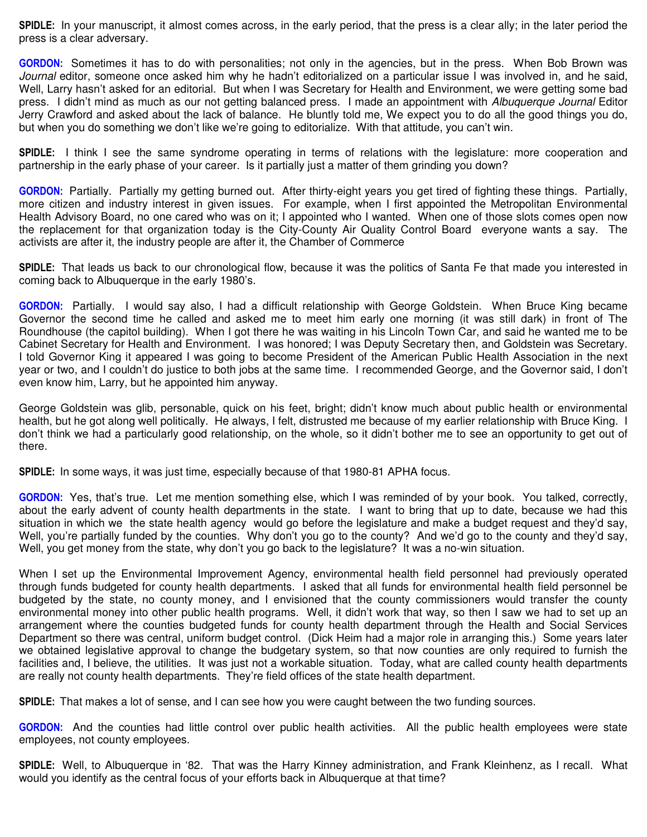**SPIDLE:** In your manuscript, it almost comes across, in the early period, that the press is a clear ally; in the later period the press is a clear adversary.

**GORDON:** Sometimes it has to do with personalities; not only in the agencies, but in the press. When Bob Brown was *Journal* editor, someone once asked him why he hadn't editorialized on a particular issue I was involved in, and he said, Well. Larry hasn't asked for an editorial. But when I was Secretary for Health and Environment, we were getting some bad press. I didn't mind as much as our not getting balanced press. I made an appointment with *Albuquerque Journal* Editor Jerry Crawford and asked about the lack of balance. He bluntly told me, We expect you to do all the good things you do, but when you do something we don't like we're going to editorialize. With that attitude, you can't win.

**SPIDLE:** I think I see the same syndrome operating in terms of relations with the legislature: more cooperation and partnership in the early phase of your career. Is it partially just a matter of them grinding you down?

**GORDON:** Partially. Partially my getting burned out. After thirty-eight years you get tired of fighting these things. Partially, more citizen and industry interest in given issues. For example, when I first appointed the Metropolitan Environmental Health Advisory Board, no one cared who was on it; I appointed who I wanted. When one of those slots comes open now the replacement for that organization today is the City-County Air Quality Control Board everyone wants a say. The activists are after it, the industry people are after it, the Chamber of Commerce

**SPIDLE:** That leads us back to our chronological flow, because it was the politics of Santa Fe that made you interested in coming back to Albuquerque in the early 1980's.

**GORDON:** Partially. I would say also, I had a difficult relationship with George Goldstein. When Bruce King became Governor the second time he called and asked me to meet him early one morning (it was still dark) in front of The Roundhouse (the capitol building). When I got there he was waiting in his Lincoln Town Car, and said he wanted me to be Cabinet Secretary for Health and Environment. I was honored; I was Deputy Secretary then, and Goldstein was Secretary. I told Governor King it appeared I was going to become President of the American Public Health Association in the next year or two, and I couldn't do justice to both jobs at the same time. I recommended George, and the Governor said, I don't even know him, Larry, but he appointed him anyway.

George Goldstein was glib, personable, quick on his feet, bright; didn't know much about public health or environmental health, but he got along well politically. He always, I felt, distrusted me because of my earlier relationship with Bruce King. I don't think we had a particularly good relationship, on the whole, so it didn't bother me to see an opportunity to get out of there.

**SPIDLE:** In some ways, it was just time, especially because of that 1980-81 APHA focus.

**GORDON:** Yes, that's true. Let me mention something else, which I was reminded of by your book. You talked, correctly, about the early advent of county health departments in the state. I want to bring that up to date, because we had this situation in which we the state health agency would go before the legislature and make a budget request and they'd say, Well, you're partially funded by the counties. Why don't you go to the county? And we'd go to the county and they'd say, Well, you get money from the state, why don't you go back to the legislature? It was a no-win situation.

When I set up the Environmental Improvement Agency, environmental health field personnel had previously operated through funds budgeted for county health departments. I asked that all funds for environmental health field personnel be budgeted by the state, no county money, and I envisioned that the county commissioners would transfer the county environmental money into other public health programs. Well, it didn't work that way, so then I saw we had to set up an arrangement where the counties budgeted funds for county health department through the Health and Social Services Department so there was central, uniform budget control. (Dick Heim had a major role in arranging this.) Some years later we obtained legislative approval to change the budgetary system, so that now counties are only required to furnish the facilities and, I believe, the utilities. It was just not a workable situation. Today, what are called county health departments are really not county health departments. They're field offices of the state health department.

**SPIDLE:** That makes a lot of sense, and I can see how you were caught between the two funding sources.

**GORDON:** And the counties had little control over public health activities. All the public health employees were state employees, not county employees.

**SPIDLE:** Well, to Albuquerque in '82. That was the Harry Kinney administration, and Frank Kleinhenz, as I recall. What would you identify as the central focus of your efforts back in Albuquerque at that time?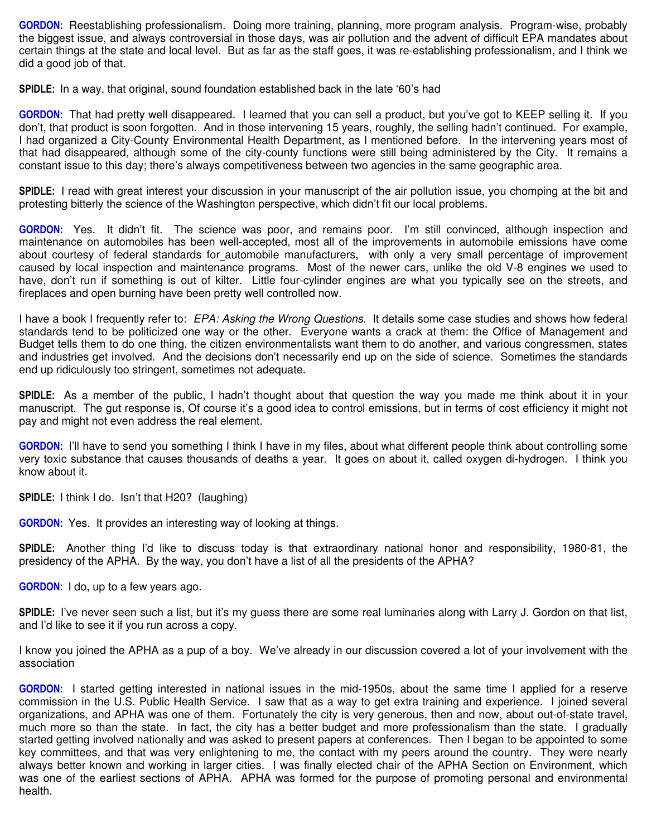**GORDON:** Reestablishing professionalism. Doing more training, planning, more program analysis. Program-wise, probably the biggest issue, and always controversial in those days, was air pollution and the advent of difficult EPA mandates about certain things at the state and local level. But as far as the staff goes, it was re-establishing professionalism, and I think we did a good job of that.

**SPIDLE:** In a way, that original, sound foundation established back in the late '60's had

**GORDON:** That had pretty well disappeared. I learned that you can sell a product, but you've got to KEEP selling it. If you don't, that product is soon forgotten. And in those intervening 15 years, roughly, the selling hadn't continued. For example, I had organized a City-County Environmental Health Department, as I mentioned before. In the intervening years most of that had disappeared, although some of the city-county functions were still being administered by the City. It remains a constant issue to this day; there's always competitiveness between two agencies in the same geographic area.

**SPIDLE:** I read with great interest your discussion in your manuscript of the air pollution issue, you chomping at the bit and protesting bitterly the science of the Washington perspective, which didn't fit our local problems.

**GORDON:** Yes. It didn't fit. The science was poor, and remains poor. I'm still convinced, although inspection and maintenance on automobiles has been well-accepted, most all of the improvements in automobile emissions have come about courtesy of federal standards for\_automobile manufacturers, with only a very small percentage of improvement caused by local inspection and maintenance programs. Most of the newer cars, unlike the old V-8 engines we used to have, don't run if something is out of kilter. Little four-cylinder engines are what you typically see on the streets, and fireplaces and open burning have been pretty well controlled now.

I have a book I frequently refer to: *EPA: Asking the Wrong Questions*. It details some case studies and shows how federal standards tend to be politicized one way or the other. Everyone wants a crack at them: the Office of Management and Budget tells them to do one thing, the citizen environmentalists want them to do another, and various congressmen, states and industries get involved. And the decisions don't necessarily end up on the side of science. Sometimes the standards end up ridiculously too stringent, sometimes not adequate.

**SPIDLE:** As a member of the public, I hadn't thought about that question the way you made me think about it in your manuscript. The gut response is, Of course it's a good idea to control emissions, but in terms of cost efficiency it might not pay and might not even address the real element.

**GORDON:** I'll have to send you something I think I have in my files, about what different people think about controlling some very toxic substance that causes thousands of deaths a year. It goes on about it, called oxygen di-hydrogen. I think you know about it.

**SPIDLE:** I think I do. Isn't that H20? (laughing)

**GORDON:** Yes. It provides an interesting way of looking at things.

**SPIDLE:** Another thing I'd like to discuss today is that extraordinary national honor and responsibility, 1980-81, the presidency of the APHA. By the way, you don't have a list of all the presidents of the APHA?

**GORDON:** I do, up to a few years ago.

**SPIDLE:** I've never seen such a list, but it's my guess there are some real luminaries along with Larry J. Gordon on that list, and I'd like to see it if you run across a copy.

I know you joined the APHA as a pup of a boy. We've already in our discussion covered a lot of your involvement with the association

**GORDON:** I started getting interested in national issues in the mid-1950s, about the same time I applied for a reserve commission in the U.S. Public Health Service. I saw that as a way to get extra training and experience. I joined several organizations, and APHA was one of them. Fortunately the city is very generous, then and now, about out-of-state travel, much more so than the state. In fact, the city has a better budget and more professionalism than the state. I gradually started getting involved nationally and was asked to present papers at conferences. Then I began to be appointed to some key committees, and that was very enlightening to me, the contact with my peers around the country. They were nearly always better known and working in larger cities. I was finally elected chair of the APHA Section on Environment, which was one of the earliest sections of APHA. APHA was formed for the purpose of promoting personal and environmental health.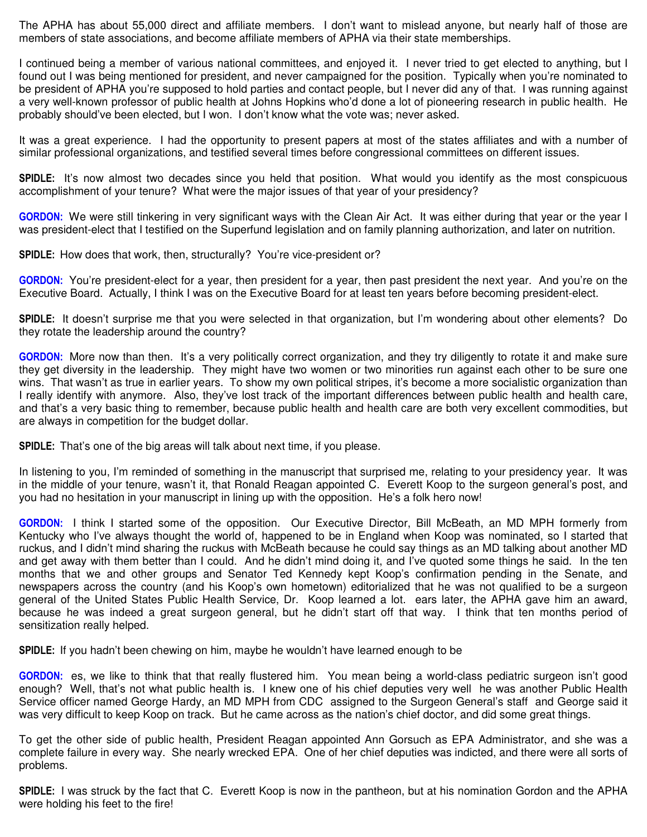The APHA has about 55,000 direct and affiliate members. I don't want to mislead anyone, but nearly half of those are members of state associations, and become affiliate members of APHA via their state memberships.

I continued being a member of various national committees, and enjoyed it. I never tried to get elected to anything, but I found out I was being mentioned for president, and never campaigned for the position. Typically when you're nominated to be president of APHA you're supposed to hold parties and contact people, but I never did any of that. I was running against a very well-known professor of public health at Johns Hopkins who'd done a lot of pioneering research in public health. He probably should've been elected, but I won. I don't know what the vote was; never asked.

It was a great experience. I had the opportunity to present papers at most of the states affiliates and with a number of similar professional organizations, and testified several times before congressional committees on different issues.

**SPIDLE:** It's now almost two decades since you held that position. What would you identify as the most conspicuous accomplishment of your tenure? What were the major issues of that year of your presidency?

**GORDON:** We were still tinkering in very significant ways with the Clean Air Act. It was either during that year or the year I was president-elect that I testified on the Superfund legislation and on family planning authorization, and later on nutrition.

**SPIDLE:** How does that work, then, structurally? You're vice-president or?

**GORDON:** You're president-elect for a year, then president for a year, then past president the next year. And you're on the Executive Board. Actually, I think I was on the Executive Board for at least ten years before becoming president-elect.

**SPIDLE:** It doesn't surprise me that you were selected in that organization, but I'm wondering about other elements? Do they rotate the leadership around the country?

**GORDON:** More now than then. It's a very politically correct organization, and they try diligently to rotate it and make sure they get diversity in the leadership. They might have two women or two minorities run against each other to be sure one wins. That wasn't as true in earlier years. To show my own political stripes, it's become a more socialistic organization than I really identify with anymore. Also, they've lost track of the important differences between public health and health care, and that's a very basic thing to remember, because public health and health care are both very excellent commodities, but are always in competition for the budget dollar.

**SPIDLE:** That's one of the big areas will talk about next time, if you please.

In listening to you, I'm reminded of something in the manuscript that surprised me, relating to your presidency year. It was in the middle of your tenure, wasn't it, that Ronald Reagan appointed C. Everett Koop to the surgeon general's post, and you had no hesitation in your manuscript in lining up with the opposition. He's a folk hero now!

**GORDON:** I think I started some of the opposition. Our Executive Director, Bill McBeath, an MD MPH formerly from Kentucky who I've always thought the world of, happened to be in England when Koop was nominated, so I started that ruckus, and I didn't mind sharing the ruckus with McBeath because he could say things as an MD talking about another MD and get away with them better than I could. And he didn't mind doing it, and I've quoted some things he said. In the ten months that we and other groups and Senator Ted Kennedy kept Koop's confirmation pending in the Senate, and newspapers across the country (and his Koop's own hometown) editorialized that he was not qualified to be a surgeon general of the United States Public Health Service, Dr. Koop learned a lot. ears later, the APHA gave him an award, because he was indeed a great surgeon general, but he didn't start off that way. I think that ten months period of sensitization really helped.

**SPIDLE:** If you hadn't been chewing on him, maybe he wouldn't have learned enough to be

**GORDON:** es, we like to think that that really flustered him. You mean being a world-class pediatric surgeon isn't good enough? Well, that's not what public health is. I knew one of his chief deputies very well he was another Public Health Service officer named George Hardy, an MD MPH from CDC assigned to the Surgeon General's staff and George said it was very difficult to keep Koop on track. But he came across as the nation's chief doctor, and did some great things.

To get the other side of public health, President Reagan appointed Ann Gorsuch as EPA Administrator, and she was a complete failure in every way. She nearly wrecked EPA. One of her chief deputies was indicted, and there were all sorts of problems.

**SPIDLE:** I was struck by the fact that C. Everett Koop is now in the pantheon, but at his nomination Gordon and the APHA were holding his feet to the fire!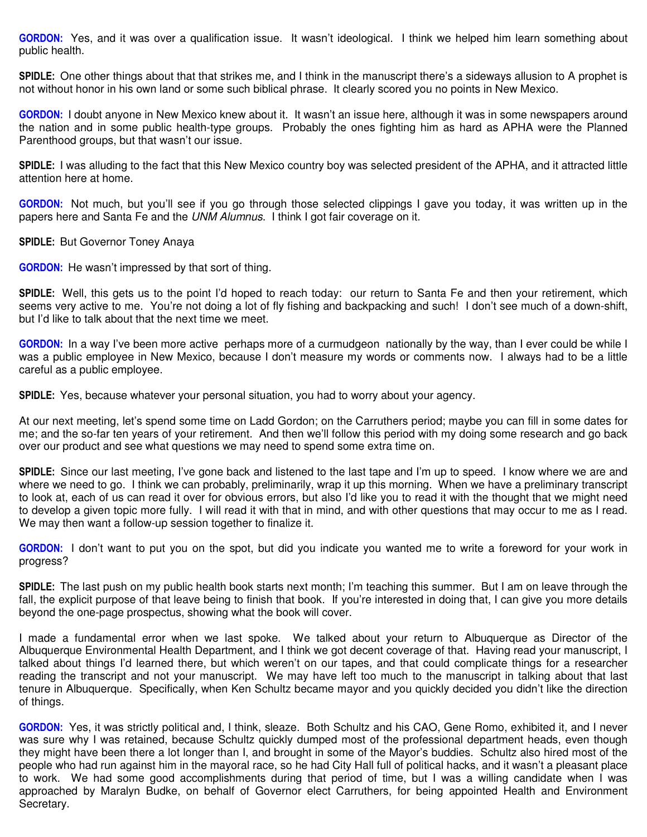**GORDON:** Yes, and it was over a qualification issue. It wasn't ideological. I think we helped him learn something about public health.

**SPIDLE:** One other things about that that strikes me, and I think in the manuscript there's a sideways allusion to A prophet is not without honor in his own land or some such biblical phrase. It clearly scored you no points in New Mexico.

**GORDON:** I doubt anyone in New Mexico knew about it. It wasn't an issue here, although it was in some newspapers around the nation and in some public health-type groups. Probably the ones fighting him as hard as APHA were the Planned Parenthood groups, but that wasn't our issue.

**SPIDLE:** I was alluding to the fact that this New Mexico country boy was selected president of the APHA, and it attracted little attention here at home.

**GORDON:** Not much, but you'll see if you go through those selected clippings I gave you today, it was written up in the papers here and Santa Fe and the *UNM Alumnus*. I think I got fair coverage on it.

**SPIDLE:** But Governor Toney Anaya

**GORDON:** He wasn't impressed by that sort of thing.

**SPIDLE:** Well, this gets us to the point I'd hoped to reach today: our return to Santa Fe and then your retirement, which seems very active to me. You're not doing a lot of fly fishing and backpacking and such! I don't see much of a down-shift, but I'd like to talk about that the next time we meet.

**GORDON:** In a way I've been more active perhaps more of a curmudgeon nationally by the way, than I ever could be while I was a public employee in New Mexico, because I don't measure my words or comments now. I always had to be a little careful as a public employee.

**SPIDLE:** Yes, because whatever your personal situation, you had to worry about your agency.

At our next meeting, let's spend some time on Ladd Gordon; on the Carruthers period; maybe you can fill in some dates for me; and the so-far ten years of your retirement. And then we'll follow this period with my doing some research and go back over our product and see what questions we may need to spend some extra time on.

**SPIDLE:** Since our last meeting, I've gone back and listened to the last tape and I'm up to speed. I know where we are and where we need to go. I think we can probably, preliminarily, wrap it up this morning. When we have a preliminary transcript to look at, each of us can read it over for obvious errors, but also I'd like you to read it with the thought that we might need to develop a given topic more fully. I will read it with that in mind, and with other questions that may occur to me as I read. We may then want a follow-up session together to finalize it.

**GORDON:** I don't want to put you on the spot, but did you indicate you wanted me to write a foreword for your work in progress?

**SPIDLE:** The last push on my public health book starts next month; I'm teaching this summer. But I am on leave through the fall, the explicit purpose of that leave being to finish that book. If you're interested in doing that, I can give you more details beyond the one-page prospectus, showing what the book will cover.

I made a fundamental error when we last spoke. We talked about your return to Albuquerque as Director of the Albuquerque Environmental Health Department, and I think we got decent coverage of that. Having read your manuscript, I talked about things I'd learned there, but which weren't on our tapes, and that could complicate things for a researcher reading the transcript and not your manuscript. We may have left too much to the manuscript in talking about that last tenure in Albuquerque. Specifically, when Ken Schultz became mayor and you quickly decided you didn't like the direction of things.

**GORDON:** Yes, it was strictly political and, I think, sleaze. Both Schultz and his CAO, Gene Romo, exhibited it, and I never was sure why I was retained, because Schultz quickly dumped most of the professional department heads, even though they might have been there a lot longer than I, and brought in some of the Mayor's buddies. Schultz also hired most of the people who had run against him in the mayoral race, so he had City Hall full of political hacks, and it wasn't a pleasant place to work. We had some good accomplishments during that period of time, but I was a willing candidate when I was approached by Maralyn Budke, on behalf of Governor elect Carruthers, for being appointed Health and Environment Secretary.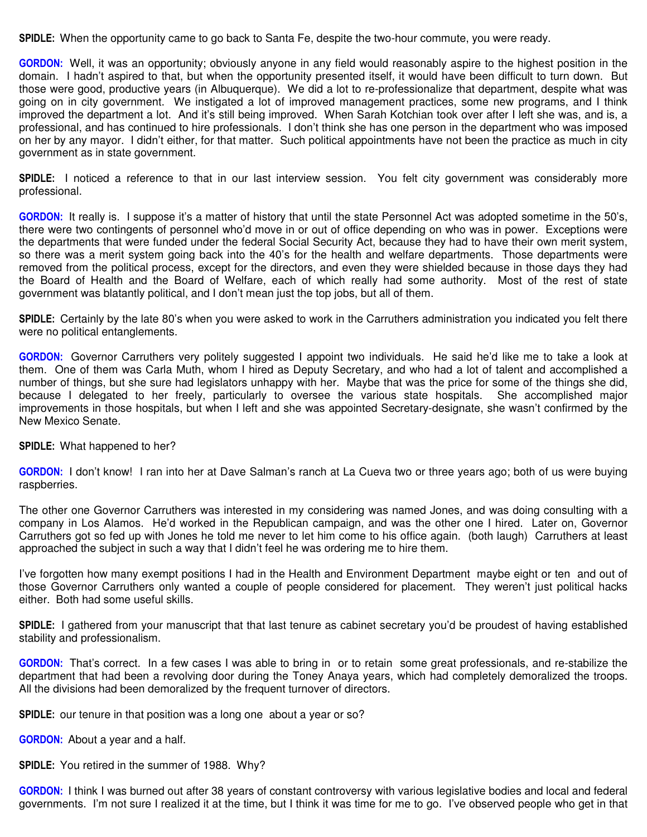**SPIDLE:** When the opportunity came to go back to Santa Fe, despite the two-hour commute, you were ready.

**GORDON:** Well, it was an opportunity; obviously anyone in any field would reasonably aspire to the highest position in the domain. I hadn't aspired to that, but when the opportunity presented itself, it would have been difficult to turn down. But those were good, productive years (in Albuquerque). We did a lot to re-professionalize that department, despite what was going on in city government. We instigated a lot of improved management practices, some new programs, and I think improved the department a lot. And it's still being improved. When Sarah Kotchian took over after I left she was, and is, a professional, and has continued to hire professionals. I don't think she has one person in the department who was imposed on her by any mayor. I didn't either, for that matter. Such political appointments have not been the practice as much in city government as in state government.

**SPIDLE:** I noticed a reference to that in our last interview session. You felt city government was considerably more professional.

**GORDON:** It really is. I suppose it's a matter of history that until the state Personnel Act was adopted sometime in the 50's, there were two contingents of personnel who'd move in or out of office depending on who was in power. Exceptions were the departments that were funded under the federal Social Security Act, because they had to have their own merit system, so there was a merit system going back into the 40's for the health and welfare departments. Those departments were removed from the political process, except for the directors, and even they were shielded because in those days they had the Board of Health and the Board of Welfare, each of which really had some authority. Most of the rest of state government was blatantly political, and I don't mean just the top jobs, but all of them.

**SPIDLE:** Certainly by the late 80's when you were asked to work in the Carruthers administration you indicated you felt there were no political entanglements.

**GORDON:** Governor Carruthers very politely suggested I appoint two individuals. He said he'd like me to take a look at them. One of them was Carla Muth, whom I hired as Deputy Secretary, and who had a lot of talent and accomplished a number of things, but she sure had legislators unhappy with her. Maybe that was the price for some of the things she did, because I delegated to her freely, particularly to oversee the various state hospitals. She accomplished major improvements in those hospitals, but when I left and she was appointed Secretary-designate, she wasn't confirmed by the New Mexico Senate.

#### **SPIDLE:** What happened to her?

**GORDON:** I don't know! I ran into her at Dave Salman's ranch at La Cueva two or three years ago; both of us were buying raspberries.

The other one Governor Carruthers was interested in my considering was named Jones, and was doing consulting with a company in Los Alamos. He'd worked in the Republican campaign, and was the other one I hired. Later on, Governor Carruthers got so fed up with Jones he told me never to let him come to his office again. (both laugh) Carruthers at least approached the subject in such a way that I didn't feel he was ordering me to hire them.

I've forgotten how many exempt positions I had in the Health and Environment Department maybe eight or ten and out of those Governor Carruthers only wanted a couple of people considered for placement. They weren't just political hacks either. Both had some useful skills.

**SPIDLE:** I gathered from your manuscript that that last tenure as cabinet secretary you'd be proudest of having established stability and professionalism.

**GORDON:** That's correct. In a few cases I was able to bring in or to retain some great professionals, and re-stabilize the department that had been a revolving door during the Toney Anaya years, which had completely demoralized the troops. All the divisions had been demoralized by the frequent turnover of directors.

**SPIDLE:** our tenure in that position was a long one about a year or so?

**GORDON:** About a year and a half.

**SPIDLE:** You retired in the summer of 1988. Why?

**GORDON:** I think I was burned out after 38 years of constant controversy with various legislative bodies and local and federal governments. I'm not sure I realized it at the time, but I think it was time for me to go. I've observed people who get in that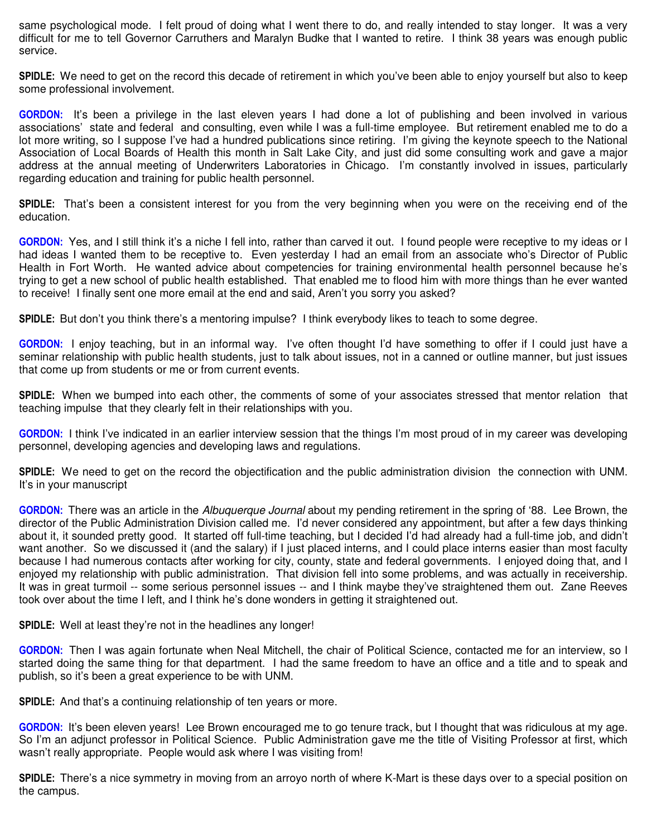same psychological mode. I felt proud of doing what I went there to do, and really intended to stay longer. It was a very difficult for me to tell Governor Carruthers and Maralyn Budke that I wanted to retire. I think 38 years was enough public service.

**SPIDLE:** We need to get on the record this decade of retirement in which you've been able to enjoy yourself but also to keep some professional involvement.

**GORDON:** It's been a privilege in the last eleven years I had done a lot of publishing and been involved in various associations' state and federal and consulting, even while I was a full-time employee. But retirement enabled me to do a lot more writing, so I suppose I've had a hundred publications since retiring. I'm giving the keynote speech to the National Association of Local Boards of Health this month in Salt Lake City, and just did some consulting work and gave a major address at the annual meeting of Underwriters Laboratories in Chicago. I'm constantly involved in issues, particularly regarding education and training for public health personnel.

**SPIDLE:** That's been a consistent interest for you from the very beginning when you were on the receiving end of the education.

**GORDON:** Yes, and I still think it's a niche I fell into, rather than carved it out. I found people were receptive to my ideas or I had ideas I wanted them to be receptive to. Even yesterday I had an email from an associate who's Director of Public Health in Fort Worth. He wanted advice about competencies for training environmental health personnel because he's trying to get a new school of public health established. That enabled me to flood him with more things than he ever wanted to receive! I finally sent one more email at the end and said, Aren't you sorry you asked?

**SPIDLE:** But don't you think there's a mentoring impulse? I think everybody likes to teach to some degree.

**GORDON:** I enjoy teaching, but in an informal way. I've often thought I'd have something to offer if I could just have a seminar relationship with public health students, just to talk about issues, not in a canned or outline manner, but just issues that come up from students or me or from current events.

**SPIDLE:** When we bumped into each other, the comments of some of your associates stressed that mentor relation that teaching impulse that they clearly felt in their relationships with you.

**GORDON:** I think I've indicated in an earlier interview session that the things I'm most proud of in my career was developing personnel, developing agencies and developing laws and regulations.

**SPIDLE:** We need to get on the record the objectification and the public administration division the connection with UNM. It's in your manuscript

**GORDON:** There was an article in the *Albuquerque Journal* about my pending retirement in the spring of '88. Lee Brown, the director of the Public Administration Division called me. I'd never considered any appointment, but after a few days thinking about it, it sounded pretty good. It started off full-time teaching, but I decided I'd had already had a full-time job, and didn't want another. So we discussed it (and the salary) if I just placed interns, and I could place interns easier than most faculty because I had numerous contacts after working for city, county, state and federal governments. I enjoyed doing that, and I enjoyed my relationship with public administration. That division fell into some problems, and was actually in receivership. It was in great turmoil -- some serious personnel issues -- and I think maybe they've straightened them out. Zane Reeves took over about the time I left, and I think he's done wonders in getting it straightened out.

**SPIDLE:** Well at least they're not in the headlines any longer!

**GORDON:** Then I was again fortunate when Neal Mitchell, the chair of Political Science, contacted me for an interview, so I started doing the same thing for that department. I had the same freedom to have an office and a title and to speak and publish, so it's been a great experience to be with UNM.

**SPIDLE:** And that's a continuing relationship of ten years or more.

**GORDON:** It's been eleven years! Lee Brown encouraged me to go tenure track, but I thought that was ridiculous at my age. So I'm an adjunct professor in Political Science. Public Administration gave me the title of Visiting Professor at first, which wasn't really appropriate. People would ask where I was visiting from!

**SPIDLE:** There's a nice symmetry in moving from an arroyo north of where K-Mart is these days over to a special position on the campus.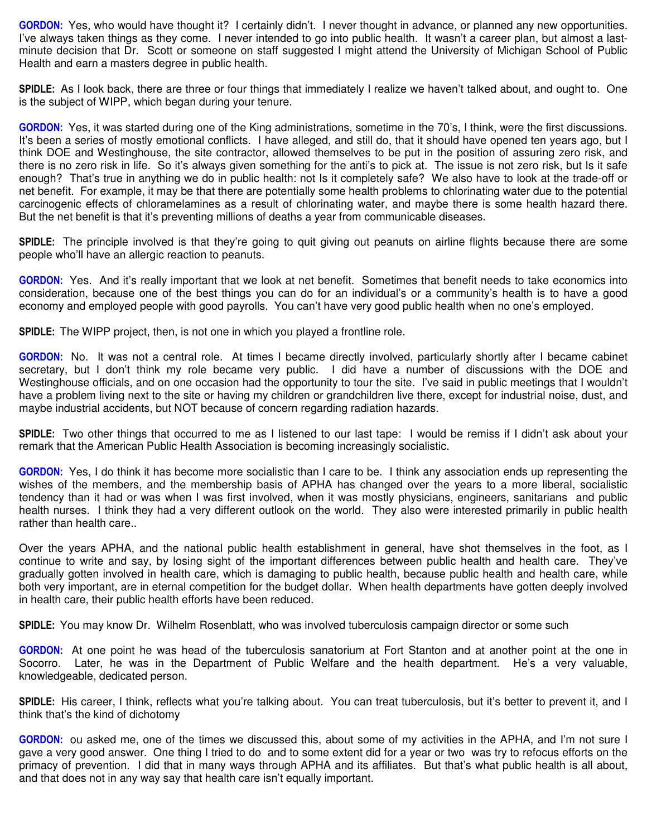**GORDON:** Yes, who would have thought it? I certainly didn't. I never thought in advance, or planned any new opportunities. I've always taken things as they come. I never intended to go into public health. It wasn't a career plan, but almost a lastminute decision that Dr. Scott or someone on staff suggested I might attend the University of Michigan School of Public Health and earn a masters degree in public health.

**SPIDLE:** As I look back, there are three or four things that immediately I realize we haven't talked about, and ought to. One is the subject of WIPP, which began during your tenure.

**GORDON:** Yes, it was started during one of the King administrations, sometime in the 70's, I think, were the first discussions. It's been a series of mostly emotional conflicts. I have alleged, and still do, that it should have opened ten years ago, but I think DOE and Westinghouse, the site contractor, allowed themselves to be put in the position of assuring zero risk, and there is no zero risk in life. So it's always given something for the anti's to pick at. The issue is not zero risk, but Is it safe enough? That's true in anything we do in public health: not Is it completely safe? We also have to look at the trade-off or net benefit. For example, it may be that there are potentially some health problems to chlorinating water due to the potential carcinogenic effects of chloramelamines as a result of chlorinating water, and maybe there is some health hazard there. But the net benefit is that it's preventing millions of deaths a year from communicable diseases.

**SPIDLE:** The principle involved is that they're going to quit giving out peanuts on airline flights because there are some people who'll have an allergic reaction to peanuts.

**GORDON:** Yes. And it's really important that we look at net benefit. Sometimes that benefit needs to take economics into consideration, because one of the best things you can do for an individual's or a community's health is to have a good economy and employed people with good payrolls. You can't have very good public health when no one's employed.

**SPIDLE:** The WIPP project, then, is not one in which you played a frontline role.

**GORDON:** No. It was not a central role. At times I became directly involved, particularly shortly after I became cabinet secretary, but I don't think my role became very public. I did have a number of discussions with the DOE and Westinghouse officials, and on one occasion had the opportunity to tour the site. I've said in public meetings that I wouldn't have a problem living next to the site or having my children or grandchildren live there, except for industrial noise, dust, and maybe industrial accidents, but NOT because of concern regarding radiation hazards.

**SPIDLE:** Two other things that occurred to me as I listened to our last tape: I would be remiss if I didn't ask about your remark that the American Public Health Association is becoming increasingly socialistic.

**GORDON:** Yes, I do think it has become more socialistic than I care to be. I think any association ends up representing the wishes of the members, and the membership basis of APHA has changed over the years to a more liberal, socialistic tendency than it had or was when I was first involved, when it was mostly physicians, engineers, sanitarians and public health nurses. I think they had a very different outlook on the world. They also were interested primarily in public health rather than health care..

Over the years APHA, and the national public health establishment in general, have shot themselves in the foot, as I continue to write and say, by losing sight of the important differences between public health and health care. They've gradually gotten involved in health care, which is damaging to public health, because public health and health care, while both very important, are in eternal competition for the budget dollar. When health departments have gotten deeply involved in health care, their public health efforts have been reduced.

**SPIDLE:** You may know Dr. Wilhelm Rosenblatt, who was involved tuberculosis campaign director or some such

**GORDON:** At one point he was head of the tuberculosis sanatorium at Fort Stanton and at another point at the one in Socorro. Later, he was in the Department of Public Welfare and the health department. He's a very valuable, knowledgeable, dedicated person.

**SPIDLE:** His career, I think, reflects what you're talking about. You can treat tuberculosis, but it's better to prevent it, and I think that's the kind of dichotomy

**GORDON:** ou asked me, one of the times we discussed this, about some of my activities in the APHA, and I'm not sure I gave a very good answer. One thing I tried to do and to some extent did for a year or two was try to refocus efforts on the primacy of prevention. I did that in many ways through APHA and its affiliates. But that's what public health is all about, and that does not in any way say that health care isn't equally important.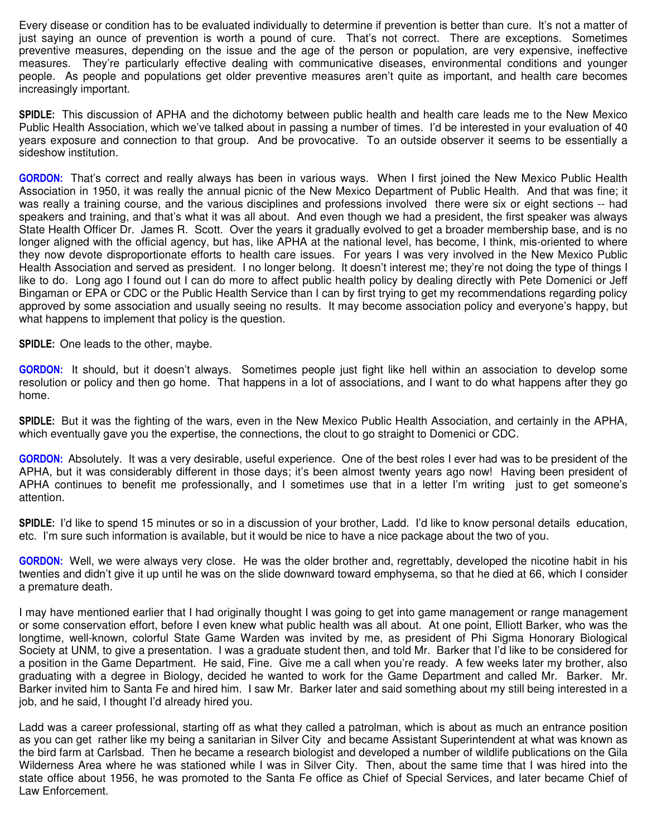Every disease or condition has to be evaluated individually to determine if prevention is better than cure. It's not a matter of just saying an ounce of prevention is worth a pound of cure. That's not correct. There are exceptions. Sometimes preventive measures, depending on the issue and the age of the person or population, are very expensive, ineffective measures. They're particularly effective dealing with communicative diseases, environmental conditions and younger people. As people and populations get older preventive measures aren't quite as important, and health care becomes increasingly important.

**SPIDLE:** This discussion of APHA and the dichotomy between public health and health care leads me to the New Mexico Public Health Association, which we've talked about in passing a number of times. I'd be interested in your evaluation of 40 years exposure and connection to that group. And be provocative. To an outside observer it seems to be essentially a sideshow institution.

**GORDON:** That's correct and really always has been in various ways. When I first joined the New Mexico Public Health Association in 1950, it was really the annual picnic of the New Mexico Department of Public Health. And that was fine; it was really a training course, and the various disciplines and professions involved there were six or eight sections -- had speakers and training, and that's what it was all about. And even though we had a president, the first speaker was always State Health Officer Dr. James R. Scott. Over the years it gradually evolved to get a broader membership base, and is no longer aligned with the official agency, but has, like APHA at the national level, has become, I think, mis-oriented to where they now devote disproportionate efforts to health care issues. For years I was very involved in the New Mexico Public Health Association and served as president. I no longer belong. It doesn't interest me; they're not doing the type of things I like to do. Long ago I found out I can do more to affect public health policy by dealing directly with Pete Domenici or Jeff Bingaman or EPA or CDC or the Public Health Service than I can by first trying to get my recommendations regarding policy approved by some association and usually seeing no results. It may become association policy and everyone's happy, but what happens to implement that policy is the question.

**SPIDLE:** One leads to the other, maybe.

**GORDON:** It should, but it doesn't always. Sometimes people just fight like hell within an association to develop some resolution or policy and then go home. That happens in a lot of associations, and I want to do what happens after they go home.

**SPIDLE:** But it was the fighting of the wars, even in the New Mexico Public Health Association, and certainly in the APHA, which eventually gave you the expertise, the connections, the clout to go straight to Domenici or CDC.

**GORDON:** Absolutely. It was a very desirable, useful experience. One of the best roles I ever had was to be president of the APHA, but it was considerably different in those days; it's been almost twenty years ago now! Having been president of APHA continues to benefit me professionally, and I sometimes use that in a letter I'm writing just to get someone's attention.

**SPIDLE:** I'd like to spend 15 minutes or so in a discussion of your brother, Ladd. I'd like to know personal details education, etc. I'm sure such information is available, but it would be nice to have a nice package about the two of you.

**GORDON:** Well, we were always very close. He was the older brother and, regrettably, developed the nicotine habit in his twenties and didn't give it up until he was on the slide downward toward emphysema, so that he died at 66, which I consider a premature death.

I may have mentioned earlier that I had originally thought I was going to get into game management or range management or some conservation effort, before I even knew what public health was all about. At one point, Elliott Barker, who was the longtime, well-known, colorful State Game Warden was invited by me, as president of Phi Sigma Honorary Biological Society at UNM, to give a presentation. I was a graduate student then, and told Mr. Barker that I'd like to be considered for a position in the Game Department. He said, Fine. Give me a call when you're ready. A few weeks later my brother, also graduating with a degree in Biology, decided he wanted to work for the Game Department and called Mr. Barker. Mr. Barker invited him to Santa Fe and hired him. I saw Mr. Barker later and said something about my still being interested in a job, and he said, I thought I'd already hired you.

Ladd was a career professional, starting off as what they called a patrolman, which is about as much an entrance position as you can get rather like my being a sanitarian in Silver City and became Assistant Superintendent at what was known as the bird farm at Carlsbad. Then he became a research biologist and developed a number of wildlife publications on the Gila Wilderness Area where he was stationed while I was in Silver City. Then, about the same time that I was hired into the state office about 1956, he was promoted to the Santa Fe office as Chief of Special Services, and later became Chief of Law Enforcement.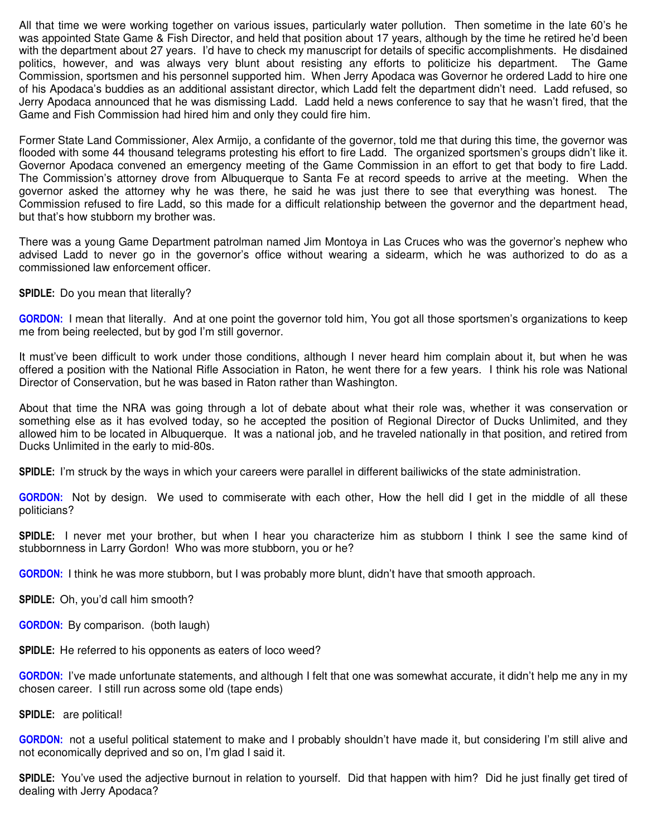All that time we were working together on various issues, particularly water pollution. Then sometime in the late 60's he was appointed State Game & Fish Director, and held that position about 17 years, although by the time he retired he'd been with the department about 27 years. I'd have to check my manuscript for details of specific accomplishments. He disdained politics, however, and was always very blunt about resisting any efforts to politicize his department. The Game Commission, sportsmen and his personnel supported him. When Jerry Apodaca was Governor he ordered Ladd to hire one of his Apodaca's buddies as an additional assistant director, which Ladd felt the department didn't need. Ladd refused, so Jerry Apodaca announced that he was dismissing Ladd. Ladd held a news conference to say that he wasn't fired, that the Game and Fish Commission had hired him and only they could fire him.

Former State Land Commissioner, Alex Armijo, a confidante of the governor, told me that during this time, the governor was flooded with some 44 thousand telegrams protesting his effort to fire Ladd. The organized sportsmen's groups didn't like it. Governor Apodaca convened an emergency meeting of the Game Commission in an effort to get that body to fire Ladd. The Commission's attorney drove from Albuquerque to Santa Fe at record speeds to arrive at the meeting. When the governor asked the attorney why he was there, he said he was just there to see that everything was honest. The Commission refused to fire Ladd, so this made for a difficult relationship between the governor and the department head, but that's how stubborn my brother was.

There was a young Game Department patrolman named Jim Montoya in Las Cruces who was the governor's nephew who advised Ladd to never go in the governor's office without wearing a sidearm, which he was authorized to do as a commissioned law enforcement officer.

**SPIDLE:** Do you mean that literally?

**GORDON:** I mean that literally. And at one point the governor told him, You got all those sportsmen's organizations to keep me from being reelected, but by god I'm still governor.

It must've been difficult to work under those conditions, although I never heard him complain about it, but when he was offered a position with the National Rifle Association in Raton, he went there for a few years. I think his role was National Director of Conservation, but he was based in Raton rather than Washington.

About that time the NRA was going through a lot of debate about what their role was, whether it was conservation or something else as it has evolved today, so he accepted the position of Regional Director of Ducks Unlimited, and they allowed him to be located in Albuquerque. It was a national job, and he traveled nationally in that position, and retired from Ducks Unlimited in the early to mid-80s.

**SPIDLE:** I'm struck by the ways in which your careers were parallel in different bailiwicks of the state administration.

**GORDON:** Not by design. We used to commiserate with each other, How the hell did I get in the middle of all these politicians?

**SPIDLE:** I never met your brother, but when I hear you characterize him as stubborn I think I see the same kind of stubbornness in Larry Gordon! Who was more stubborn, you or he?

**GORDON:** I think he was more stubborn, but I was probably more blunt, didn't have that smooth approach.

**SPIDLE:** Oh, you'd call him smooth?

**GORDON:** By comparison. (both laugh)

**SPIDLE:** He referred to his opponents as eaters of loco weed?

**GORDON:** I've made unfortunate statements, and although I felt that one was somewhat accurate, it didn't help me any in my chosen career. I still run across some old (tape ends)

**SPIDLE:** are political!

**GORDON:** not a useful political statement to make and I probably shouldn't have made it, but considering I'm still alive and not economically deprived and so on, I'm glad I said it.

**SPIDLE:** You've used the adjective burnout in relation to yourself. Did that happen with him? Did he just finally get tired of dealing with Jerry Apodaca?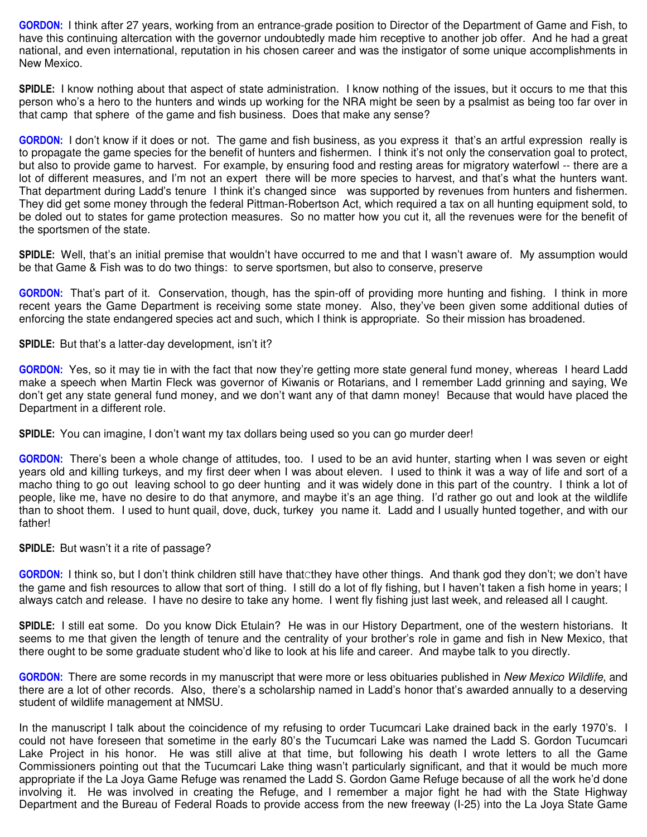**GORDON:** I think after 27 years, working from an entrance-grade position to Director of the Department of Game and Fish, to have this continuing altercation with the governor undoubtedly made him receptive to another job offer. And he had a great national, and even international, reputation in his chosen career and was the instigator of some unique accomplishments in New Mexico.

**SPIDLE:** I know nothing about that aspect of state administration. I know nothing of the issues, but it occurs to me that this person who's a hero to the hunters and winds up working for the NRA might be seen by a psalmist as being too far over in that camp that sphere of the game and fish business. Does that make any sense?

**GORDON:** I don't know if it does or not. The game and fish business, as you express it that's an artful expression really is to propagate the game species for the benefit of hunters and fishermen. I think it's not only the conservation goal to protect, but also to provide game to harvest. For example, by ensuring food and resting areas for migratory waterfowl -- there are a lot of different measures, and I'm not an expert there will be more species to harvest, and that's what the hunters want. That department during Ladd's tenure I think it's changed since was supported by revenues from hunters and fishermen. They did get some money through the federal Pittman-Robertson Act, which required a tax on all hunting equipment sold, to be doled out to states for game protection measures. So no matter how you cut it, all the revenues were for the benefit of the sportsmen of the state.

**SPIDLE:** Well, that's an initial premise that wouldn't have occurred to me and that I wasn't aware of. My assumption would be that Game & Fish was to do two things: to serve sportsmen, but also to conserve, preserve

**GORDON:** That's part of it. Conservation, though, has the spin-off of providing more hunting and fishing. I think in more recent years the Game Department is receiving some state money. Also, they've been given some additional duties of enforcing the state endangered species act and such, which I think is appropriate. So their mission has broadened.

**SPIDLE:** But that's a latter-day development, isn't it?

**GORDON:** Yes, so it may tie in with the fact that now they're getting more state general fund money, whereas I heard Ladd make a speech when Martin Fleck was governor of Kiwanis or Rotarians, and I remember Ladd grinning and saying, We don't get any state general fund money, and we don't want any of that damn money! Because that would have placed the Department in a different role.

**SPIDLE:** You can imagine, I don't want my tax dollars being used so you can go murder deer!

**GORDON:** There's been a whole change of attitudes, too. I used to be an avid hunter, starting when I was seven or eight years old and killing turkeys, and my first deer when I was about eleven. I used to think it was a way of life and sort of a macho thing to go out leaving school to go deer hunting and it was widely done in this part of the country. I think a lot of people, like me, have no desire to do that anymore, and maybe it's an age thing. I'd rather go out and look at the wildlife than to shoot them. I used to hunt quail, dove, duck, turkey you name it. Ladd and I usually hunted together, and with our father!

**SPIDLE:** But wasn't it a rite of passage?

**GORDON:** I think so, but I don't think children still have thatCthey have other things. And thank god they don't; we don't have the game and fish resources to allow that sort of thing. I still do a lot of fly fishing, but I haven't taken a fish home in years; I always catch and release. I have no desire to take any home. I went fly fishing just last week, and released all I caught.

**SPIDLE:** I still eat some. Do you know Dick Etulain? He was in our History Department, one of the western historians. It seems to me that given the length of tenure and the centrality of your brother's role in game and fish in New Mexico, that there ought to be some graduate student who'd like to look at his life and career. And maybe talk to you directly.

**GORDON:** There are some records in my manuscript that were more or less obituaries published in *New Mexico Wildlife*, and there are a lot of other records. Also, there's a scholarship named in Ladd's honor that's awarded annually to a deserving student of wildlife management at NMSU.

In the manuscript I talk about the coincidence of my refusing to order Tucumcari Lake drained back in the early 1970's. I could not have foreseen that sometime in the early 80's the Tucumcari Lake was named the Ladd S. Gordon Tucumcari Lake Project in his honor. He was still alive at that time, but following his death I wrote letters to all the Game Commissioners pointing out that the Tucumcari Lake thing wasn't particularly significant, and that it would be much more appropriate if the La Joya Game Refuge was renamed the Ladd S. Gordon Game Refuge because of all the work he'd done involving it. He was involved in creating the Refuge, and I remember a major fight he had with the State Highway Department and the Bureau of Federal Roads to provide access from the new freeway (I-25) into the La Joya State Game